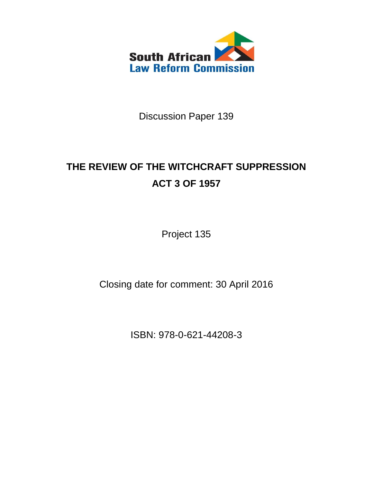

Discussion Paper 139

# **THE REVIEW OF THE WITCHCRAFT SUPPRESSION ACT 3 OF 1957**

Project 135

Closing date for comment: 30 April 2016

ISBN: 978-0-621-44208-3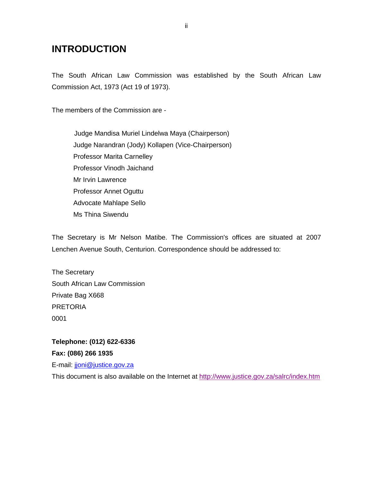# **INTRODUCTION**

The South African Law Commission was established by the South African Law Commission Act, 1973 (Act 19 of 1973).

The members of the Commission are -

Judge Mandisa Muriel Lindelwa Maya (Chairperson) Judge Narandran (Jody) Kollapen (Vice-Chairperson) Professor Marita Carnelley Professor Vinodh Jaichand Mr Irvin Lawrence Professor Annet Oguttu Advocate Mahlape Sello Ms Thina Siwendu

The Secretary is Mr Nelson Matibe. The Commission's offices are situated at 2007 Lenchen Avenue South, Centurion. Correspondence should be addressed to:

The Secretary South African Law Commission Private Bag X668 PRETORIA 0001

**Telephone: (012) 622-6336 Fax: (086) 266 1935** E-mail: [jjoni@justice.gov.za](mailto:jjoni@justice.gov.za)

This document is also available on the Internet at<http://www.justice.gov.za/salrc/index.htm>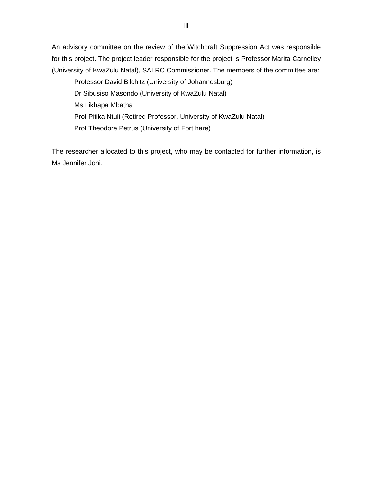An advisory committee on the review of the Witchcraft Suppression Act was responsible for this project. The project leader responsible for the project is Professor Marita Carnelley (University of KwaZulu Natal), SALRC Commissioner. The members of the committee are:

Professor David Bilchitz (University of Johannesburg) Dr Sibusiso Masondo (University of KwaZulu Natal) Ms Likhapa Mbatha Prof Pitika Ntuli (Retired Professor, University of KwaZulu Natal) Prof Theodore Petrus (University of Fort hare)

The researcher allocated to this project, who may be contacted for further information, is Ms Jennifer Joni.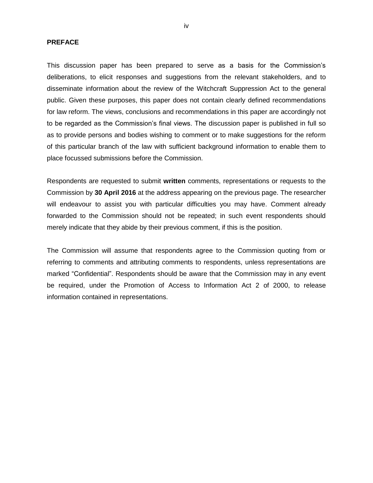#### **PREFACE**

This discussion paper has been prepared to serve as a basis for the Commission"s deliberations, to elicit responses and suggestions from the relevant stakeholders, and to disseminate information about the review of the Witchcraft Suppression Act to the general public. Given these purposes, this paper does not contain clearly defined recommendations for law reform. The views, conclusions and recommendations in this paper are accordingly not to be regarded as the Commission"s final views. The discussion paper is published in full so as to provide persons and bodies wishing to comment or to make suggestions for the reform of this particular branch of the law with sufficient background information to enable them to place focussed submissions before the Commission.

Respondents are requested to submit **written** comments, representations or requests to the Commission by **30 April 2016** at the address appearing on the previous page. The researcher will endeavour to assist you with particular difficulties you may have. Comment already forwarded to the Commission should not be repeated; in such event respondents should merely indicate that they abide by their previous comment, if this is the position.

The Commission will assume that respondents agree to the Commission quoting from or referring to comments and attributing comments to respondents, unless representations are marked "Confidential". Respondents should be aware that the Commission may in any event be required, under the Promotion of Access to Information Act 2 of 2000, to release information contained in representations.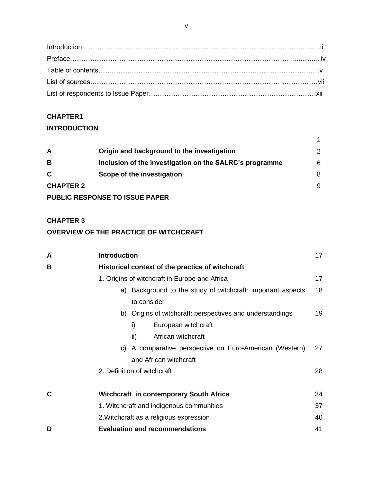### **CHAPTER1**

### **INTRODUCTION**

| A                | Origin and background to the investigation              | $\mathcal{P}$ |
|------------------|---------------------------------------------------------|---------------|
| B                | Inclusion of the investigation on the SALRC's programme | 6             |
| C                | Scope of the investigation                              | 8             |
| <b>CHAPTER 2</b> |                                                         | 9             |
|                  | <b>PUBLIC RESPONSE TO ISSUE PAPER</b>                   |               |

### **CHAPTER 3**

### **OVERVIEW OF THE PRACTICE OF WITCHCRAFT**

| A | <b>Introduction</b>                              |                                                             | 17 |  |
|---|--------------------------------------------------|-------------------------------------------------------------|----|--|
| B | Historical context of the practice of witchcraft |                                                             |    |  |
|   |                                                  | 1. Origins of witchcraft in Europe and Africa               | 17 |  |
|   |                                                  | a) Background to the study of witchcraft: important aspects | 18 |  |
|   |                                                  | to consider                                                 |    |  |
|   |                                                  | b) Origins of witchcraft: perspectives and understandings   | 19 |  |
|   |                                                  | i)<br>European witchcraft                                   |    |  |
|   |                                                  | African witchcraft<br>ii)                                   |    |  |
|   |                                                  | c) A comparative perspective on Euro-American (Western)     | 27 |  |
|   |                                                  | and African witchcraft                                      |    |  |
|   |                                                  | 2. Definition of witchcraft                                 | 28 |  |
| C |                                                  | <b>Witchcraft in contemporary South Africa</b>              | 34 |  |
|   |                                                  | 1. Witchcraft and indigenous communities                    | 37 |  |
|   |                                                  | 2. Witchcraft as a religious expression                     | 40 |  |
| D |                                                  | <b>Evaluation and recommendations</b>                       | 41 |  |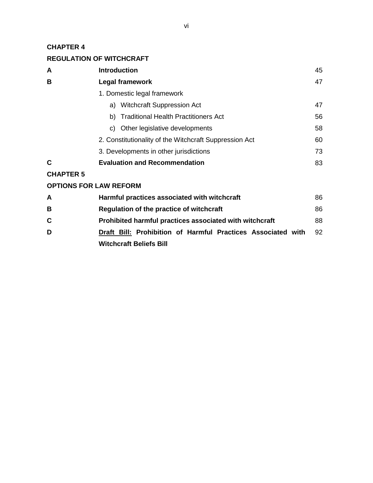### **CHAPTER 4**

### **REGULATION OF WITCHCRAFT**

| A                | <b>Introduction</b>                                    | 45 |
|------------------|--------------------------------------------------------|----|
| в                | <b>Legal framework</b>                                 | 47 |
|                  | 1. Domestic legal framework                            |    |
|                  | a) Witchcraft Suppression Act                          | 47 |
|                  | b) Traditional Health Practitioners Act                | 56 |
|                  | c) Other legislative developments                      | 58 |
|                  | 2. Constitutionality of the Witchcraft Suppression Act | 60 |
|                  | 3. Developments in other jurisdictions                 | 73 |
| C                | <b>Evaluation and Recommendation</b>                   | 83 |
| <b>CHAPTER 5</b> |                                                        |    |
|                  | <b>OPTIONS FOR LAW REFORM</b>                          |    |
| $\mathbf{A}$     | Hormful proofices coossisted with witchoreft           | oς |

| A  | Harmful practices associated with witchcraft                 | 86 |  |
|----|--------------------------------------------------------------|----|--|
| B  | Regulation of the practice of witchcraft                     |    |  |
| C. | Prohibited harmful practices associated with witchcraft      | 88 |  |
| D  | Draft Bill: Prohibition of Harmful Practices Associated with | 92 |  |
|    | <b>Witchcraft Beliefs Bill</b>                               |    |  |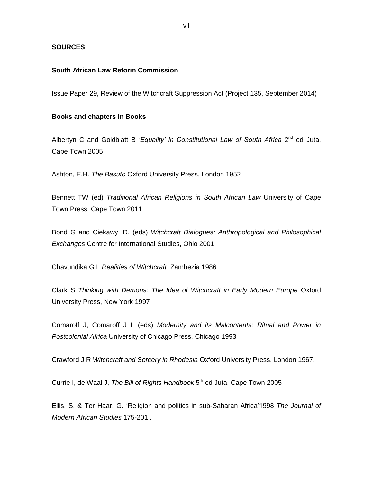#### **SOURCES**

### **South African Law Reform Commission**

Issue Paper 29, Review of the Witchcraft Suppression Act (Project 135, September 2014)

#### **Books and chapters in Books**

Albertyn C and Goldblatt B 'Equality' in Constitutional Law of South Africa 2<sup>nd</sup> ed Juta, Cape Town 2005

Ashton, E.H. *The Basuto* Oxford University Press, London 1952

Bennett TW (ed) *Traditional African Religions in South African Law* University of Cape Town Press, Cape Town 2011

Bond G and Ciekawy, D. (eds) *Witchcraft Dialogues: Anthropological and Philosophical Exchanges* Centre for International Studies, Ohio 2001

Chavundika G L *Realities of Witchcraft* Zambezia 1986

Clark S *Thinking with Demons: The Idea of Witchcraft in Early Modern Europe* Oxford University Press, New York 1997

Comaroff J, Comaroff J L (eds) *Modernity and its Malcontents: Ritual and Power in Postcolonial Africa* University of Chicago Press, Chicago 1993

Crawford J R *Witchcraft and Sorcery in Rhodesia* Oxford University Press, London 1967.

Currie I, de Waal J, *The Bill of Rights Handbook* 5 th ed Juta, Cape Town 2005

Ellis, S. & Ter Haar, G. "Religion and politics in sub-Saharan Africa"1998 *The Journal of Modern African Studies* 175-201 .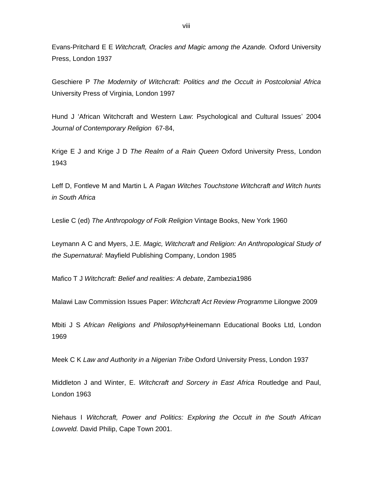Evans-Pritchard E E *Witchcraft, Oracles and Magic among the Azande.* Oxford University Press, London 1937

Geschiere P *The Modernity of Witchcraft: Politics and the Occult in Postcolonial Africa* University Press of Virginia, London 1997

Hund J 'African Witchcraft and Western Law: Psychological and Cultural Issues' 2004 *Journal of Contemporary Religion* 67-84,

Krige E J and Krige J D *The Realm of a Rain Queen* Oxford University Press, London 1943

Leff D, Fontleve M and Martin L A *Pagan Witches Touchstone Witchcraft and Witch hunts in South Africa*

Leslie C (ed) *The Anthropology of Folk Religion* Vintage Books, New York 1960

Leymann A C and Myers, J.E. *Magic, Witchcraft and Religion: An Anthropological Study of the Supernatural*: Mayfield Publishing Company, London 1985

Mafico T J *Witchcraft: Belief and realities: A debate*, Zambezia1986

Malawi Law Commission Issues Paper: *Witchcraft Act Review Programme* Lilongwe 2009

Mbiti J S *African Religions and Philosophy*Heinemann Educational Books Ltd, London 1969

Meek C K *Law and Authority in a Nigerian Tribe* Oxford University Press, London 1937

Middleton J and Winter, E. *Witchcraft and Sorcery in East Africa* Routledge and Paul, London 1963

Niehaus I *Witchcraft, Power and Politics: Exploring the Occult in the South African Lowveld.* David Philip, Cape Town 2001.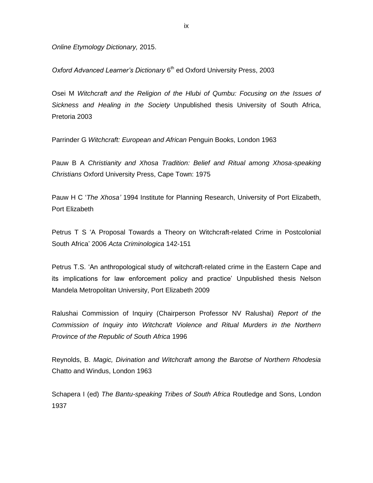*Online Etymology Dictionary,* 2015.

Oxford Advanced Learner's Dictionary 6<sup>th</sup> ed Oxford University Press, 2003

Osei M *Witchcraft and the Religion of the Hlubi of Qumbu: Focusing on the Issues of Sickness and Healing in the Society* Unpublished thesis University of South Africa, Pretoria 2003

Parrinder G *Witchcraft: European and African* Penguin Books, London 1963

Pauw B A *Christianity and Xhosa Tradition: Belief and Ritual among Xhosa-speaking Christians* Oxford University Press, Cape Town: 1975

Pauw H C "*The Xhosa'* 1994 Institute for Planning Research, University of Port Elizabeth, Port Elizabeth

Petrus T S 'A Proposal Towards a Theory on Witchcraft-related Crime in Postcolonial South Africa" 2006 *Acta Criminologica* 142-151

Petrus T.S. "An anthropological study of witchcraft-related crime in the Eastern Cape and its implications for law enforcement policy and practice" Unpublished thesis Nelson Mandela Metropolitan University, Port Elizabeth 2009

Ralushai Commission of Inquiry (Chairperson Professor NV Ralushai) *Report of the Commission of Inquiry into Witchcraft Violence and Ritual Murders in the Northern Province of the Republic of South Africa* 1996

Reynolds, B. *Magic, Divination and Witchcraft among the Barotse of Northern Rhodesia* Chatto and Windus, London 1963

Schapera I (ed) *The Bantu-speaking Tribes of South Africa* Routledge and Sons, London 1937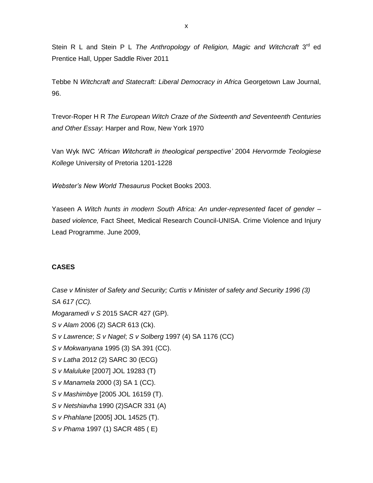Stein R L and Stein P L The Anthropology of Religion, Magic and Witchcraft 3<sup>rd</sup> ed Prentice Hall, Upper Saddle River 2011

Tebbe N *Witchcraft and Statecraft: Liberal Democracy in Africa* Georgetown Law Journal, 96.

Trevor-Roper H R *The European Witch Craze of the Sixteenth and Seventeenth Centuries and Other Essay*: Harper and Row, New York 1970

Van Wyk IWC *'African Witchcraft in theological perspective'* 2004 *Hervormde Teologiese Kollege* University of Pretoria 1201-1228

*Webster's New World Thesaurus* Pocket Books 2003.

Yaseen A *Witch hunts in modern South Africa: An under-represented facet of gender – based violence,* Fact Sheet, Medical Research Council-UNISA. Crime Violence and Injury Lead Programme. June 2009,

### **CASES**

*Case v Minister of Safety and Security; Curtis v Minister of safety and Security 1996 (3)* 

*SA 617 (CC).*

- *Mogaramedi v S* 2015 SACR 427 (GP).
- *S v Alam* 2006 (2) SACR 613 (Ck).
- *S v Lawrence*; *S v Nagel*; *S v Solberg* 1997 (4) SA 1176 (CC)
- *S v Mokwanyana* 1995 (3) SA 391 (CC).
- *S v Latha* 2012 (2) SARC 30 (ECG)
- *S v Maluluke* [2007] JOL 19283 (T)
- *S v Manamela* 2000 (3) SA 1 (CC).
- *S v Mashimbye* [2005 JOL 16159 (T).
- *S v Netshiavha* 1990 (2)SACR 331 (A)
- *S v Phahlane* [2005] JOL 14525 (T).
- *S v Phama* 1997 (1) SACR 485 ( E)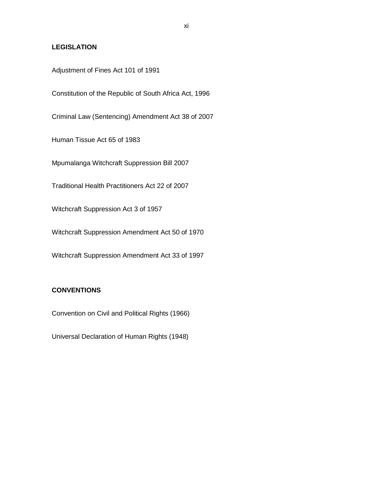### **LEGISLATION**

Adjustment of Fines Act 101 of 1991

Constitution of the Republic of South Africa Act, 1996

Criminal Law (Sentencing) Amendment Act 38 of 2007

Human Tissue Act 65 of 1983

Mpumalanga Witchcraft Suppression Bill 2007

Traditional Health Practitioners Act 22 of 2007

Witchcraft Suppression Act 3 of 1957

Witchcraft Suppression Amendment Act 50 of 1970

Witchcraft Suppression Amendment Act 33 of 1997

### **CONVENTIONS**

Convention on Civil and Political Rights (1966)

Universal Declaration of Human Rights (1948)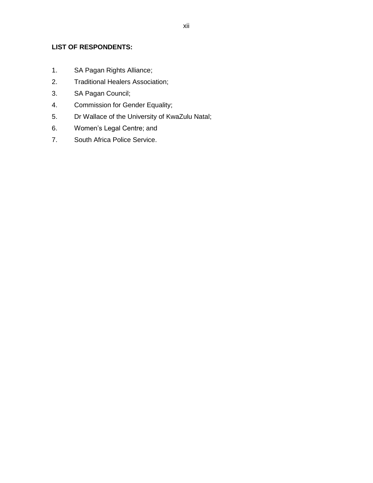### **LIST OF RESPONDENTS:**

- 1. SA Pagan Rights Alliance;
- 2. Traditional Healers Association;
- 3. SA Pagan Council;
- 4. Commission for Gender Equality;
- 5. Dr Wallace of the University of KwaZulu Natal;
- 6. Women"s Legal Centre; and
- 7. South Africa Police Service.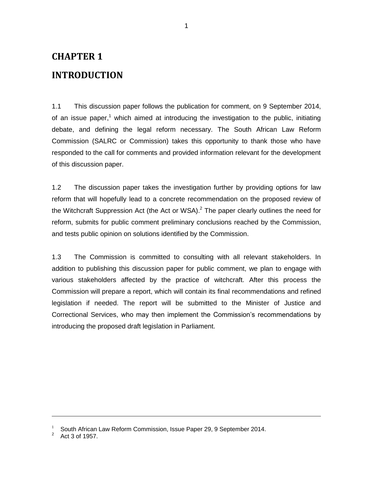# **CHAPTER 1**

## **INTRODUCTION**

1.1 This discussion paper follows the publication for comment, on 9 September 2014, of an issue paper,<sup>1</sup> which aimed at introducing the investigation to the public, initiating debate, and defining the legal reform necessary. The South African Law Reform Commission (SALRC or Commission) takes this opportunity to thank those who have responded to the call for comments and provided information relevant for the development of this discussion paper.

1.2 The discussion paper takes the investigation further by providing options for law reform that will hopefully lead to a concrete recommendation on the proposed review of the Witchcraft Suppression Act (the Act or WSA).<sup>2</sup> The paper clearly outlines the need for reform, submits for public comment preliminary conclusions reached by the Commission, and tests public opinion on solutions identified by the Commission.

1.3 The Commission is committed to consulting with all relevant stakeholders. In addition to publishing this discussion paper for public comment, we plan to engage with various stakeholders affected by the practice of witchcraft. After this process the Commission will prepare a report, which will contain its final recommendations and refined legislation if needed. The report will be submitted to the Minister of Justice and Correctional Services, who may then implement the Commission"s recommendations by introducing the proposed draft legislation in Parliament.

<sup>1</sup> South African Law Reform Commission, Issue Paper 29, 9 September 2014.

<sup>2</sup> Act 3 of 1957.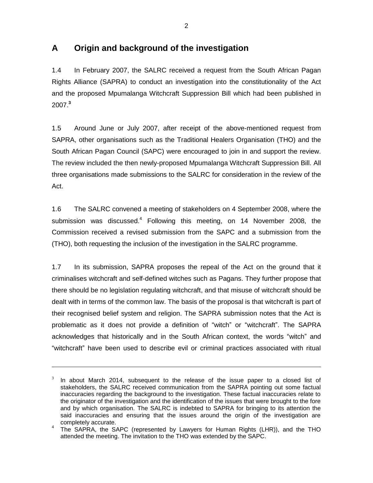# **A Origin and background of the investigation**

1.4 In February 2007, the SALRC received a request from the South African Pagan Rights Alliance (SAPRA) to conduct an investigation into the constitutionality of the Act and the proposed Mpumalanga Witchcraft Suppression Bill which had been published in 2007. **3**

1.5 Around June or July 2007, after receipt of the above-mentioned request from SAPRA, other organisations such as the Traditional Healers Organisation (THO) and the South African Pagan Council (SAPC) were encouraged to join in and support the review. The review included the then newly-proposed Mpumalanga Witchcraft Suppression Bill. All three organisations made submissions to the SALRC for consideration in the review of the Act.

1.6 The SALRC convened a meeting of stakeholders on 4 September 2008, where the submission was discussed.<sup>4</sup> Following this meeting, on 14 November 2008, the Commission received a revised submission from the SAPC and a submission from the (THO), both requesting the inclusion of the investigation in the SALRC programme.

1.7 In its submission, SAPRA proposes the repeal of the Act on the ground that it criminalises witchcraft and self-defined witches such as Pagans. They further propose that there should be no legislation regulating witchcraft, and that misuse of witchcraft should be dealt with in terms of the common law. The basis of the proposal is that witchcraft is part of their recognised belief system and religion. The SAPRA submission notes that the Act is problematic as it does not provide a definition of "witch" or "witchcraft". The SAPRA acknowledges that historically and in the South African context, the words "witch" and "witchcraft" have been used to describe evil or criminal practices associated with ritual

<sup>3</sup> In about March 2014, subsequent to the release of the issue paper to a closed list of stakeholders, the SALRC received communication from the SAPRA pointing out some factual inaccuracies regarding the background to the investigation. These factual inaccuracies relate to the originator of the investigation and the identification of the issues that were brought to the fore and by which organisation. The SALRC is indebted to SAPRA for bringing to its attention the said inaccuracies and ensuring that the issues around the origin of the investigation are completely accurate.

<sup>4</sup> The SAPRA, the SAPC (represented by Lawyers for Human Rights (LHR)), and the THO attended the meeting. The invitation to the THO was extended by the SAPC.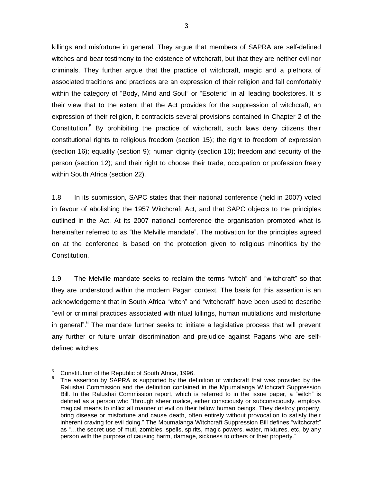killings and misfortune in general. They argue that members of SAPRA are self-defined witches and bear testimony to the existence of witchcraft, but that they are neither evil nor criminals. They further argue that the practice of witchcraft, magic and a plethora of associated traditions and practices are an expression of their religion and fall comfortably within the category of "Body, Mind and Soul" or "Esoteric" in all leading bookstores. It is their view that to the extent that the Act provides for the suppression of witchcraft, an expression of their religion, it contradicts several provisions contained in Chapter 2 of the Constitution.<sup>5</sup> By prohibiting the practice of witchcraft, such laws deny citizens their constitutional rights to religious freedom (section 15); the right to freedom of expression (section 16); equality (section 9); human dignity (section 10); freedom and security of the person (section 12); and their right to choose their trade, occupation or profession freely within South Africa (section 22).

1.8 In its submission, SAPC states that their national conference (held in 2007) voted in favour of abolishing the 1957 Witchcraft Act, and that SAPC objects to the principles outlined in the Act. At its 2007 national conference the organisation promoted what is hereinafter referred to as "the Melville mandate". The motivation for the principles agreed on at the conference is based on the protection given to religious minorities by the Constitution.

1.9 The Melville mandate seeks to reclaim the terms "witch" and "witchcraft" so that they are understood within the modern Pagan context. The basis for this assertion is an acknowledgement that in South Africa "witch" and "witchcraft" have been used to describe "evil or criminal practices associated with ritual killings, human mutilations and misfortune in general".<sup>6</sup> The mandate further seeks to initiate a legislative process that will prevent any further or future unfair discrimination and prejudice against Pagans who are selfdefined witches.

<sup>5</sup> Constitution of the Republic of South Africa, 1996.

<sup>6</sup> The assertion by SAPRA is supported by the definition of witchcraft that was provided by the Ralushai Commission and the definition contained in the Mpumalanga Witchcraft Suppression Bill. In the Ralushai Commission report, which is referred to in the issue paper, a "witch" is defined as a person who "through sheer malice, either consciously or subconsciously, employs magical means to inflict all manner of evil on their fellow human beings. They destroy property, bring disease or misfortune and cause death, often entirely without provocation to satisfy their inherent craving for evil doing." The Mpumalanga Witchcraft Suppression Bill defines "witchcraft" as "…the secret use of muti, zombies, spells, spirits, magic powers, water, mixtures, etc, by any person with the purpose of causing harm, damage, sickness to others or their property."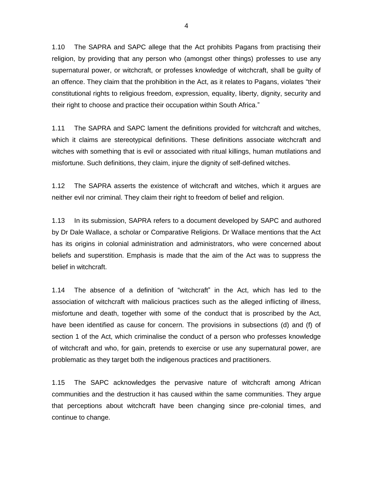1.10 The SAPRA and SAPC allege that the Act prohibits Pagans from practising their religion, by providing that any person who (amongst other things) professes to use any supernatural power, or witchcraft, or professes knowledge of witchcraft, shall be guilty of an offence. They claim that the prohibition in the Act, as it relates to Pagans, violates "their constitutional rights to religious freedom, expression, equality, liberty, dignity, security and their right to choose and practice their occupation within South Africa."

1.11 The SAPRA and SAPC lament the definitions provided for witchcraft and witches, which it claims are stereotypical definitions. These definitions associate witchcraft and witches with something that is evil or associated with ritual killings, human mutilations and misfortune. Such definitions, they claim, injure the dignity of self-defined witches.

1.12 The SAPRA asserts the existence of witchcraft and witches, which it argues are neither evil nor criminal. They claim their right to freedom of belief and religion.

1.13 In its submission, SAPRA refers to a document developed by SAPC and authored by Dr Dale Wallace, a scholar or Comparative Religions. Dr Wallace mentions that the Act has its origins in colonial administration and administrators, who were concerned about beliefs and superstition. Emphasis is made that the aim of the Act was to suppress the belief in witchcraft.

1.14 The absence of a definition of "witchcraft" in the Act, which has led to the association of witchcraft with malicious practices such as the alleged inflicting of illness, misfortune and death, together with some of the conduct that is proscribed by the Act, have been identified as cause for concern. The provisions in subsections (d) and (f) of section 1 of the Act, which criminalise the conduct of a person who professes knowledge of witchcraft and who, for gain, pretends to exercise or use any supernatural power, are problematic as they target both the indigenous practices and practitioners.

1.15 The SAPC acknowledges the pervasive nature of witchcraft among African communities and the destruction it has caused within the same communities. They argue that perceptions about witchcraft have been changing since pre-colonial times, and continue to change.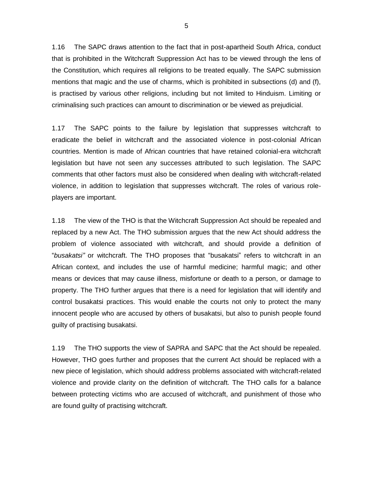1.16 The SAPC draws attention to the fact that in post-apartheid South Africa, conduct that is prohibited in the Witchcraft Suppression Act has to be viewed through the lens of the Constitution, which requires all religions to be treated equally. The SAPC submission mentions that magic and the use of charms, which is prohibited in subsections (d) and (f), is practised by various other religions, including but not limited to Hinduism. Limiting or criminalising such practices can amount to discrimination or be viewed as prejudicial.

1.17 The SAPC points to the failure by legislation that suppresses witchcraft to eradicate the belief in witchcraft and the associated violence in post-colonial African countries. Mention is made of African countries that have retained colonial-era witchcraft legislation but have not seen any successes attributed to such legislation. The SAPC comments that other factors must also be considered when dealing with witchcraft-related violence, in addition to legislation that suppresses witchcraft. The roles of various roleplayers are important.

1.18 The view of the THO is that the Witchcraft Suppression Act should be repealed and replaced by a new Act. The THO submission argues that the new Act should address the problem of violence associated with witchcraft, and should provide a definition of "*busakatsi"* or witchcraft. The THO proposes that "busakatsi" refers to witchcraft in an African context, and includes the use of harmful medicine; harmful magic; and other means or devices that may cause illness, misfortune or death to a person, or damage to property. The THO further argues that there is a need for legislation that will identify and control busakatsi practices. This would enable the courts not only to protect the many innocent people who are accused by others of busakatsi, but also to punish people found guilty of practising busakatsi.

1.19 The THO supports the view of SAPRA and SAPC that the Act should be repealed. However, THO goes further and proposes that the current Act should be replaced with a new piece of legislation, which should address problems associated with witchcraft-related violence and provide clarity on the definition of witchcraft. The THO calls for a balance between protecting victims who are accused of witchcraft, and punishment of those who are found guilty of practising witchcraft.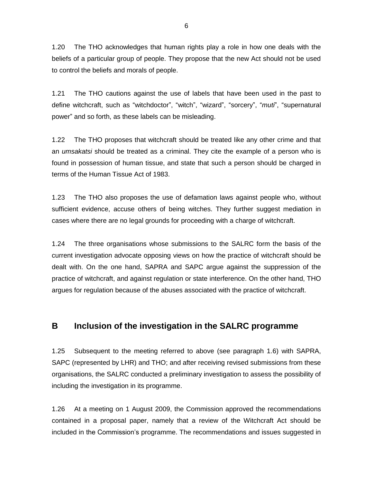1.20 The THO acknowledges that human rights play a role in how one deals with the beliefs of a particular group of people. They propose that the new Act should not be used to control the beliefs and morals of people.

1.21 The THO cautions against the use of labels that have been used in the past to define witchcraft, such as "witchdoctor", "witch", "wizard", "sorcery", "*muti*", "supernatural power" and so forth, as these labels can be misleading.

1.22 The THO proposes that witchcraft should be treated like any other crime and that an *umsakatsi* should be treated as a criminal. They cite the example of a person who is found in possession of human tissue, and state that such a person should be charged in terms of the Human Tissue Act of 1983.

1.23 The THO also proposes the use of defamation laws against people who, without sufficient evidence, accuse others of being witches. They further suggest mediation in cases where there are no legal grounds for proceeding with a charge of witchcraft.

1.24 The three organisations whose submissions to the SALRC form the basis of the current investigation advocate opposing views on how the practice of witchcraft should be dealt with. On the one hand, SAPRA and SAPC argue against the suppression of the practice of witchcraft, and against regulation or state interference. On the other hand, THO argues for regulation because of the abuses associated with the practice of witchcraft.

### **B Inclusion of the investigation in the SALRC programme**

1.25 Subsequent to the meeting referred to above (see paragraph 1.6) with SAPRA, SAPC (represented by LHR) and THO; and after receiving revised submissions from these organisations, the SALRC conducted a preliminary investigation to assess the possibility of including the investigation in its programme.

1.26 At a meeting on 1 August 2009, the Commission approved the recommendations contained in a proposal paper, namely that a review of the Witchcraft Act should be included in the Commission's programme. The recommendations and issues suggested in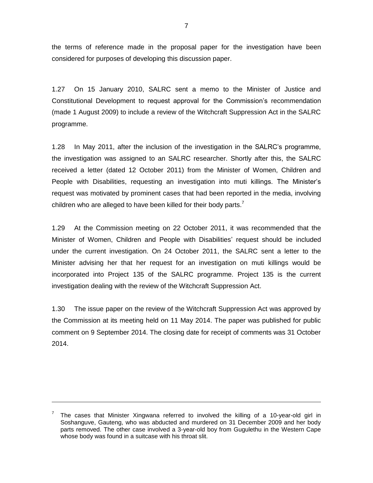the terms of reference made in the proposal paper for the investigation have been considered for purposes of developing this discussion paper.

1.27 On 15 January 2010, SALRC sent a memo to the Minister of Justice and Constitutional Development to request approval for the Commission's recommendation (made 1 August 2009) to include a review of the Witchcraft Suppression Act in the SALRC programme.

1.28 In May 2011, after the inclusion of the investigation in the SALRC"s programme, the investigation was assigned to an SALRC researcher. Shortly after this, the SALRC received a letter (dated 12 October 2011) from the Minister of Women, Children and People with Disabilities, requesting an investigation into muti killings. The Minister"s request was motivated by prominent cases that had been reported in the media, involving children who are alleged to have been killed for their body parts.<sup>7</sup>

1.29 At the Commission meeting on 22 October 2011, it was recommended that the Minister of Women, Children and People with Disabilities" request should be included under the current investigation. On 24 October 2011, the SALRC sent a letter to the Minister advising her that her request for an investigation on muti killings would be incorporated into Project 135 of the SALRC programme. Project 135 is the current investigation dealing with the review of the Witchcraft Suppression Act.

1.30 The issue paper on the review of the Witchcraft Suppression Act was approved by the Commission at its meeting held on 11 May 2014. The paper was published for public comment on 9 September 2014. The closing date for receipt of comments was 31 October 2014.

 $7$  The cases that Minister Xingwana referred to involved the killing of a 10-year-old girl in Soshanguve, Gauteng, who was abducted and murdered on 31 December 2009 and her body parts removed. The other case involved a 3-year-old boy from Gugulethu in the Western Cape whose body was found in a suitcase with his throat slit.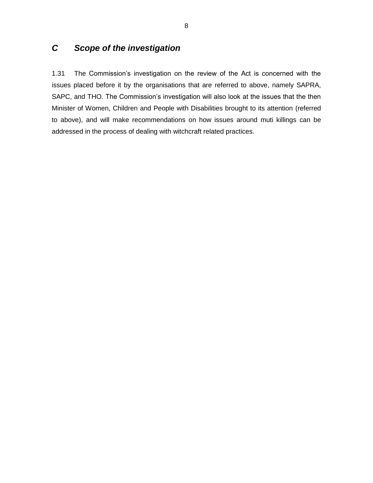# *C Scope of the investigation*

1.31 The Commission"s investigation on the review of the Act is concerned with the issues placed before it by the organisations that are referred to above, namely SAPRA, SAPC, and THO. The Commission's investigation will also look at the issues that the then Minister of Women, Children and People with Disabilities brought to its attention (referred to above), and will make recommendations on how issues around muti killings can be addressed in the process of dealing with witchcraft related practices.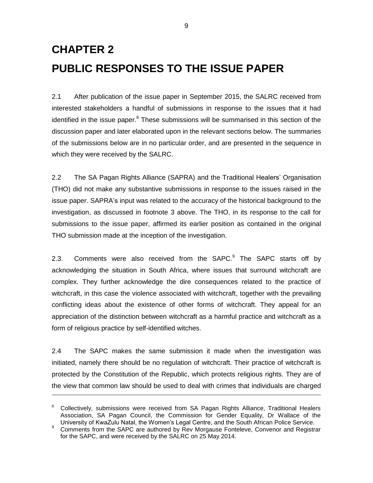# **CHAPTER 2 PUBLIC RESPONSES TO THE ISSUE PAPER**

2.1 After publication of the issue paper in September 2015, the SALRC received from interested stakeholders a handful of submissions in response to the issues that it had identified in the issue paper.<sup>8</sup> These submissions will be summarised in this section of the discussion paper and later elaborated upon in the relevant sections below. The summaries of the submissions below are in no particular order, and are presented in the sequence in which they were received by the SALRC.

2.2 The SA Pagan Rights Alliance (SAPRA) and the Traditional Healers" Organisation (THO) did not make any substantive submissions in response to the issues raised in the issue paper. SAPRA's input was related to the accuracy of the historical background to the investigation, as discussed in footnote 3 above. The THO, in its response to the call for submissions to the issue paper, affirmed its earlier position as contained in the original THO submission made at the inception of the investigation.

2.3. Comments were also received from the SAPC.<sup>9</sup> The SAPC starts off by acknowledging the situation in South Africa, where issues that surround witchcraft are complex. They further acknowledge the dire consequences related to the practice of witchcraft, in this case the violence associated with witchcraft, together with the prevailing conflicting ideas about the existence of other forms of witchcraft. They appeal for an appreciation of the distinction between witchcraft as a harmful practice and witchcraft as a form of religious practice by self-identified witches.

2.4 The SAPC makes the same submission it made when the investigation was initiated, namely there should be no regulation of witchcraft. Their practice of witchcraft is protected by the Constitution of the Republic, which protects religious rights. They are of the view that common law should be used to deal with crimes that individuals are charged

<sup>&</sup>lt;sup>8</sup> Collectively, submissions were received from SA Pagan Rights Alliance, Traditional Healers Association, SA Pagan Council, the Commission for Gender Equality, Dr Wallace of the University of KwaZulu Natal, the Women"s Legal Centre, and the South African Police Service.

<sup>&</sup>lt;sup>9</sup> Comments from the SAPC are authored by Rev Morgause Fonteleve, Convenor and Registrar for the SAPC, and were received by the SALRC on 25 May 2014.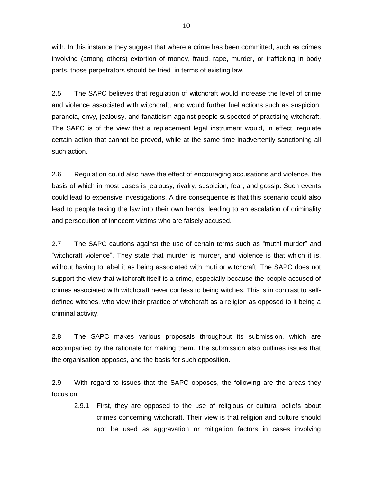with. In this instance they suggest that where a crime has been committed, such as crimes involving (among others) extortion of money, fraud, rape, murder, or trafficking in body parts, those perpetrators should be tried in terms of existing law.

2.5 The SAPC believes that regulation of witchcraft would increase the level of crime and violence associated with witchcraft, and would further fuel actions such as suspicion, paranoia, envy, jealousy, and fanaticism against people suspected of practising witchcraft. The SAPC is of the view that a replacement legal instrument would, in effect, regulate certain action that cannot be proved, while at the same time inadvertently sanctioning all such action.

2.6 Regulation could also have the effect of encouraging accusations and violence, the basis of which in most cases is jealousy, rivalry, suspicion, fear, and gossip. Such events could lead to expensive investigations. A dire consequence is that this scenario could also lead to people taking the law into their own hands, leading to an escalation of criminality and persecution of innocent victims who are falsely accused.

2.7 The SAPC cautions against the use of certain terms such as "muthi murder" and "witchcraft violence". They state that murder is murder, and violence is that which it is, without having to label it as being associated with muti or witchcraft. The SAPC does not support the view that witchcraft itself is a crime, especially because the people accused of crimes associated with witchcraft never confess to being witches. This is in contrast to selfdefined witches, who view their practice of witchcraft as a religion as opposed to it being a criminal activity.

2.8 The SAPC makes various proposals throughout its submission, which are accompanied by the rationale for making them. The submission also outlines issues that the organisation opposes, and the basis for such opposition.

2.9 With regard to issues that the SAPC opposes, the following are the areas they focus on:

2.9.1 First, they are opposed to the use of religious or cultural beliefs about crimes concerning witchcraft. Their view is that religion and culture should not be used as aggravation or mitigation factors in cases involving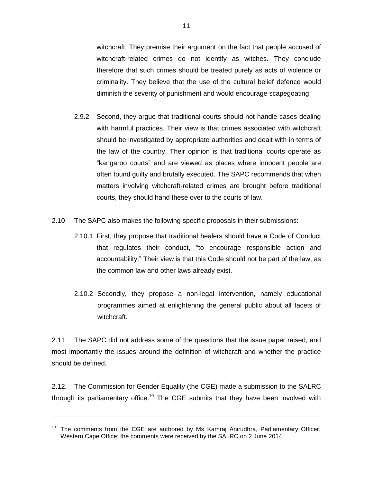witchcraft. They premise their argument on the fact that people accused of witchcraft-related crimes do not identify as witches. They conclude therefore that such crimes should be treated purely as acts of violence or criminality. They believe that the use of the cultural belief defence would diminish the severity of punishment and would encourage scapegoating.

- 2.9.2 Second, they argue that traditional courts should not handle cases dealing with harmful practices. Their view is that crimes associated with witchcraft should be investigated by appropriate authorities and dealt with in terms of the law of the country. Their opinion is that traditional courts operate as "kangaroo courts" and are viewed as places where innocent people are often found guilty and brutally executed. The SAPC recommends that when matters involving witchcraft-related crimes are brought before traditional courts, they should hand these over to the courts of law.
- 2.10 The SAPC also makes the following specific proposals in their submissions:
	- 2.10.1 First, they propose that traditional healers should have a Code of Conduct that regulates their conduct, "to encourage responsible action and accountability." Their view is that this Code should not be part of the law, as the common law and other laws already exist.
	- 2.10.2 Secondly, they propose a non-legal intervention, namely educational programmes aimed at enlightening the general public about all facets of witchcraft.

2.11 The SAPC did not address some of the questions that the issue paper raised, and most importantly the issues around the definition of witchcraft and whether the practice should be defined.

2.12. The Commission for Gender Equality (the CGE) made a submission to the SALRC through its parliamentary office.<sup>10</sup> The CGE submits that they have been involved with

 $10$  The comments from the CGE are authored by Ms Kamraj Anirudhra, Parliamentary Officer, Western Cape Office; the comments were received by the SALRC on 2 June 2014.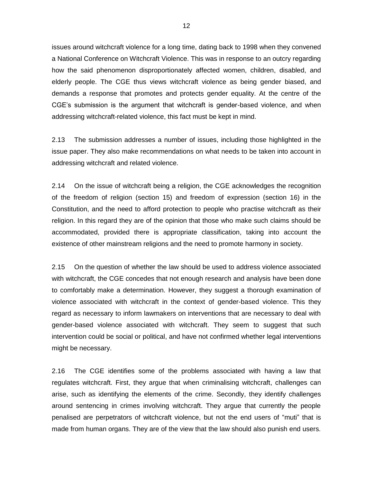issues around witchcraft violence for a long time, dating back to 1998 when they convened a National Conference on Witchcraft Violence. This was in response to an outcry regarding how the said phenomenon disproportionately affected women, children, disabled, and elderly people. The CGE thus views witchcraft violence as being gender biased, and demands a response that promotes and protects gender equality. At the centre of the CGE"s submission is the argument that witchcraft is gender-based violence, and when addressing witchcraft-related violence, this fact must be kept in mind.

2.13 The submission addresses a number of issues, including those highlighted in the issue paper. They also make recommendations on what needs to be taken into account in addressing witchcraft and related violence.

2.14 On the issue of witchcraft being a religion, the CGE acknowledges the recognition of the freedom of religion (section 15) and freedom of expression (section 16) in the Constitution, and the need to afford protection to people who practise witchcraft as their religion. In this regard they are of the opinion that those who make such claims should be accommodated, provided there is appropriate classification, taking into account the existence of other mainstream religions and the need to promote harmony in society.

2.15 On the question of whether the law should be used to address violence associated with witchcraft, the CGE concedes that not enough research and analysis have been done to comfortably make a determination. However, they suggest a thorough examination of violence associated with witchcraft in the context of gender-based violence. This they regard as necessary to inform lawmakers on interventions that are necessary to deal with gender-based violence associated with witchcraft. They seem to suggest that such intervention could be social or political, and have not confirmed whether legal interventions might be necessary.

2.16 The CGE identifies some of the problems associated with having a law that regulates witchcraft. First, they argue that when criminalising witchcraft, challenges can arise, such as identifying the elements of the crime. Secondly, they identify challenges around sentencing in crimes involving witchcraft. They argue that currently the people penalised are perpetrators of witchcraft violence, but not the end users of "muti" that is made from human organs. They are of the view that the law should also punish end users.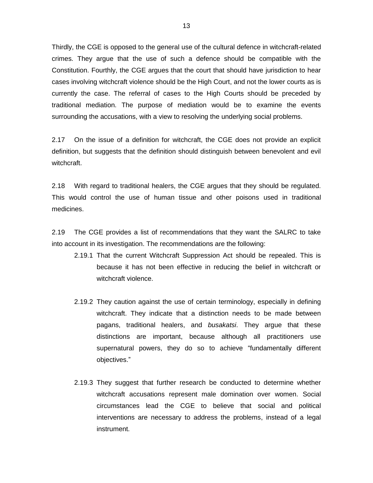Thirdly, the CGE is opposed to the general use of the cultural defence in witchcraft-related crimes. They argue that the use of such a defence should be compatible with the Constitution. Fourthly, the CGE argues that the court that should have jurisdiction to hear cases involving witchcraft violence should be the High Court, and not the lower courts as is currently the case. The referral of cases to the High Courts should be preceded by traditional mediation. The purpose of mediation would be to examine the events surrounding the accusations, with a view to resolving the underlying social problems.

2.17 On the issue of a definition for witchcraft, the CGE does not provide an explicit definition, but suggests that the definition should distinguish between benevolent and evil witchcraft.

2.18 With regard to traditional healers, the CGE argues that they should be regulated. This would control the use of human tissue and other poisons used in traditional medicines.

2.19 The CGE provides a list of recommendations that they want the SALRC to take into account in its investigation. The recommendations are the following:

- 2.19.1 That the current Witchcraft Suppression Act should be repealed. This is because it has not been effective in reducing the belief in witchcraft or witchcraft violence.
- 2.19.2 They caution against the use of certain terminology, especially in defining witchcraft. They indicate that a distinction needs to be made between pagans, traditional healers, and *busakatsi*. They argue that these distinctions are important, because although all practitioners use supernatural powers, they do so to achieve "fundamentally different objectives."
- 2.19.3 They suggest that further research be conducted to determine whether witchcraft accusations represent male domination over women. Social circumstances lead the CGE to believe that social and political interventions are necessary to address the problems, instead of a legal instrument.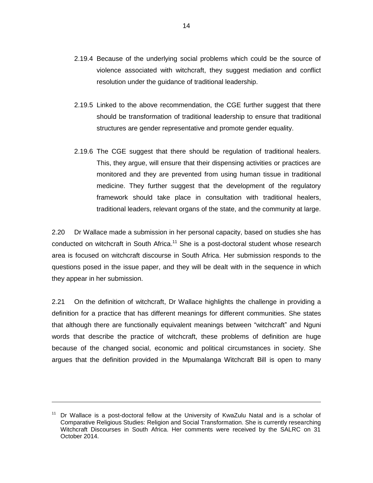- 2.19.4 Because of the underlying social problems which could be the source of violence associated with witchcraft, they suggest mediation and conflict resolution under the guidance of traditional leadership.
- 2.19.5 Linked to the above recommendation, the CGE further suggest that there should be transformation of traditional leadership to ensure that traditional structures are gender representative and promote gender equality.
- 2.19.6 The CGE suggest that there should be regulation of traditional healers. This, they argue, will ensure that their dispensing activities or practices are monitored and they are prevented from using human tissue in traditional medicine. They further suggest that the development of the regulatory framework should take place in consultation with traditional healers, traditional leaders, relevant organs of the state, and the community at large.

2.20 Dr Wallace made a submission in her personal capacity, based on studies she has conducted on witchcraft in South Africa.<sup>11</sup> She is a post-doctoral student whose research area is focused on witchcraft discourse in South Africa. Her submission responds to the questions posed in the issue paper, and they will be dealt with in the sequence in which they appear in her submission.

2.21 On the definition of witchcraft, Dr Wallace highlights the challenge in providing a definition for a practice that has different meanings for different communities. She states that although there are functionally equivalent meanings between "witchcraft" and Nguni words that describe the practice of witchcraft, these problems of definition are huge because of the changed social, economic and political circumstances in society. She argues that the definition provided in the Mpumalanga Witchcraft Bill is open to many

<sup>&</sup>lt;sup>11</sup> Dr Wallace is a post-doctoral fellow at the University of KwaZulu Natal and is a scholar of Comparative Religious Studies: Religion and Social Transformation. She is currently researching Witchcraft Discourses in South Africa. Her comments were received by the SALRC on 31 October 2014.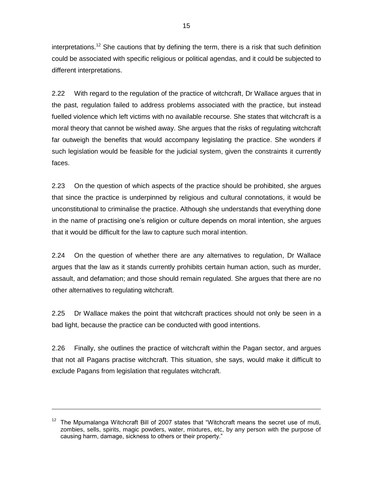interpretations.<sup>12</sup> She cautions that by defining the term, there is a risk that such definition could be associated with specific religious or political agendas, and it could be subjected to different interpretations.

2.22 With regard to the regulation of the practice of witchcraft, Dr Wallace argues that in the past, regulation failed to address problems associated with the practice, but instead fuelled violence which left victims with no available recourse. She states that witchcraft is a moral theory that cannot be wished away. She argues that the risks of regulating witchcraft far outweigh the benefits that would accompany legislating the practice. She wonders if such legislation would be feasible for the judicial system, given the constraints it currently faces.

2.23 On the question of which aspects of the practice should be prohibited, she argues that since the practice is underpinned by religious and cultural connotations, it would be unconstitutional to criminalise the practice. Although she understands that everything done in the name of practising one"s religion or culture depends on moral intention, she argues that it would be difficult for the law to capture such moral intention.

2.24 On the question of whether there are any alternatives to regulation, Dr Wallace argues that the law as it stands currently prohibits certain human action, such as murder, assault, and defamation; and those should remain regulated. She argues that there are no other alternatives to regulating witchcraft.

2.25 Dr Wallace makes the point that witchcraft practices should not only be seen in a bad light, because the practice can be conducted with good intentions.

2.26 Finally, she outlines the practice of witchcraft within the Pagan sector, and argues that not all Pagans practise witchcraft. This situation, she says, would make it difficult to exclude Pagans from legislation that regulates witchcraft.

The Mpumalanga Witchcraft Bill of 2007 states that "Witchcraft means the secret use of muti, zombies, sells, spirits, magic powders, water, mixtures, etc, by any person with the purpose of causing harm, damage, sickness to others or their property."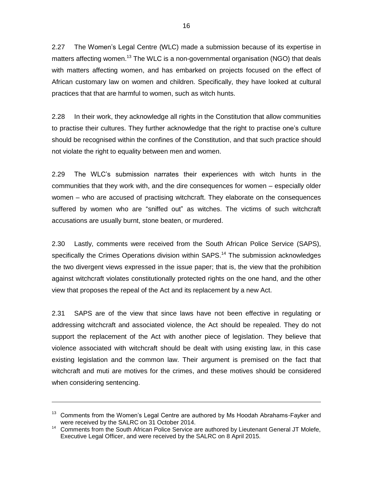2.27 The Women"s Legal Centre (WLC) made a submission because of its expertise in matters affecting women.<sup>13</sup> The WLC is a non-governmental organisation (NGO) that deals with matters affecting women, and has embarked on projects focused on the effect of African customary law on women and children. Specifically, they have looked at cultural practices that that are harmful to women, such as witch hunts.

2.28 In their work, they acknowledge all rights in the Constitution that allow communities to practise their cultures. They further acknowledge that the right to practise one"s culture should be recognised within the confines of the Constitution, and that such practice should not violate the right to equality between men and women.

2.29 The WLC"s submission narrates their experiences with witch hunts in the communities that they work with, and the dire consequences for women – especially older women – who are accused of practising witchcraft. They elaborate on the consequences suffered by women who are "sniffed out" as witches. The victims of such witchcraft accusations are usually burnt, stone beaten, or murdered.

2.30 Lastly, comments were received from the South African Police Service (SAPS), specifically the Crimes Operations division within SAPS.<sup>14</sup> The submission acknowledges the two divergent views expressed in the issue paper; that is, the view that the prohibition against witchcraft violates constitutionally protected rights on the one hand, and the other view that proposes the repeal of the Act and its replacement by a new Act.

2.31 SAPS are of the view that since laws have not been effective in regulating or addressing witchcraft and associated violence, the Act should be repealed. They do not support the replacement of the Act with another piece of legislation. They believe that violence associated with witchcraft should be dealt with using existing law, in this case existing legislation and the common law. Their argument is premised on the fact that witchcraft and muti are motives for the crimes, and these motives should be considered when considering sentencing.

<sup>&</sup>lt;sup>13</sup> Comments from the Women's Legal Centre are authored by Ms Hoodah Abrahams-Fayker and were received by the SALRC on 31 October 2014.

<sup>&</sup>lt;sup>14</sup> Comments from the South African Police Service are authored by Lieutenant General JT Molefe, Executive Legal Officer, and were received by the SALRC on 8 April 2015.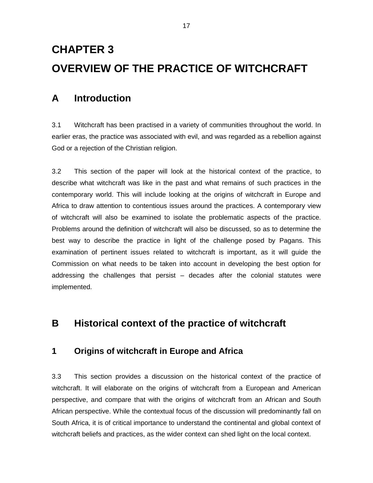# **CHAPTER 3 OVERVIEW OF THE PRACTICE OF WITCHCRAFT**

# **A Introduction**

3.1 Witchcraft has been practised in a variety of communities throughout the world. In earlier eras, the practice was associated with evil, and was regarded as a rebellion against God or a rejection of the Christian religion.

3.2 This section of the paper will look at the historical context of the practice, to describe what witchcraft was like in the past and what remains of such practices in the contemporary world. This will include looking at the origins of witchcraft in Europe and Africa to draw attention to contentious issues around the practices. A contemporary view of witchcraft will also be examined to isolate the problematic aspects of the practice. Problems around the definition of witchcraft will also be discussed, so as to determine the best way to describe the practice in light of the challenge posed by Pagans. This examination of pertinent issues related to witchcraft is important, as it will guide the Commission on what needs to be taken into account in developing the best option for addressing the challenges that persist – decades after the colonial statutes were implemented.

# **B Historical context of the practice of witchcraft**

## **1 Origins of witchcraft in Europe and Africa**

3.3 This section provides a discussion on the historical context of the practice of witchcraft. It will elaborate on the origins of witchcraft from a European and American perspective, and compare that with the origins of witchcraft from an African and South African perspective. While the contextual focus of the discussion will predominantly fall on South Africa, it is of critical importance to understand the continental and global context of witchcraft beliefs and practices, as the wider context can shed light on the local context.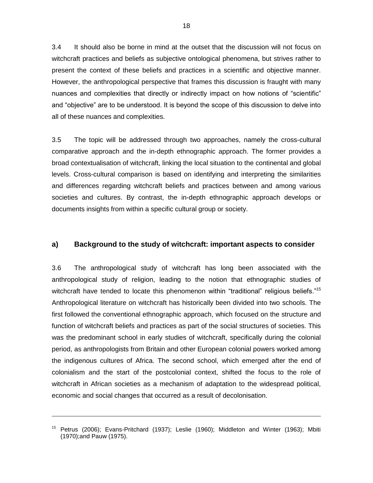3.4 It should also be borne in mind at the outset that the discussion will not focus on witchcraft practices and beliefs as subjective ontological phenomena, but strives rather to present the context of these beliefs and practices in a scientific and objective manner. However, the anthropological perspective that frames this discussion is fraught with many nuances and complexities that directly or indirectly impact on how notions of "scientific" and "objective" are to be understood. It is beyond the scope of this discussion to delve into all of these nuances and complexities.

3.5 The topic will be addressed through two approaches, namely the cross-cultural comparative approach and the in-depth ethnographic approach. The former provides a broad contextualisation of witchcraft, linking the local situation to the continental and global levels. Cross-cultural comparison is based on identifying and interpreting the similarities and differences regarding witchcraft beliefs and practices between and among various societies and cultures. By contrast, the in-depth ethnographic approach develops or documents insights from within a specific cultural group or society.

### **a) Background to the study of witchcraft: important aspects to consider**

3.6 The anthropological study of witchcraft has long been associated with the anthropological study of religion, leading to the notion that ethnographic studies of witchcraft have tended to locate this phenomenon within "traditional" religious beliefs."<sup>15</sup> Anthropological literature on witchcraft has historically been divided into two schools. The first followed the conventional ethnographic approach, which focused on the structure and function of witchcraft beliefs and practices as part of the social structures of societies. This was the predominant school in early studies of witchcraft, specifically during the colonial period, as anthropologists from Britain and other European colonial powers worked among the indigenous cultures of Africa. The second school, which emerged after the end of colonialism and the start of the postcolonial context, shifted the focus to the role of witchcraft in African societies as a mechanism of adaptation to the widespread political, economic and social changes that occurred as a result of decolonisation.

<sup>&</sup>lt;sup>15</sup> Petrus (2006); Evans-Pritchard (1937); Leslie (1960); Middleton and Winter (1963); Mbiti (1970);and Pauw (1975).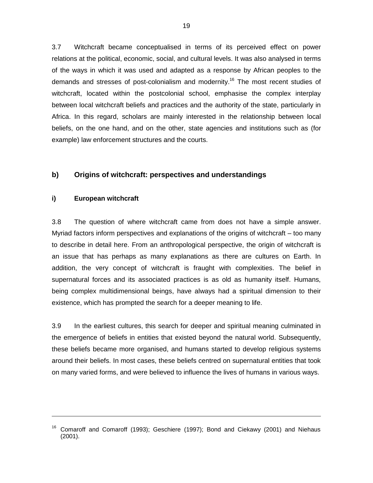3.7 Witchcraft became conceptualised in terms of its perceived effect on power relations at the political, economic, social, and cultural levels. It was also analysed in terms of the ways in which it was used and adapted as a response by African peoples to the demands and stresses of post-colonialism and modernity.<sup>16</sup> The most recent studies of witchcraft, located within the postcolonial school, emphasise the complex interplay between local witchcraft beliefs and practices and the authority of the state, particularly in Africa. In this regard, scholars are mainly interested in the relationship between local beliefs, on the one hand, and on the other, state agencies and institutions such as (for example) law enforcement structures and the courts.

### **b) Origins of witchcraft: perspectives and understandings**

### **i) European witchcraft**

-

3.8 The question of where witchcraft came from does not have a simple answer. Myriad factors inform perspectives and explanations of the origins of witchcraft – too many to describe in detail here. From an anthropological perspective, the origin of witchcraft is an issue that has perhaps as many explanations as there are cultures on Earth. In addition, the very concept of witchcraft is fraught with complexities. The belief in supernatural forces and its associated practices is as old as humanity itself. Humans, being complex multidimensional beings, have always had a spiritual dimension to their existence, which has prompted the search for a deeper meaning to life.

3.9 In the earliest cultures, this search for deeper and spiritual meaning culminated in the emergence of beliefs in entities that existed beyond the natural world. Subsequently, these beliefs became more organised, and humans started to develop religious systems around their beliefs. In most cases, these beliefs centred on supernatural entities that took on many varied forms, and were believed to influence the lives of humans in various ways.

 $16$  Comaroff and Comaroff (1993); Geschiere (1997); Bond and Ciekawy (2001) and Niehaus (2001).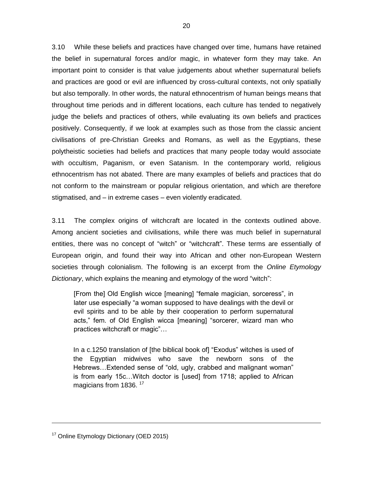3.10 While these beliefs and practices have changed over time, humans have retained the belief in supernatural forces and/or magic, in whatever form they may take. An important point to consider is that value judgements about whether supernatural beliefs and practices are good or evil are influenced by cross-cultural contexts, not only spatially but also temporally. In other words, the natural ethnocentrism of human beings means that throughout time periods and in different locations, each culture has tended to negatively judge the beliefs and practices of others, while evaluating its own beliefs and practices positively. Consequently, if we look at examples such as those from the classic ancient civilisations of pre-Christian Greeks and Romans, as well as the Egyptians, these polytheistic societies had beliefs and practices that many people today would associate with occultism, Paganism, or even Satanism. In the contemporary world, religious ethnocentrism has not abated. There are many examples of beliefs and practices that do not conform to the mainstream or popular religious orientation, and which are therefore stigmatised, and – in extreme cases – even violently eradicated.

3.11 The complex origins of witchcraft are located in the contexts outlined above. Among ancient societies and civilisations, while there was much belief in supernatural entities, there was no concept of "witch" or "witchcraft". These terms are essentially of European origin, and found their way into African and other non-European Western societies through colonialism. The following is an excerpt from the *Online Etymology Dictionary*, which explains the meaning and etymology of the word "witch":

[From the] Old English wicce [meaning] "female magician, sorceress", in later use especially "a woman supposed to have dealings with the devil or evil spirits and to be able by their cooperation to perform supernatural acts," fem. of Old English wicca [meaning] "sorcerer, wizard man who practices witchcraft or magic"…

In a c.1250 translation of [the biblical book of] "Exodus" witches is used of the Egyptian midwives who save the newborn sons of the Hebrews…Extended sense of "old, ugly, crabbed and malignant woman" is from early 15c…Witch doctor is [used] from 1718; applied to African magicians from 1836.<sup>17</sup>

<sup>&</sup>lt;sup>17</sup> Online Etymology Dictionary (OED 2015)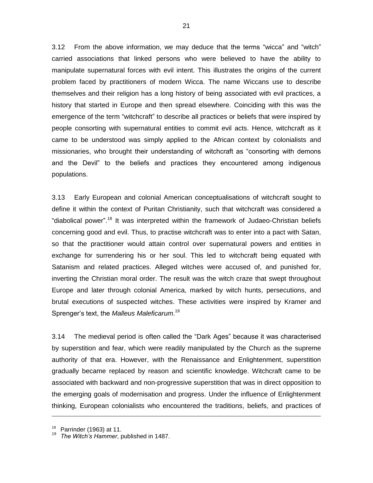3.12 From the above information, we may deduce that the terms "wicca" and "witch" carried associations that linked persons who were believed to have the ability to manipulate supernatural forces with evil intent. This illustrates the origins of the current problem faced by practitioners of modern Wicca. The name Wiccans use to describe themselves and their religion has a long history of being associated with evil practices, a history that started in Europe and then spread elsewhere. Coinciding with this was the emergence of the term "witchcraft" to describe all practices or beliefs that were inspired by people consorting with supernatural entities to commit evil acts. Hence, witchcraft as it came to be understood was simply applied to the African context by colonialists and missionaries, who brought their understanding of witchcraft as "consorting with demons and the Devil" to the beliefs and practices they encountered among indigenous populations.

3.13 Early European and colonial American conceptualisations of witchcraft sought to define it within the context of Puritan Christianity, such that witchcraft was considered a "diabolical power".<sup>18</sup> It was interpreted within the framework of Judaeo-Christian beliefs concerning good and evil. Thus, to practise witchcraft was to enter into a pact with Satan, so that the practitioner would attain control over supernatural powers and entities in exchange for surrendering his or her soul. This led to witchcraft being equated with Satanism and related practices. Alleged witches were accused of, and punished for, inverting the Christian moral order. The result was the witch craze that swept throughout Europe and later through colonial America, marked by witch hunts, persecutions, and brutal executions of suspected witches. These activities were inspired by Kramer and Sprenger"s text, the *Malleus Maleficarum*. 19

3.14 The medieval period is often called the "Dark Ages" because it was characterised by superstition and fear, which were readily manipulated by the Church as the supreme authority of that era. However, with the Renaissance and Enlightenment, superstition gradually became replaced by reason and scientific knowledge. Witchcraft came to be associated with backward and non-progressive superstition that was in direct opposition to the emerging goals of modernisation and progress. Under the influence of Enlightenment thinking, European colonialists who encountered the traditions, beliefs, and practices of

 $18$  Parrinder (1963) at 11.

<sup>19</sup> *The Witch's Hammer*, published in 1487.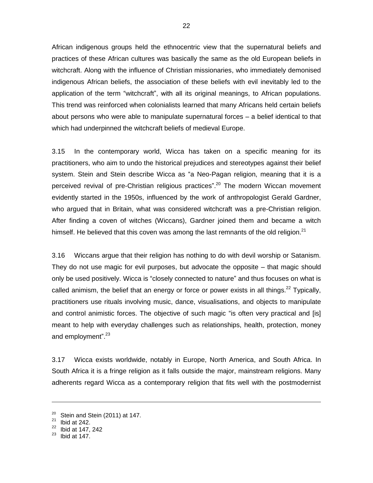African indigenous groups held the ethnocentric view that the supernatural beliefs and practices of these African cultures was basically the same as the old European beliefs in witchcraft. Along with the influence of Christian missionaries, who immediately demonised indigenous African beliefs, the association of these beliefs with evil inevitably led to the application of the term "witchcraft", with all its original meanings, to African populations. This trend was reinforced when colonialists learned that many Africans held certain beliefs about persons who were able to manipulate supernatural forces – a belief identical to that which had underpinned the witchcraft beliefs of medieval Europe.

3.15 In the contemporary world, Wicca has taken on a specific meaning for its practitioners, who aim to undo the historical prejudices and stereotypes against their belief system. Stein and Stein describe Wicca as "a Neo-Pagan religion, meaning that it is a perceived revival of pre-Christian religious practices".<sup>20</sup> The modern Wiccan movement evidently started in the 1950s, influenced by the work of anthropologist Gerald Gardner, who argued that in Britain, what was considered witchcraft was a pre-Christian religion. After finding a coven of witches (Wiccans), Gardner joined them and became a witch himself. He believed that this coven was among the last remnants of the old religion. $^{21}$ 

3.16 Wiccans argue that their religion has nothing to do with devil worship or Satanism. They do not use magic for evil purposes, but advocate the opposite – that magic should only be used positively. Wicca is "closely connected to nature" and thus focuses on what is called animism, the belief that an energy or force or power exists in all things.<sup>22</sup> Typically, practitioners use rituals involving music, dance, visualisations, and objects to manipulate and control animistic forces. The objective of such magic "is often very practical and [is] meant to help with everyday challenges such as relationships, health, protection, money and employment".<sup>23</sup>

3.17 Wicca exists worldwide, notably in Europe, North America, and South Africa. In South Africa it is a fringe religion as it falls outside the major, mainstream religions. Many adherents regard Wicca as a contemporary religion that fits well with the postmodernist

<sup>&</sup>lt;sup>20</sup> Stein and Stein (2011) at 147.

Ibid at 242.

 $22$  Ibid at 147, 242

Ibid at 147.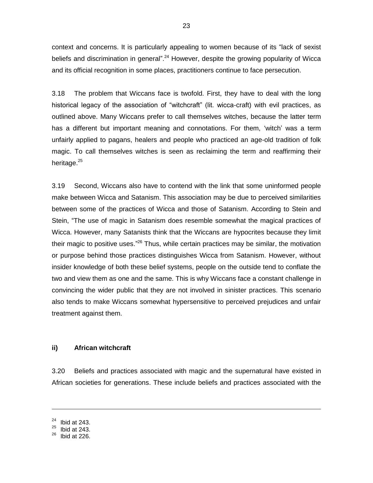context and concerns. It is particularly appealing to women because of its "lack of sexist beliefs and discrimination in general".<sup>24</sup> However, despite the growing popularity of Wicca and its official recognition in some places, practitioners continue to face persecution.

3.18 The problem that Wiccans face is twofold. First, they have to deal with the long historical legacy of the association of "witchcraft" (lit. wicca-craft) with evil practices, as outlined above. Many Wiccans prefer to call themselves witches, because the latter term has a different but important meaning and connotations. For them, 'witch' was a term unfairly applied to pagans, healers and people who practiced an age-old tradition of folk magic. To call themselves witches is seen as reclaiming the term and reaffirming their heritage.<sup>25</sup>

3.19 Second, Wiccans also have to contend with the link that some uninformed people make between Wicca and Satanism. This association may be due to perceived similarities between some of the practices of Wicca and those of Satanism. According to Stein and Stein, "The use of magic in Satanism does resemble somewhat the magical practices of Wicca. However, many Satanists think that the Wiccans are hypocrites because they limit their magic to positive uses."<sup>26</sup> Thus, while certain practices may be similar, the motivation or purpose behind those practices distinguishes Wicca from Satanism. However, without insider knowledge of both these belief systems, people on the outside tend to conflate the two and view them as one and the same. This is why Wiccans face a constant challenge in convincing the wider public that they are not involved in sinister practices. This scenario also tends to make Wiccans somewhat hypersensitive to perceived prejudices and unfair treatment against them.

#### **ii) African witchcraft**

3.20 Beliefs and practices associated with magic and the supernatural have existed in African societies for generations. These include beliefs and practices associated with the

 $24$  Ibid at 243.

 $25$  Ibid at 243.

Ibid at 226.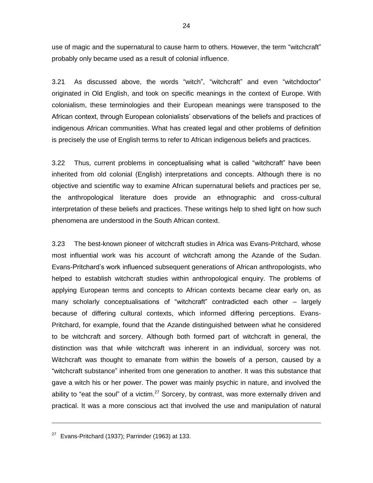use of magic and the supernatural to cause harm to others. However, the term "witchcraft" probably only became used as a result of colonial influence.

3.21 As discussed above, the words "witch", "witchcraft" and even "witchdoctor" originated in Old English, and took on specific meanings in the context of Europe. With colonialism, these terminologies and their European meanings were transposed to the African context, through European colonialists" observations of the beliefs and practices of indigenous African communities. What has created legal and other problems of definition is precisely the use of English terms to refer to African indigenous beliefs and practices.

3.22 Thus, current problems in conceptualising what is called "witchcraft" have been inherited from old colonial (English) interpretations and concepts. Although there is no objective and scientific way to examine African supernatural beliefs and practices per se, the anthropological literature does provide an ethnographic and cross-cultural interpretation of these beliefs and practices. These writings help to shed light on how such phenomena are understood in the South African context.

3.23 The best-known pioneer of witchcraft studies in Africa was Evans-Pritchard, whose most influential work was his account of witchcraft among the Azande of the Sudan. Evans-Pritchard"s work influenced subsequent generations of African anthropologists, who helped to establish witchcraft studies within anthropological enquiry. The problems of applying European terms and concepts to African contexts became clear early on, as many scholarly conceptualisations of "witchcraft" contradicted each other – largely because of differing cultural contexts, which informed differing perceptions. Evans-Pritchard, for example, found that the Azande distinguished between what he considered to be witchcraft and sorcery. Although both formed part of witchcraft in general, the distinction was that while witchcraft was inherent in an individual, sorcery was not. Witchcraft was thought to emanate from within the bowels of a person, caused by a "witchcraft substance" inherited from one generation to another. It was this substance that gave a witch his or her power. The power was mainly psychic in nature, and involved the ability to "eat the soul" of a victim.<sup>27</sup> Sorcery, by contrast, was more externally driven and practical. It was a more conscious act that involved the use and manipulation of natural

 $27$  Evans-Pritchard (1937); Parrinder (1963) at 133.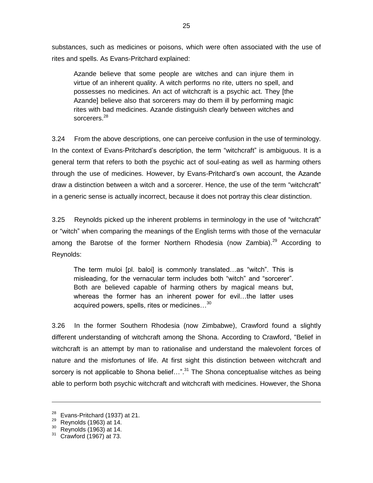substances, such as medicines or poisons, which were often associated with the use of rites and spells. As Evans-Pritchard explained:

Azande believe that some people are witches and can injure them in virtue of an inherent quality. A witch performs no rite, utters no spell, and possesses no medicines. An act of witchcraft is a psychic act. They [the Azande] believe also that sorcerers may do them ill by performing magic rites with bad medicines. Azande distinguish clearly between witches and sorcerers.<sup>28</sup>

3.24 From the above descriptions, one can perceive confusion in the use of terminology. In the context of Evans-Pritchard's description, the term "witchcraft" is ambiguous. It is a general term that refers to both the psychic act of soul-eating as well as harming others through the use of medicines. However, by Evans-Pritchard"s own account, the Azande draw a distinction between a witch and a sorcerer. Hence, the use of the term "witchcraft" in a generic sense is actually incorrect, because it does not portray this clear distinction.

3.25 Reynolds picked up the inherent problems in terminology in the use of "witchcraft" or "witch" when comparing the meanings of the English terms with those of the vernacular among the Barotse of the former Northern Rhodesia (now Zambia).<sup>29</sup> According to Reynolds:

The term muloi [pl. baloi] is commonly translated…as "witch". This is misleading, for the vernacular term includes both "witch" and "sorcerer". Both are believed capable of harming others by magical means but, whereas the former has an inherent power for evil…the latter uses acquired powers, spells, rites or medicines…<sup>30</sup>

3.26 In the former Southern Rhodesia (now Zimbabwe), Crawford found a slightly different understanding of witchcraft among the Shona. According to Crawford, "Belief in witchcraft is an attempt by man to rationalise and understand the malevolent forces of nature and the misfortunes of life. At first sight this distinction between witchcraft and sorcery is not applicable to Shona belief...".<sup>31</sup> The Shona conceptualise witches as being able to perform both psychic witchcraft and witchcraft with medicines. However, the Shona

 $28$  Evans-Pritchard (1937) at 21.

 $29$  Reynolds (1963) at 14.

 $30$  Reynolds (1963) at 14.

Crawford (1967) at 73.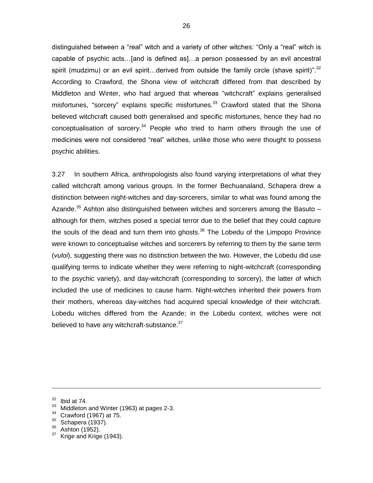distinguished between a "real" witch and a variety of other witches: "Only a "real" witch is capable of psychic acts…[and is defined as]…a person possessed by an evil ancestral spirit (mudzimu) or an evil spirit...derived from outside the family circle (shave spirit)".<sup>32</sup> According to Crawford, the Shona view of witchcraft differed from that described by Middleton and Winter, who had argued that whereas "witchcraft" explains generalised misfortunes, "sorcery" explains specific misfortunes.<sup>33</sup> Crawford stated that the Shona believed witchcraft caused both generalised and specific misfortunes, hence they had no conceptualisation of sorcery.<sup>34</sup> People who tried to harm others through the use of medicines were not considered "real" witches, unlike those who were thought to possess psychic abilities.

3.27 In southern Africa, anthropologists also found varying interpretations of what they called witchcraft among various groups. In the former Bechuanaland, Schapera drew a distinction between night-witches and day-sorcerers, similar to what was found among the Azande.<sup>35</sup> Ashton also distinguished between witches and sorcerers among the Basuto  $$ although for them, witches posed a special terror due to the belief that they could capture the souls of the dead and turn them into ghosts.<sup>36</sup> The Lobedu of the Limpopo Province were known to conceptualise witches and sorcerers by referring to them by the same term (*vuloi*), suggesting there was no distinction between the two. However, the Lobedu did use qualifying terms to indicate whether they were referring to night-witchcraft (corresponding to the psychic variety), and day-witchcraft (corresponding to sorcery), the latter of which included the use of medicines to cause harm. Night-witches inherited their powers from their mothers, whereas day-witches had acquired special knowledge of their witchcraft. Lobedu witches differed from the Azande; in the Lobedu context, witches were not believed to have any witchcraft-substance.<sup>37</sup>

-

- <sup>33</sup> Middleton and Winter (1963) at pages 2-3.
- $34$  Crawford (1967) at 75.

 $\frac{36}{37}$  Ashton (1952).

 $32$  Ibid at 74.

 $35$  Schapera (1937).

Krige and Krige (1943).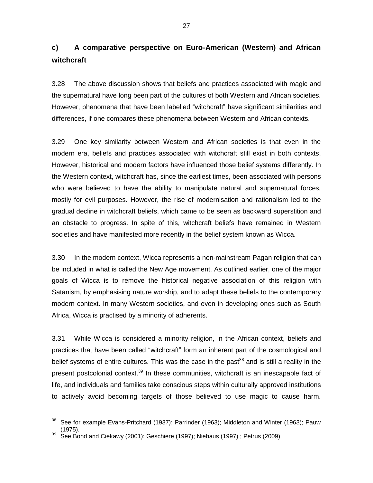### **c) A comparative perspective on Euro-American (Western) and African witchcraft**

3.28 The above discussion shows that beliefs and practices associated with magic and the supernatural have long been part of the cultures of both Western and African societies. However, phenomena that have been labelled "witchcraft" have significant similarities and differences, if one compares these phenomena between Western and African contexts.

3.29 One key similarity between Western and African societies is that even in the modern era, beliefs and practices associated with witchcraft still exist in both contexts. However, historical and modern factors have influenced those belief systems differently. In the Western context, witchcraft has, since the earliest times, been associated with persons who were believed to have the ability to manipulate natural and supernatural forces, mostly for evil purposes. However, the rise of modernisation and rationalism led to the gradual decline in witchcraft beliefs, which came to be seen as backward superstition and an obstacle to progress. In spite of this, witchcraft beliefs have remained in Western societies and have manifested more recently in the belief system known as Wicca.

3.30 In the modern context, Wicca represents a non-mainstream Pagan religion that can be included in what is called the New Age movement. As outlined earlier, one of the major goals of Wicca is to remove the historical negative association of this religion with Satanism, by emphasising nature worship, and to adapt these beliefs to the contemporary modern context. In many Western societies, and even in developing ones such as South Africa, Wicca is practised by a minority of adherents.

3.31 While Wicca is considered a minority religion, in the African context, beliefs and practices that have been called "witchcraft" form an inherent part of the cosmological and belief systems of entire cultures. This was the case in the past<sup>38</sup> and is still a reality in the present postcolonial context.<sup>39</sup> In these communities, witchcraft is an inescapable fact of life, and individuals and families take conscious steps within culturally approved institutions to actively avoid becoming targets of those believed to use magic to cause harm.

See for example Evans-Pritchard (1937); Parrinder (1963); Middleton and Winter (1963); Pauw (1975).

See Bond and Ciekawy (2001); Geschiere (1997); Niehaus (1997) ; Petrus (2009)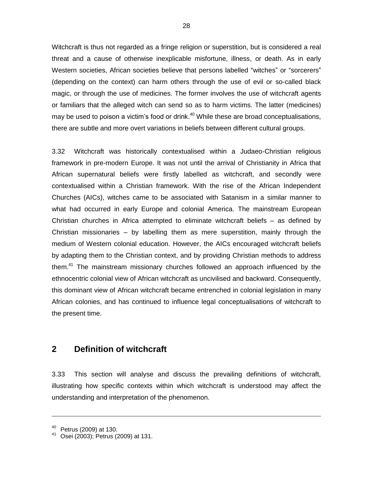Witchcraft is thus not regarded as a fringe religion or superstition, but is considered a real threat and a cause of otherwise inexplicable misfortune, illness, or death. As in early Western societies, African societies believe that persons labelled "witches" or "sorcerers" (depending on the context) can harm others through the use of evil or so-called black magic, or through the use of medicines. The former involves the use of witchcraft agents or familiars that the alleged witch can send so as to harm victims. The latter (medicines) may be used to poison a victim's food or drink. $40$  While these are broad conceptualisations, there are subtle and more overt variations in beliefs between different cultural groups.

3.32 Witchcraft was historically contextualised within a Judaeo-Christian religious framework in pre-modern Europe. It was not until the arrival of Christianity in Africa that African supernatural beliefs were firstly labelled as witchcraft, and secondly were contextualised within a Christian framework. With the rise of the African Independent Churches (AICs), witches came to be associated with Satanism in a similar manner to what had occurred in early Europe and colonial America. The mainstream European Christian churches in Africa attempted to eliminate witchcraft beliefs – as defined by Christian missionaries – by labelling them as mere superstition, mainly through the medium of Western colonial education. However, the AICs encouraged witchcraft beliefs by adapting them to the Christian context, and by providing Christian methods to address them.<sup>41</sup> The mainstream missionary churches followed an approach influenced by the ethnocentric colonial view of African witchcraft as uncivilised and backward. Consequently, this dominant view of African witchcraft became entrenched in colonial legislation in many African colonies, and has continued to influence legal conceptualisations of witchcraft to the present time.

#### **2 Definition of witchcraft**

3.33 This section will analyse and discuss the prevailing definitions of witchcraft, illustrating how specific contexts within which witchcraft is understood may affect the understanding and interpretation of the phenomenon.

 $40$  Petrus (2009) at 130.

Osei (2003); Petrus (2009) at 131.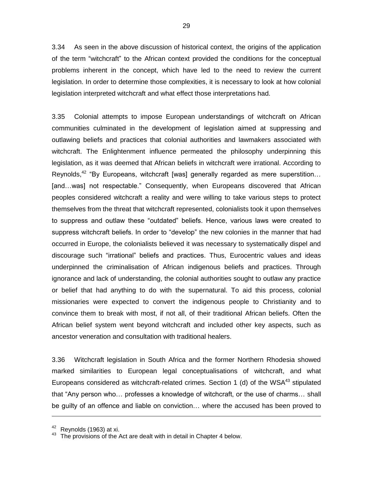3.34 As seen in the above discussion of historical context, the origins of the application of the term "witchcraft" to the African context provided the conditions for the conceptual problems inherent in the concept, which have led to the need to review the current legislation. In order to determine those complexities, it is necessary to look at how colonial legislation interpreted witchcraft and what effect those interpretations had.

3.35 Colonial attempts to impose European understandings of witchcraft on African communities culminated in the development of legislation aimed at suppressing and outlawing beliefs and practices that colonial authorities and lawmakers associated with witchcraft. The Enlightenment influence permeated the philosophy underpinning this legislation, as it was deemed that African beliefs in witchcraft were irrational. According to Reynolds,<sup>42</sup> "By Europeans, witchcraft [was] generally regarded as mere superstition... [and…was] not respectable." Consequently, when Europeans discovered that African peoples considered witchcraft a reality and were willing to take various steps to protect themselves from the threat that witchcraft represented, colonialists took it upon themselves to suppress and outlaw these "outdated" beliefs. Hence, various laws were created to suppress witchcraft beliefs. In order to "develop" the new colonies in the manner that had occurred in Europe, the colonialists believed it was necessary to systematically dispel and discourage such "irrational" beliefs and practices. Thus, Eurocentric values and ideas underpinned the criminalisation of African indigenous beliefs and practices. Through ignorance and lack of understanding, the colonial authorities sought to outlaw any practice or belief that had anything to do with the supernatural. To aid this process, colonial missionaries were expected to convert the indigenous people to Christianity and to convince them to break with most, if not all, of their traditional African beliefs. Often the African belief system went beyond witchcraft and included other key aspects, such as ancestor veneration and consultation with traditional healers.

3.36 Witchcraft legislation in South Africa and the former Northern Rhodesia showed marked similarities to European legal conceptualisations of witchcraft, and what Europeans considered as witchcraft-related crimes. Section 1 (d) of the WSA $43$  stipulated that "Any person who… professes a knowledge of witchcraft, or the use of charms… shall be guilty of an offence and liable on conviction… where the accused has been proved to

 $42$  Reynolds (1963) at xi.

The provisions of the Act are dealt with in detail in Chapter 4 below.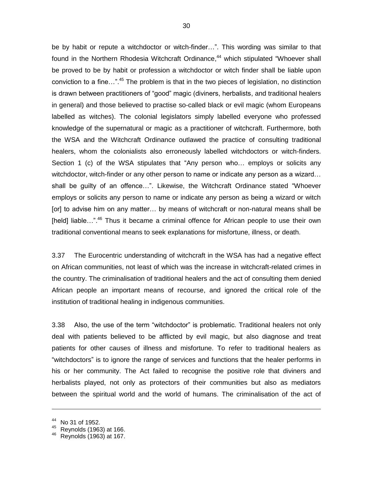be by habit or repute a witchdoctor or witch-finder…". This wording was similar to that found in the Northern Rhodesia Witchcraft Ordinance,<sup>44</sup> which stipulated "Whoever shall be proved to be by habit or profession a witchdoctor or witch finder shall be liable upon conviction to a fine…". <sup>45</sup> The problem is that in the two pieces of legislation, no distinction is drawn between practitioners of "good" magic (diviners, herbalists, and traditional healers in general) and those believed to practise so-called black or evil magic (whom Europeans labelled as witches). The colonial legislators simply labelled everyone who professed knowledge of the supernatural or magic as a practitioner of witchcraft. Furthermore, both the WSA and the Witchcraft Ordinance outlawed the practice of consulting traditional healers, whom the colonialists also erroneously labelled witchdoctors or witch-finders. Section 1 (c) of the WSA stipulates that "Any person who… employs or solicits any witchdoctor, witch-finder or any other person to name or indicate any person as a wizard… shall be guilty of an offence…". Likewise, the Witchcraft Ordinance stated "Whoever employs or solicits any person to name or indicate any person as being a wizard or witch [or] to advise him on any matter… by means of witchcraft or non-natural means shall be [held] liable...".<sup>46</sup> Thus it became a criminal offence for African people to use their own traditional conventional means to seek explanations for misfortune, illness, or death.

3.37 The Eurocentric understanding of witchcraft in the WSA has had a negative effect on African communities, not least of which was the increase in witchcraft-related crimes in the country. The criminalisation of traditional healers and the act of consulting them denied African people an important means of recourse, and ignored the critical role of the institution of traditional healing in indigenous communities.

3.38 Also, the use of the term "witchdoctor" is problematic. Traditional healers not only deal with patients believed to be afflicted by evil magic, but also diagnose and treat patients for other causes of illness and misfortune. To refer to traditional healers as "witchdoctors" is to ignore the range of services and functions that the healer performs in his or her community. The Act failed to recognise the positive role that diviners and herbalists played, not only as protectors of their communities but also as mediators between the spiritual world and the world of humans. The criminalisation of the act of

No 31 of 1952.

<sup>45</sup> Reynolds (1963) at 166.

<sup>46</sup> Reynolds (1963) at 167.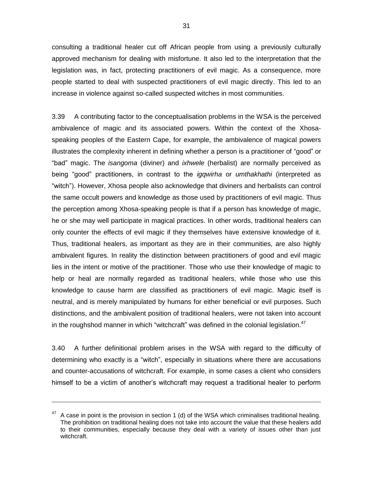consulting a traditional healer cut off African people from using a previously culturally approved mechanism for dealing with misfortune. It also led to the interpretation that the legislation was, in fact, protecting practitioners of evil magic. As a consequence, more people started to deal with suspected practitioners of evil magic directly. This led to an increase in violence against so-called suspected witches in most communities.

3.39 A contributing factor to the conceptualisation problems in the WSA is the perceived ambivalence of magic and its associated powers. Within the context of the Xhosaspeaking peoples of the Eastern Cape, for example, the ambivalence of magical powers illustrates the complexity inherent in defining whether a person is a practitioner of "good" or "bad" magic. The *isangoma* (diviner) and *ixhwele* (herbalist) are normally perceived as being "good" practitioners, in contrast to the *igqwirha* or *umthakhathi* (interpreted as "witch"). However, Xhosa people also acknowledge that diviners and herbalists can control the same occult powers and knowledge as those used by practitioners of evil magic. Thus the perception among Xhosa-speaking people is that if a person has knowledge of magic, he or she may well participate in magical practices. In other words, traditional healers can only counter the effects of evil magic if they themselves have extensive knowledge of it. Thus, traditional healers, as important as they are in their communities, are also highly ambivalent figures. In reality the distinction between practitioners of good and evil magic lies in the intent or motive of the practitioner. Those who use their knowledge of magic to help or heal are normally regarded as traditional healers, while those who use this knowledge to cause harm are classified as practitioners of evil magic. Magic itself is neutral, and is merely manipulated by humans for either beneficial or evil purposes. Such distinctions, and the ambivalent position of traditional healers, were not taken into account in the roughshod manner in which "witchcraft" was defined in the colonial legislation. $47$ 

3.40 A further definitional problem arises in the WSA with regard to the difficulty of determining who exactly is a "witch", especially in situations where there are accusations and counter-accusations of witchcraft. For example, in some cases a client who considers himself to be a victim of another"s witchcraft may request a traditional healer to perform

A case in point is the provision in section 1 (d) of the WSA which criminalises traditional healing. The prohibition on traditional healing does not take into account the value that these healers add to their communities, especially because they deal with a variety of issues other than just witchcraft.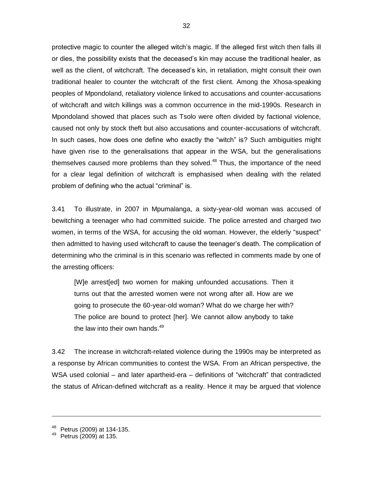protective magic to counter the alleged witch's magic. If the alleged first witch then falls ill or dies, the possibility exists that the deceased"s kin may accuse the traditional healer, as well as the client, of witchcraft. The deceased"s kin, in retaliation, might consult their own traditional healer to counter the witchcraft of the first client. Among the Xhosa-speaking peoples of Mpondoland, retaliatory violence linked to accusations and counter-accusations of witchcraft and witch killings was a common occurrence in the mid-1990s. Research in Mpondoland showed that places such as Tsolo were often divided by factional violence, caused not only by stock theft but also accusations and counter-accusations of witchcraft. In such cases, how does one define who exactly the "witch" is? Such ambiguities might have given rise to the generalisations that appear in the WSA, but the generalisations themselves caused more problems than they solved.<sup>48</sup> Thus, the importance of the need for a clear legal definition of witchcraft is emphasised when dealing with the related problem of defining who the actual "criminal" is.

3.41 To illustrate, in 2007 in Mpumalanga, a sixty-year-old woman was accused of bewitching a teenager who had committed suicide. The police arrested and charged two women, in terms of the WSA, for accusing the old woman. However, the elderly "suspect" then admitted to having used witchcraft to cause the teenager"s death. The complication of determining who the criminal is in this scenario was reflected in comments made by one of the arresting officers:

[W]e arrest[ed] two women for making unfounded accusations. Then it turns out that the arrested women were not wrong after all. How are we going to prosecute the 60-year-old woman? What do we charge her with? The police are bound to protect [her]. We cannot allow anybody to take the law into their own hands. $49$ 

3.42 The increase in witchcraft-related violence during the 1990s may be interpreted as a response by African communities to contest the WSA. From an African perspective, the WSA used colonial – and later apartheid-era – definitions of "witchcraft" that contradicted the status of African-defined witchcraft as a reality. Hence it may be argued that violence

 $48$  Petrus (2009) at 134-135.

Petrus (2009) at 135.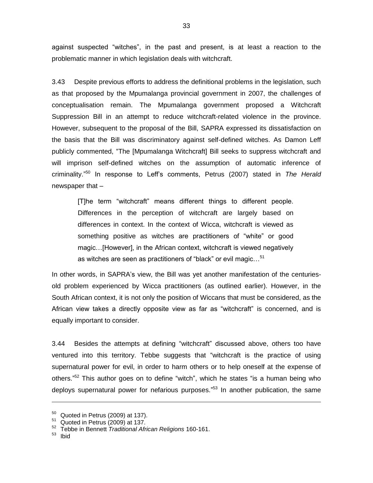against suspected "witches", in the past and present, is at least a reaction to the problematic manner in which legislation deals with witchcraft.

3.43 Despite previous efforts to address the definitional problems in the legislation, such as that proposed by the Mpumalanga provincial government in 2007, the challenges of conceptualisation remain. The Mpumalanga government proposed a Witchcraft Suppression Bill in an attempt to reduce witchcraft-related violence in the province. However, subsequent to the proposal of the Bill, SAPRA expressed its dissatisfaction on the basis that the Bill was discriminatory against self-defined witches. As Damon Leff publicly commented, "The [Mpumalanga Witchcraft] Bill seeks to suppress witchcraft and will imprison self-defined witches on the assumption of automatic inference of criminality." <sup>50</sup> In response to Leff"s comments, Petrus (2007) stated in *The Herald* newspaper that –

[T]he term "witchcraft" means different things to different people. Differences in the perception of witchcraft are largely based on differences in context. In the context of Wicca, witchcraft is viewed as something positive as witches are practitioners of "white" or good magic…[However], in the African context, witchcraft is viewed negatively as witches are seen as practitioners of "black" or evil magic...<sup>51</sup>

In other words, in SAPRA's view, the Bill was yet another manifestation of the centuriesold problem experienced by Wicca practitioners (as outlined earlier). However, in the South African context, it is not only the position of Wiccans that must be considered, as the African view takes a directly opposite view as far as "witchcraft" is concerned, and is equally important to consider.

3.44 Besides the attempts at defining "witchcraft" discussed above, others too have ventured into this territory. Tebbe suggests that "witchcraft is the practice of using supernatural power for evil, in order to harm others or to help oneself at the expense of others."<sup>52</sup> This author goes on to define "witch", which he states "is a human being who deploys supernatural power for nefarious purposes."<sup>53</sup> In another publication, the same

 $50$  Quoted in Petrus (2009) at 137).

Quoted in Petrus (2009) at 137.

<sup>52</sup> Tebbe in Bennett *Traditional African Religions* 160-161.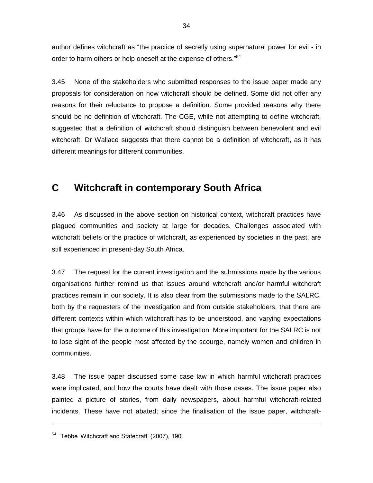author defines witchcraft as "the practice of secretly using supernatural power for evil - in order to harm others or help oneself at the expense of others."<sup>54</sup>

3.45 None of the stakeholders who submitted responses to the issue paper made any proposals for consideration on how witchcraft should be defined. Some did not offer any reasons for their reluctance to propose a definition. Some provided reasons why there should be no definition of witchcraft. The CGE, while not attempting to define witchcraft, suggested that a definition of witchcraft should distinguish between benevolent and evil witchcraft. Dr Wallace suggests that there cannot be a definition of witchcraft, as it has different meanings for different communities.

# **C Witchcraft in contemporary South Africa**

3.46 As discussed in the above section on historical context, witchcraft practices have plagued communities and society at large for decades. Challenges associated with witchcraft beliefs or the practice of witchcraft, as experienced by societies in the past, are still experienced in present-day South Africa.

3.47 The request for the current investigation and the submissions made by the various organisations further remind us that issues around witchcraft and/or harmful witchcraft practices remain in our society. It is also clear from the submissions made to the SALRC, both by the requesters of the investigation and from outside stakeholders, that there are different contexts within which witchcraft has to be understood, and varying expectations that groups have for the outcome of this investigation. More important for the SALRC is not to lose sight of the people most affected by the scourge, namely women and children in communities.

3.48 The issue paper discussed some case law in which harmful witchcraft practices were implicated, and how the courts have dealt with those cases. The issue paper also painted a picture of stories, from daily newspapers, about harmful witchcraft-related incidents. These have not abated; since the finalisation of the issue paper, witchcraft-

 $54$  Tebbe 'Witchcraft and Statecraft' (2007), 190.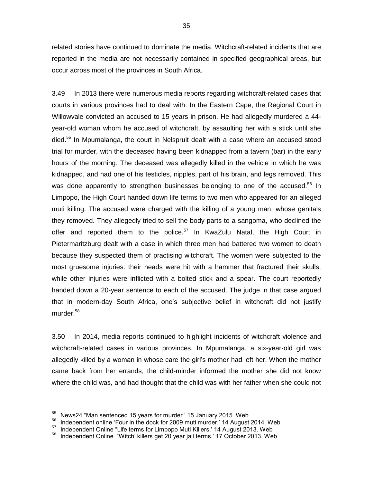related stories have continued to dominate the media. Witchcraft-related incidents that are reported in the media are not necessarily contained in specified geographical areas, but occur across most of the provinces in South Africa.

3.49 In 2013 there were numerous media reports regarding witchcraft-related cases that courts in various provinces had to deal with. In the Eastern Cape, the Regional Court in Willowvale convicted an accused to 15 years in prison. He had allegedly murdered a 44 year-old woman whom he accused of witchcraft, by assaulting her with a stick until she died.<sup>55</sup> In Mpumalanga, the court in Nelspruit dealt with a case where an accused stood trial for murder, with the deceased having been kidnapped from a tavern (bar) in the early hours of the morning. The deceased was allegedly killed in the vehicle in which he was kidnapped, and had one of his testicles, nipples, part of his brain, and legs removed. This was done apparently to strengthen businesses belonging to one of the accused.<sup>56</sup> In Limpopo, the High Court handed down life terms to two men who appeared for an alleged muti killing. The accused were charged with the killing of a young man, whose genitals they removed. They allegedly tried to sell the body parts to a sangoma, who declined the offer and reported them to the police.<sup>57</sup> In KwaZulu Natal, the High Court in Pietermaritzburg dealt with a case in which three men had battered two women to death because they suspected them of practising witchcraft. The women were subjected to the most gruesome injuries: their heads were hit with a hammer that fractured their skulls, while other injuries were inflicted with a bolted stick and a spear. The court reportedly handed down a 20-year sentence to each of the accused. The judge in that case argued that in modern-day South Africa, one"s subjective belief in witchcraft did not justify murder.<sup>58</sup>

3.50 In 2014, media reports continued to highlight incidents of witchcraft violence and witchcraft-related cases in various provinces. In Mpumalanga, a six-year-old girl was allegedly killed by a woman in whose care the girl"s mother had left her. When the mother came back from her errands, the child-minder informed the mother she did not know where the child was, and had thought that the child was with her father when she could not

<sup>&</sup>lt;sup>55</sup> News24 "Man sentenced 15 years for murder.' 15 January 2015. Web

<sup>&</sup>lt;sup>56</sup> Independent online 'Four in the dock for 2009 muti murder.' 14 August 2014. Web<br><sup>57</sup> Independent Opline "Life terms for Limpene Muti Killers," 14 August 2013, Web

<sup>57</sup> Independent Online "Life terms for Limpopo Muti Killers." 14 August 2013. Web

Independent Online "Witch' killers get 20 year jail terms.' 17 October 2013. Web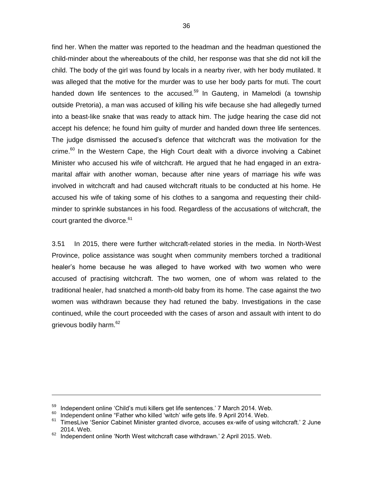find her. When the matter was reported to the headman and the headman questioned the child-minder about the whereabouts of the child, her response was that she did not kill the child. The body of the girl was found by locals in a nearby river, with her body mutilated. It was alleged that the motive for the murder was to use her body parts for muti. The court handed down life sentences to the accused.<sup>59</sup> In Gauteng, in Mamelodi (a township outside Pretoria), a man was accused of killing his wife because she had allegedly turned into a beast-like snake that was ready to attack him. The judge hearing the case did not accept his defence; he found him guilty of murder and handed down three life sentences. The judge dismissed the accused"s defence that witchcraft was the motivation for the  $\text{c$ rime.<sup>60</sup> In the Western Cape, the High Court dealt with a divorce involving a Cabinet Minister who accused his wife of witchcraft. He argued that he had engaged in an extramarital affair with another woman, because after nine years of marriage his wife was involved in witchcraft and had caused witchcraft rituals to be conducted at his home. He accused his wife of taking some of his clothes to a sangoma and requesting their childminder to sprinkle substances in his food. Regardless of the accusations of witchcraft, the court granted the divorce. 61

3.51 In 2015, there were further witchcraft-related stories in the media. In North-West Province, police assistance was sought when community members torched a traditional healer"s home because he was alleged to have worked with two women who were accused of practising witchcraft. The two women, one of whom was related to the traditional healer, had snatched a month-old baby from its home. The case against the two women was withdrawn because they had retuned the baby. Investigations in the case continued, while the court proceeded with the cases of arson and assault with intent to do grievous bodily harm.<sup>62</sup>

<sup>&</sup>lt;sup>59</sup> Independent online 'Child's muti killers get life sentences.' 7 March 2014. Web.

<sup>&</sup>lt;sup>60</sup> Independent online "Father who killed 'witch' wife gets life. 9 April 2014. Web.

TimesLive 'Senior Cabinet Minister granted divorce, accuses ex-wife of using witchcraft.' 2 June 2014. Web.

Independent online 'North West witchcraft case withdrawn.' 2 April 2015. Web.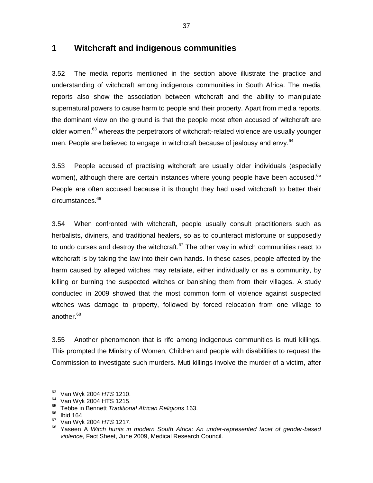#### **1 Witchcraft and indigenous communities**

3.52 The media reports mentioned in the section above illustrate the practice and understanding of witchcraft among indigenous communities in South Africa. The media reports also show the association between witchcraft and the ability to manipulate supernatural powers to cause harm to people and their property. Apart from media reports, the dominant view on the ground is that the people most often accused of witchcraft are older women,<sup>63</sup> whereas the perpetrators of witchcraft-related violence are usually younger men. People are believed to engage in witchcraft because of jealousy and envy.<sup>64</sup>

3.53 People accused of practising witchcraft are usually older individuals (especially women), although there are certain instances where young people have been accused.<sup>65</sup> People are often accused because it is thought they had used witchcraft to better their circumstances.<sup>66</sup>

3.54 When confronted with witchcraft, people usually consult practitioners such as herbalists, diviners, and traditional healers, so as to counteract misfortune or supposedly to undo curses and destroy the witchcraft. $67$  The other way in which communities react to witchcraft is by taking the law into their own hands. In these cases, people affected by the harm caused by alleged witches may retaliate, either individually or as a community, by killing or burning the suspected witches or banishing them from their villages. A study conducted in 2009 showed that the most common form of violence against suspected witches was damage to property, followed by forced relocation from one village to another.<sup>68</sup>

3.55 Another phenomenon that is rife among indigenous communities is muti killings. This prompted the Ministry of Women, Children and people with disabilities to request the Commission to investigate such murders. Muti killings involve the murder of a victim, after

<sup>63</sup> Van Wyk 2004 *HTS* 1210.

<sup>&</sup>lt;sup>64</sup> Van Wyk 2004 HTS 1215.

<sup>65</sup> Tebbe in Bennett *Traditional African Religions* 163.

 $66$  Ibid 164.

<sup>67</sup> Van Wyk 2004 *HTS* 1217.

<sup>68</sup> Yaseen A *Witch hunts in modern South Africa: An under-represented facet of gender-based violence*, Fact Sheet, June 2009, Medical Research Council.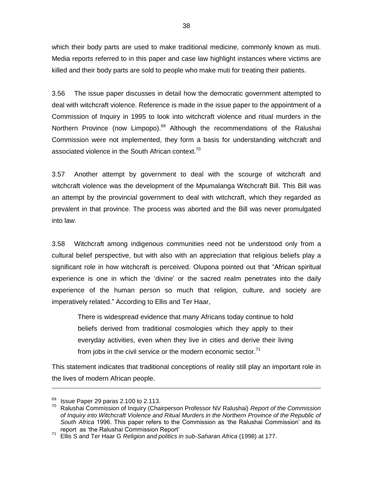which their body parts are used to make traditional medicine, commonly known as muti. Media reports referred to in this paper and case law highlight instances where victims are killed and their body parts are sold to people who make muti for treating their patients.

3.56 The issue paper discusses in detail how the democratic government attempted to deal with witchcraft violence. Reference is made in the issue paper to the appointment of a Commission of Inquiry in 1995 to look into witchcraft violence and ritual murders in the Northern Province (now Limpopo).<sup>69</sup> Although the recommendations of the Ralushai Commission were not implemented, they form a basis for understanding witchcraft and associated violence in the South African context.<sup>70</sup>

3.57 Another attempt by government to deal with the scourge of witchcraft and witchcraft violence was the development of the Mpumalanga Witchcraft Bill. This Bill was an attempt by the provincial government to deal with witchcraft, which they regarded as prevalent in that province. The process was aborted and the Bill was never promulgated into law.

3.58 Witchcraft among indigenous communities need not be understood only from a cultural belief perspective, but with also with an appreciation that religious beliefs play a significant role in how witchcraft is perceived. Olupona pointed out that "African spiritual experience is one in which the "divine" or the sacred realm penetrates into the daily experience of the human person so much that religion, culture, and society are imperatively related." According to Ellis and Ter Haar,

There is widespread evidence that many Africans today continue to hold beliefs derived from traditional cosmologies which they apply to their everyday activities, even when they live in cities and derive their living from jobs in the civil service or the modern economic sector.<sup>71</sup>

This statement indicates that traditional conceptions of reality still play an important role in the lives of modern African people.

 $^{69}$  Issue Paper 29 paras 2.100 to 2.113.

<sup>70</sup> Ralushai Commission of Inquiry (Chairperson Professor NV Ralushai) *Report of the Commission of Inquiry into Witchcraft Violence and Ritual Murders in the Northern Province of the Republic of South Africa* 1996. This paper refers to the Commission as "the Ralushai Commission" and its report as "the Ralushai Commission Report"

<sup>71</sup> Ellis S and Ter Haar G *Religion and politics in sub-Saharan Africa* (1998) at 177.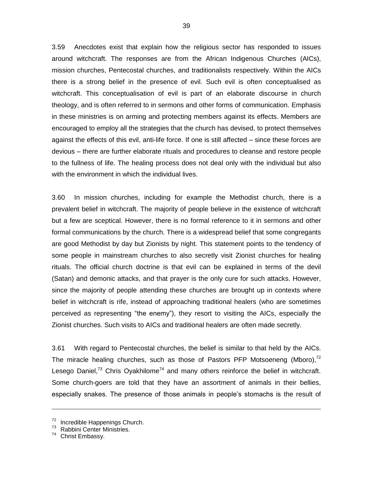3.59 Anecdotes exist that explain how the religious sector has responded to issues around witchcraft. The responses are from the African Indigenous Churches (AICs), mission churches, Pentecostal churches, and traditionalists respectively. Within the AICs there is a strong belief in the presence of evil. Such evil is often conceptualised as witchcraft. This conceptualisation of evil is part of an elaborate discourse in church theology, and is often referred to in sermons and other forms of communication. Emphasis in these ministries is on arming and protecting members against its effects. Members are encouraged to employ all the strategies that the church has devised, to protect themselves against the effects of this evil, anti-life force. If one is still affected – since these forces are devious – there are further elaborate rituals and procedures to cleanse and restore people to the fullness of life. The healing process does not deal only with the individual but also with the environment in which the individual lives.

3.60 In mission churches, including for example the Methodist church, there is a prevalent belief in witchcraft. The majority of people believe in the existence of witchcraft but a few are sceptical. However, there is no formal reference to it in sermons and other formal communications by the church. There is a widespread belief that some congregants are good Methodist by day but Zionists by night. This statement points to the tendency of some people in mainstream churches to also secretly visit Zionist churches for healing rituals. The official church doctrine is that evil can be explained in terms of the devil (Satan) and demonic attacks, and that prayer is the only cure for such attacks. However, since the majority of people attending these churches are brought up in contexts where belief in witchcraft is rife, instead of approaching traditional healers (who are sometimes perceived as representing "the enemy"), they resort to visiting the AICs, especially the Zionist churches. Such visits to AICs and traditional healers are often made secretly.

3.61 With regard to Pentecostal churches, the belief is similar to that held by the AICs. The miracle healing churches, such as those of Pastors PFP Motsoeneng (Mboro), $72$ Lesego Daniel,<sup>73</sup> Chris Oyakhilome<sup>74</sup> and many others reinforce the belief in witchcraft. Some church-goers are told that they have an assortment of animals in their bellies, especially snakes. The presence of those animals in people"s stomachs is the result of

<sup>72</sup> Incredible Happenings Church.

<sup>&</sup>lt;sup>73</sup> Rabbini Center Ministries.

Christ Embassy.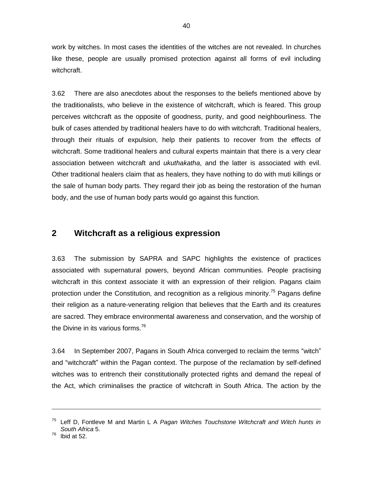work by witches. In most cases the identities of the witches are not revealed. In churches like these, people are usually promised protection against all forms of evil including witchcraft.

3.62 There are also anecdotes about the responses to the beliefs mentioned above by the traditionalists, who believe in the existence of witchcraft, which is feared. This group perceives witchcraft as the opposite of goodness, purity, and good neighbourliness. The bulk of cases attended by traditional healers have to do with witchcraft. Traditional healers, through their rituals of expulsion, help their patients to recover from the effects of witchcraft. Some traditional healers and cultural experts maintain that there is a very clear association between witchcraft and *ukuthakatha*, and the latter is associated with evil. Other traditional healers claim that as healers, they have nothing to do with muti killings or the sale of human body parts. They regard their job as being the restoration of the human body, and the use of human body parts would go against this function.

#### **2 Witchcraft as a religious expression**

3.63 The submission by SAPRA and SAPC highlights the existence of practices associated with supernatural powers, beyond African communities. People practising witchcraft in this context associate it with an expression of their religion. Pagans claim protection under the Constitution, and recognition as a religious minority.<sup>75</sup> Pagans define their religion as a nature-venerating religion that believes that the Earth and its creatures are sacred. They embrace environmental awareness and conservation, and the worship of the Divine in its various forms.<sup>76</sup>

3.64 In September 2007, Pagans in South Africa converged to reclaim the terms "witch" and "witchcraft" within the Pagan context. The purpose of the reclamation by self-defined witches was to entrench their constitutionally protected rights and demand the repeal of the Act, which criminalises the practice of witchcraft in South Africa. The action by the

<sup>75</sup> Leff D, Fontleve M and Martin L A *Pagan Witches Touchstone Witchcraft and Witch hunts in South Africa* 5.

 $76$  Ibid at 52.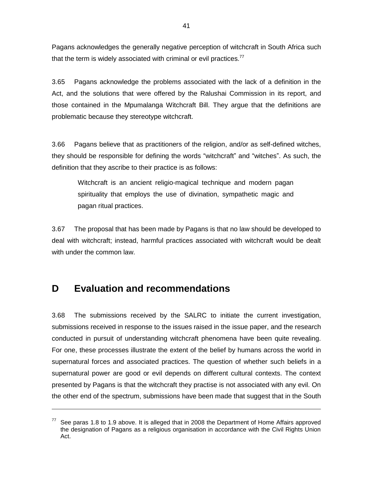Pagans acknowledges the generally negative perception of witchcraft in South Africa such that the term is widely associated with criminal or evil practices.<sup>77</sup>

3.65 Pagans acknowledge the problems associated with the lack of a definition in the Act, and the solutions that were offered by the Ralushai Commission in its report, and those contained in the Mpumalanga Witchcraft Bill. They argue that the definitions are problematic because they stereotype witchcraft.

3.66 Pagans believe that as practitioners of the religion, and/or as self-defined witches, they should be responsible for defining the words "witchcraft" and "witches". As such, the definition that they ascribe to their practice is as follows:

Witchcraft is an ancient religio-magical technique and modern pagan spirituality that employs the use of divination, sympathetic magic and pagan ritual practices.

3.67 The proposal that has been made by Pagans is that no law should be developed to deal with witchcraft; instead, harmful practices associated with witchcraft would be dealt with under the common law.

# **D Evaluation and recommendations**

-

3.68 The submissions received by the SALRC to initiate the current investigation, submissions received in response to the issues raised in the issue paper, and the research conducted in pursuit of understanding witchcraft phenomena have been quite revealing. For one, these processes illustrate the extent of the belief by humans across the world in supernatural forces and associated practices. The question of whether such beliefs in a supernatural power are good or evil depends on different cultural contexts. The context presented by Pagans is that the witchcraft they practise is not associated with any evil. On the other end of the spectrum, submissions have been made that suggest that in the South

See paras 1.8 to 1.9 above. It is alleged that in 2008 the Department of Home Affairs approved the designation of Pagans as a religious organisation in accordance with the Civil Rights Union Act.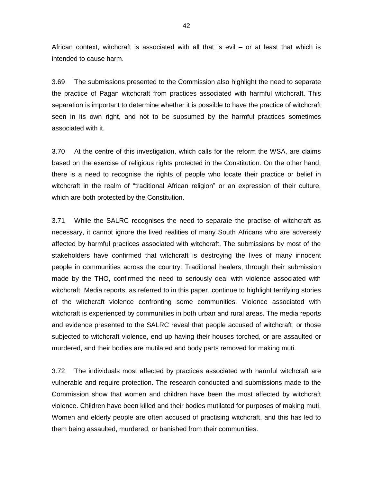African context, witchcraft is associated with all that is evil – or at least that which is intended to cause harm.

3.69 The submissions presented to the Commission also highlight the need to separate the practice of Pagan witchcraft from practices associated with harmful witchcraft. This separation is important to determine whether it is possible to have the practice of witchcraft seen in its own right, and not to be subsumed by the harmful practices sometimes associated with it.

3.70 At the centre of this investigation, which calls for the reform the WSA, are claims based on the exercise of religious rights protected in the Constitution. On the other hand, there is a need to recognise the rights of people who locate their practice or belief in witchcraft in the realm of "traditional African religion" or an expression of their culture, which are both protected by the Constitution.

3.71 While the SALRC recognises the need to separate the practise of witchcraft as necessary, it cannot ignore the lived realities of many South Africans who are adversely affected by harmful practices associated with witchcraft. The submissions by most of the stakeholders have confirmed that witchcraft is destroying the lives of many innocent people in communities across the country. Traditional healers, through their submission made by the THO, confirmed the need to seriously deal with violence associated with witchcraft. Media reports, as referred to in this paper, continue to highlight terrifying stories of the witchcraft violence confronting some communities. Violence associated with witchcraft is experienced by communities in both urban and rural areas. The media reports and evidence presented to the SALRC reveal that people accused of witchcraft, or those subjected to witchcraft violence, end up having their houses torched, or are assaulted or murdered, and their bodies are mutilated and body parts removed for making muti.

3.72 The individuals most affected by practices associated with harmful witchcraft are vulnerable and require protection. The research conducted and submissions made to the Commission show that women and children have been the most affected by witchcraft violence. Children have been killed and their bodies mutilated for purposes of making muti. Women and elderly people are often accused of practising witchcraft, and this has led to them being assaulted, murdered, or banished from their communities.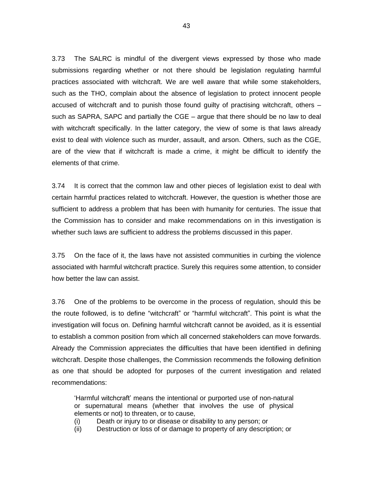3.73 The SALRC is mindful of the divergent views expressed by those who made submissions regarding whether or not there should be legislation regulating harmful practices associated with witchcraft. We are well aware that while some stakeholders, such as the THO, complain about the absence of legislation to protect innocent people accused of witchcraft and to punish those found guilty of practising witchcraft, others – such as SAPRA, SAPC and partially the CGE – argue that there should be no law to deal with witchcraft specifically. In the latter category, the view of some is that laws already exist to deal with violence such as murder, assault, and arson. Others, such as the CGE, are of the view that if witchcraft is made a crime, it might be difficult to identify the elements of that crime.

3.74 It is correct that the common law and other pieces of legislation exist to deal with certain harmful practices related to witchcraft. However, the question is whether those are sufficient to address a problem that has been with humanity for centuries. The issue that the Commission has to consider and make recommendations on in this investigation is whether such laws are sufficient to address the problems discussed in this paper.

3.75 On the face of it, the laws have not assisted communities in curbing the violence associated with harmful witchcraft practice. Surely this requires some attention, to consider how better the law can assist.

3.76 One of the problems to be overcome in the process of regulation, should this be the route followed, is to define "witchcraft" or "harmful witchcraft". This point is what the investigation will focus on. Defining harmful witchcraft cannot be avoided, as it is essential to establish a common position from which all concerned stakeholders can move forwards. Already the Commission appreciates the difficulties that have been identified in defining witchcraft. Despite those challenges, the Commission recommends the following definition as one that should be adopted for purposes of the current investigation and related recommendations:

"Harmful witchcraft" means the intentional or purported use of non-natural or supernatural means (whether that involves the use of physical elements or not) to threaten, or to cause,

- (i) Death or injury to or disease or disability to any person; or
- (ii) Destruction or loss of or damage to property of any description; or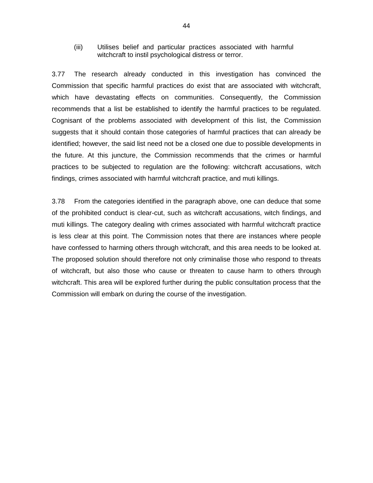(iii) Utilises belief and particular practices associated with harmful witchcraft to instil psychological distress or terror.

3.77 The research already conducted in this investigation has convinced the Commission that specific harmful practices do exist that are associated with witchcraft, which have devastating effects on communities. Consequently, the Commission recommends that a list be established to identify the harmful practices to be regulated. Cognisant of the problems associated with development of this list, the Commission suggests that it should contain those categories of harmful practices that can already be identified; however, the said list need not be a closed one due to possible developments in the future. At this juncture, the Commission recommends that the crimes or harmful practices to be subjected to regulation are the following: witchcraft accusations, witch findings, crimes associated with harmful witchcraft practice, and muti killings.

3.78 From the categories identified in the paragraph above, one can deduce that some of the prohibited conduct is clear-cut, such as witchcraft accusations, witch findings, and muti killings. The category dealing with crimes associated with harmful witchcraft practice is less clear at this point. The Commission notes that there are instances where people have confessed to harming others through witchcraft, and this area needs to be looked at. The proposed solution should therefore not only criminalise those who respond to threats of witchcraft, but also those who cause or threaten to cause harm to others through witchcraft. This area will be explored further during the public consultation process that the Commission will embark on during the course of the investigation.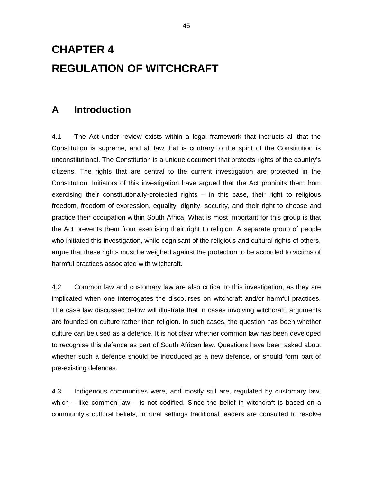# **CHAPTER 4 REGULATION OF WITCHCRAFT**

### **A Introduction**

4.1 The Act under review exists within a legal framework that instructs all that the Constitution is supreme, and all law that is contrary to the spirit of the Constitution is unconstitutional. The Constitution is a unique document that protects rights of the country"s citizens. The rights that are central to the current investigation are protected in the Constitution. Initiators of this investigation have argued that the Act prohibits them from exercising their constitutionally-protected rights – in this case, their right to religious freedom, freedom of expression, equality, dignity, security, and their right to choose and practice their occupation within South Africa. What is most important for this group is that the Act prevents them from exercising their right to religion. A separate group of people who initiated this investigation, while cognisant of the religious and cultural rights of others, argue that these rights must be weighed against the protection to be accorded to victims of harmful practices associated with witchcraft.

4.2 Common law and customary law are also critical to this investigation, as they are implicated when one interrogates the discourses on witchcraft and/or harmful practices. The case law discussed below will illustrate that in cases involving witchcraft, arguments are founded on culture rather than religion. In such cases, the question has been whether culture can be used as a defence. It is not clear whether common law has been developed to recognise this defence as part of South African law. Questions have been asked about whether such a defence should be introduced as a new defence, or should form part of pre-existing defences.

4.3 Indigenous communities were, and mostly still are, regulated by customary law, which – like common law – is not codified. Since the belief in witchcraft is based on a community"s cultural beliefs, in rural settings traditional leaders are consulted to resolve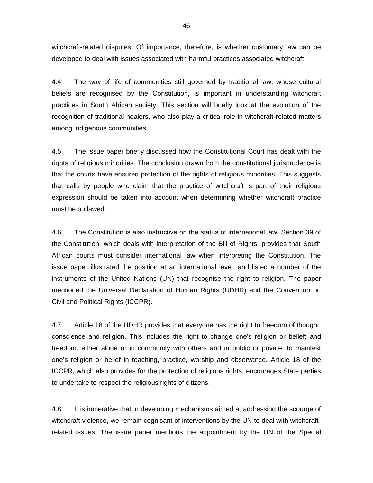witchcraft-related disputes. Of importance, therefore, is whether customary law can be developed to deal with issues associated with harmful practices associated witchcraft.

4.4 The way of life of communities still governed by traditional law, whose cultural beliefs are recognised by the Constitution, is important in understanding witchcraft practices in South African society. This section will briefly look at the evolution of the recognition of traditional healers, who also play a critical role in witchcraft-related matters among indigenous communities.

4.5 The issue paper briefly discussed how the Constitutional Court has dealt with the rights of religious minorities. The conclusion drawn from the constitutional jurisprudence is that the courts have ensured protection of the rights of religious minorities. This suggests that calls by people who claim that the practice of witchcraft is part of their religious expression should be taken into account when determining whether witchcraft practice must be outlawed.

4.6 The Constitution is also instructive on the status of international law. Section 39 of the Constitution, which deals with interpretation of the Bill of Rights, provides that South African courts must consider international law when interpreting the Constitution. The issue paper illustrated the position at an international level, and listed a number of the instruments of the United Nations (UN) that recognise the right to religion. The paper mentioned the Universal Declaration of Human Rights (UDHR) and the Convention on Civil and Political Rights (ICCPR).

4.7 Article 18 of the UDHR provides that everyone has the right to freedom of thought, conscience and religion. This includes the right to change one"s religion or belief; and freedom, either alone or in community with others and in public or private, to manifest one"s religion or belief in teaching, practice, worship and observance. Article 18 of the ICCPR, which also provides for the protection of religious rights, encourages State parties to undertake to respect the religious rights of citizens.

4.8 It is imperative that in developing mechanisms aimed at addressing the scourge of witchcraft violence, we remain cognisant of interventions by the UN to deal with witchcraftrelated issues. The issue paper mentions the appointment by the UN of the Special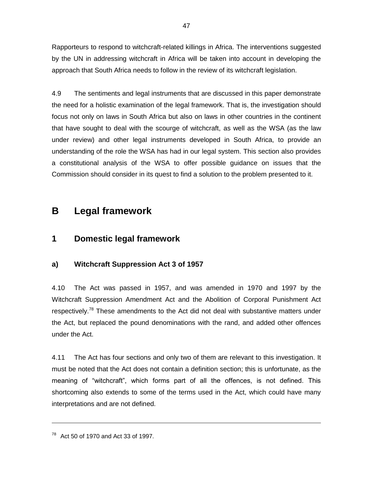Rapporteurs to respond to witchcraft-related killings in Africa. The interventions suggested by the UN in addressing witchcraft in Africa will be taken into account in developing the approach that South Africa needs to follow in the review of its witchcraft legislation.

4.9 The sentiments and legal instruments that are discussed in this paper demonstrate the need for a holistic examination of the legal framework. That is, the investigation should focus not only on laws in South Africa but also on laws in other countries in the continent that have sought to deal with the scourge of witchcraft, as well as the WSA (as the law under review) and other legal instruments developed in South Africa, to provide an understanding of the role the WSA has had in our legal system. This section also provides a constitutional analysis of the WSA to offer possible guidance on issues that the Commission should consider in its quest to find a solution to the problem presented to it.

## **B Legal framework**

### **1 Domestic legal framework**

#### **a) Witchcraft Suppression Act 3 of 1957**

4.10 The Act was passed in 1957, and was amended in 1970 and 1997 by the Witchcraft Suppression Amendment Act and the Abolition of Corporal Punishment Act respectively.<sup>78</sup> These amendments to the Act did not deal with substantive matters under the Act, but replaced the pound denominations with the rand, and added other offences under the Act.

4.11 The Act has four sections and only two of them are relevant to this investigation. It must be noted that the Act does not contain a definition section; this is unfortunate, as the meaning of "witchcraft", which forms part of all the offences, is not defined. This shortcoming also extends to some of the terms used in the Act, which could have many interpretations and are not defined.

 $78$  Act 50 of 1970 and Act 33 of 1997.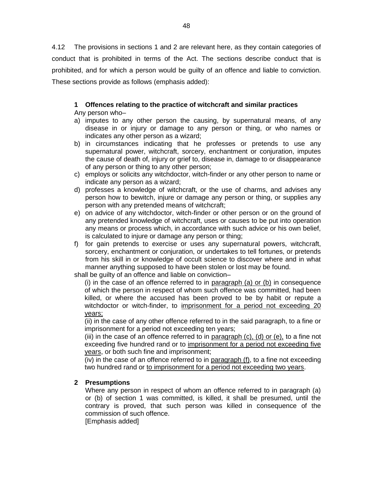4.12 The provisions in sections 1 and 2 are relevant here, as they contain categories of conduct that is prohibited in terms of the Act. The sections describe conduct that is prohibited, and for which a person would be guilty of an offence and liable to conviction. These sections provide as follows (emphasis added):

### **1 Offences relating to the practice of witchcraft and similar practices**

Any person who–

- a) imputes to any other person the causing, by supernatural means, of any disease in or injury or damage to any person or thing, or who names or indicates any other person as a wizard;
- b) in circumstances indicating that he professes or pretends to use any supernatural power, witchcraft, sorcery, enchantment or conjuration, imputes the cause of death of, injury or grief to, disease in, damage to or disappearance of any person or thing to any other person;
- c) employs or solicits any witchdoctor, witch-finder or any other person to name or indicate any person as a wizard;
- d) professes a knowledge of witchcraft, or the use of charms, and advises any person how to bewitch, injure or damage any person or thing, or supplies any person with any pretended means of witchcraft;
- e) on advice of any witchdoctor, witch-finder or other person or on the ground of any pretended knowledge of witchcraft, uses or causes to be put into operation any means or process which, in accordance with such advice or his own belief, is calculated to injure or damage any person or thing;
- f) for gain pretends to exercise or uses any supernatural powers, witchcraft, sorcery, enchantment or conjuration, or undertakes to tell fortunes, or pretends from his skill in or knowledge of occult science to discover where and in what manner anything supposed to have been stolen or lost may be found.

shall be guilty of an offence and liable on conviction–

(i) in the case of an offence referred to in  $\frac{1}{2}$  paragraph (a) or (b) in consequence of which the person in respect of whom such offence was committed, had been killed, or where the accused has been proved to be by habit or repute a witchdoctor or witch-finder, to imprisonment for a period not exceeding 20 years;

(ii) in the case of any other offence referred to in the said paragraph, to a fine or imprisonment for a period not exceeding ten years;

(iii) in the case of an offence referred to in  $\frac{1}{2}$  paragraph (c), (d) or (e), to a fine not exceeding five hundred rand or to imprisonment for a period not exceeding five years, or both such fine and imprisonment;

(iv) in the case of an offence referred to in paragraph (f), to a fine not exceeding two hundred rand or to imprisonment for a period not exceeding two years.

#### **2 Presumptions**

Where any person in respect of whom an offence referred to in paragraph (a) or (b) of section 1 was committed, is killed, it shall be presumed, until the contrary is proved, that such person was killed in consequence of the commission of such offence.

[Emphasis added]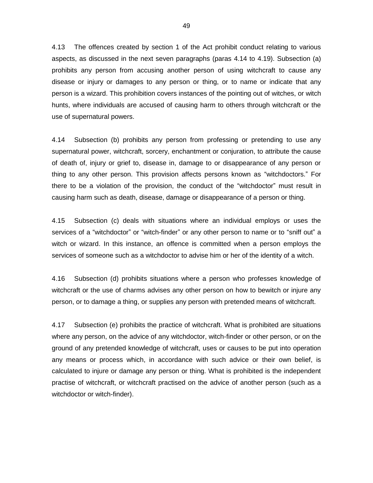4.13 The offences created by section 1 of the Act prohibit conduct relating to various aspects, as discussed in the next seven paragraphs (paras 4.14 to 4.19). Subsection (a) prohibits any person from accusing another person of using witchcraft to cause any disease or injury or damages to any person or thing, or to name or indicate that any person is a wizard. This prohibition covers instances of the pointing out of witches, or witch hunts, where individuals are accused of causing harm to others through witchcraft or the use of supernatural powers.

4.14 Subsection (b) prohibits any person from professing or pretending to use any supernatural power, witchcraft, sorcery, enchantment or conjuration, to attribute the cause of death of, injury or grief to, disease in, damage to or disappearance of any person or thing to any other person. This provision affects persons known as "witchdoctors." For there to be a violation of the provision, the conduct of the "witchdoctor" must result in causing harm such as death, disease, damage or disappearance of a person or thing.

4.15 Subsection (c) deals with situations where an individual employs or uses the services of a "witchdoctor" or "witch-finder" or any other person to name or to "sniff out" a witch or wizard. In this instance, an offence is committed when a person employs the services of someone such as a witchdoctor to advise him or her of the identity of a witch.

4.16 Subsection (d) prohibits situations where a person who professes knowledge of witchcraft or the use of charms advises any other person on how to bewitch or injure any person, or to damage a thing, or supplies any person with pretended means of witchcraft.

4.17 Subsection (e) prohibits the practice of witchcraft. What is prohibited are situations where any person, on the advice of any witchdoctor, witch-finder or other person, or on the ground of any pretended knowledge of witchcraft, uses or causes to be put into operation any means or process which, in accordance with such advice or their own belief, is calculated to injure or damage any person or thing. What is prohibited is the independent practise of witchcraft, or witchcraft practised on the advice of another person (such as a witchdoctor or witch-finder).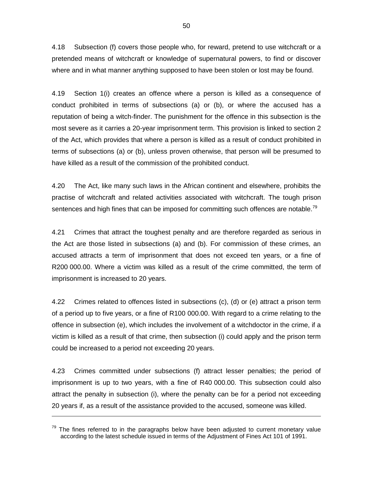4.18 Subsection (f) covers those people who, for reward, pretend to use witchcraft or a pretended means of witchcraft or knowledge of supernatural powers, to find or discover where and in what manner anything supposed to have been stolen or lost may be found.

4.19 Section 1(i) creates an offence where a person is killed as a consequence of conduct prohibited in terms of subsections (a) or (b), or where the accused has a reputation of being a witch-finder. The punishment for the offence in this subsection is the most severe as it carries a 20-year imprisonment term. This provision is linked to section 2 of the Act, which provides that where a person is killed as a result of conduct prohibited in terms of subsections (a) or (b), unless proven otherwise, that person will be presumed to have killed as a result of the commission of the prohibited conduct.

4.20 The Act, like many such laws in the African continent and elsewhere, prohibits the practise of witchcraft and related activities associated with witchcraft. The tough prison sentences and high fines that can be imposed for committing such offences are notable.<sup>79</sup>

4.21 Crimes that attract the toughest penalty and are therefore regarded as serious in the Act are those listed in subsections (a) and (b). For commission of these crimes, an accused attracts a term of imprisonment that does not exceed ten years, or a fine of R200 000.00. Where a victim was killed as a result of the crime committed, the term of imprisonment is increased to 20 years.

4.22 Crimes related to offences listed in subsections (c), (d) or (e) attract a prison term of a period up to five years, or a fine of R100 000.00. With regard to a crime relating to the offence in subsection (e), which includes the involvement of a witchdoctor in the crime, if a victim is killed as a result of that crime, then subsection (i) could apply and the prison term could be increased to a period not exceeding 20 years.

4.23 Crimes committed under subsections (f) attract lesser penalties; the period of imprisonment is up to two years, with a fine of R40 000.00. This subsection could also attract the penalty in subsection (i), where the penalty can be for a period not exceeding 20 years if, as a result of the assistance provided to the accused, someone was killed.

 $79$  The fines referred to in the paragraphs below have been adjusted to current monetary value according to the latest schedule issued in terms of the Adjustment of Fines Act 101 of 1991.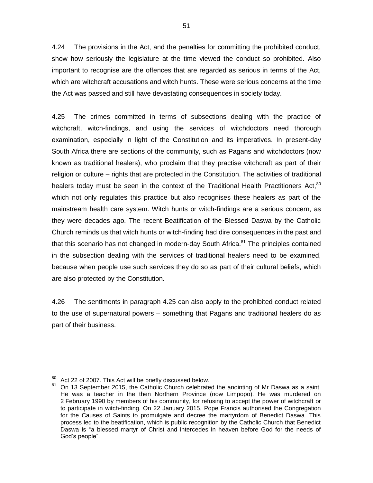4.24 The provisions in the Act, and the penalties for committing the prohibited conduct, show how seriously the legislature at the time viewed the conduct so prohibited. Also important to recognise are the offences that are regarded as serious in terms of the Act, which are witchcraft accusations and witch hunts. These were serious concerns at the time the Act was passed and still have devastating consequences in society today.

4.25 The crimes committed in terms of subsections dealing with the practice of witchcraft, witch-findings, and using the services of witchdoctors need thorough examination, especially in light of the Constitution and its imperatives. In present-day South Africa there are sections of the community, such as Pagans and witchdoctors (now known as traditional healers), who proclaim that they practise witchcraft as part of their religion or culture – rights that are protected in the Constitution. The activities of traditional healers today must be seen in the context of the Traditional Health Practitioners Act, $80$ which not only regulates this practice but also recognises these healers as part of the mainstream health care system. Witch hunts or witch-findings are a serious concern, as they were decades ago. The recent Beatification of the Blessed Daswa by the Catholic Church reminds us that witch hunts or witch-finding had dire consequences in the past and that this scenario has not changed in modern-day South Africa.<sup>81</sup> The principles contained in the subsection dealing with the services of traditional healers need to be examined, because when people use such services they do so as part of their cultural beliefs, which are also protected by the Constitution.

4.26 The sentiments in paragraph 4.25 can also apply to the prohibited conduct related to the use of supernatural powers – something that Pagans and traditional healers do as part of their business.

<sup>&</sup>lt;sup>80</sup> Act 22 of 2007. This Act will be briefly discussed below.

 $81$  On 13 September 2015, the Catholic Church celebrated the anointing of Mr Daswa as a saint. He was a teacher in the then Northern Province (now Limpopo). He was murdered on 2 February 1990 by members of his community, for refusing to accept the power of witchcraft or to participate in witch-finding. On 22 January 2015, Pope Francis authorised the Congregation for the Causes of Saints to promulgate and decree the martyrdom of Benedict Daswa. This process led to the beatification, which is public recognition by the Catholic Church that Benedict Daswa is "a blessed martyr of Christ and intercedes in heaven before God for the needs of God"s people".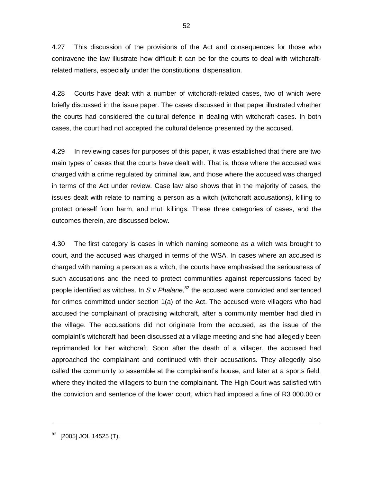4.27 This discussion of the provisions of the Act and consequences for those who contravene the law illustrate how difficult it can be for the courts to deal with witchcraftrelated matters, especially under the constitutional dispensation.

4.28 Courts have dealt with a number of witchcraft-related cases, two of which were briefly discussed in the issue paper. The cases discussed in that paper illustrated whether the courts had considered the cultural defence in dealing with witchcraft cases. In both cases, the court had not accepted the cultural defence presented by the accused.

4.29 In reviewing cases for purposes of this paper, it was established that there are two main types of cases that the courts have dealt with. That is, those where the accused was charged with a crime regulated by criminal law, and those where the accused was charged in terms of the Act under review. Case law also shows that in the majority of cases, the issues dealt with relate to naming a person as a witch (witchcraft accusations), killing to protect oneself from harm, and muti killings. These three categories of cases, and the outcomes therein, are discussed below.

4.30 The first category is cases in which naming someone as a witch was brought to court, and the accused was charged in terms of the WSA. In cases where an accused is charged with naming a person as a witch, the courts have emphasised the seriousness of such accusations and the need to protect communities against repercussions faced by people identified as witches. In *S v Phalane*, <sup>82</sup> the accused were convicted and sentenced for crimes committed under section 1(a) of the Act. The accused were villagers who had accused the complainant of practising witchcraft, after a community member had died in the village. The accusations did not originate from the accused, as the issue of the complaint"s witchcraft had been discussed at a village meeting and she had allegedly been reprimanded for her witchcraft. Soon after the death of a villager, the accused had approached the complainant and continued with their accusations. They allegedly also called the community to assemble at the complainant"s house, and later at a sports field, where they incited the villagers to burn the complainant. The High Court was satisfied with the conviction and sentence of the lower court, which had imposed a fine of R3 000.00 or

<sup>[2005]</sup> JOL 14525 (T).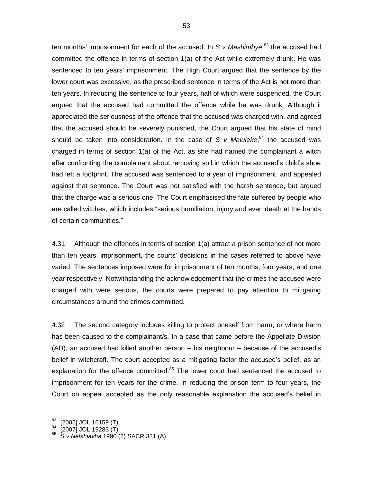ten months' imprisonment for each of the accused. In S v Mashimbye,<sup>83</sup> the accused had committed the offence in terms of section 1(a) of the Act while extremely drunk. He was sentenced to ten years' imprisonment. The High Court argued that the sentence by the lower court was excessive, as the prescribed sentence in terms of the Act is not more than ten years. In reducing the sentence to four years, half of which were suspended, the Court argued that the accused had committed the offence while he was drunk. Although it appreciated the seriousness of the offence that the accused was charged with, and agreed that the accused should be severely punished, the Court argued that his state of mind should be taken into consideration. In the case of *S v Maluleke*, <sup>84</sup> the accused was charged in terms of section 1(a) of the Act, as she had named the complainant a witch after confronting the complainant about removing soil in which the accused"s child"s shoe had left a footprint. The accused was sentenced to a year of imprisonment, and appealed against that sentence. The Court was not satisfied with the harsh sentence, but argued that the charge was a serious one. The Court emphasised the fate suffered by people who are called witches, which includes "serious humiliation, injury and even death at the hands of certain communities."

4.31 Although the offences in terms of section 1(a) attract a prison sentence of not more than ten years" imprisonment, the courts" decisions in the cases referred to above have varied. The sentences imposed were for imprisonment of ten months, four years, and one year respectively. Notwithstanding the acknowledgement that the crimes the accused were charged with were serious, the courts were prepared to pay attention to mitigating circumstances around the crimes committed.

4.32 The second category includes killing to protect oneself from harm, or where harm has been caused to the complainant/s. In a case that came before the Appellate Division (AD), an accused had killed another person – his neighbour – because of the accused"s belief in witchcraft. The court accepted as a mitigating factor the accused"s belief, as an explanation for the offence committed. $85$  The lower court had sentenced the accused to imprisonment for ten years for the crime. In reducing the prison term to four years, the Court on appeal accepted as the only reasonable explanation the accused"s belief in

<sup>[2005]</sup> JOL 16159 (T).

 $[2007]$  JOL 19283 $(T)$ 

<sup>85</sup> *S v Netshiavha* 1990 (2) SACR 331 (A).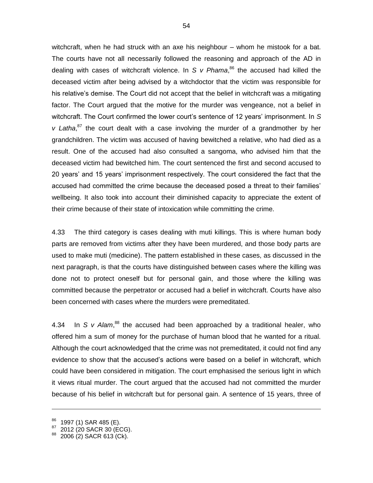witchcraft, when he had struck with an axe his neighbour – whom he mistook for a bat. The courts have not all necessarily followed the reasoning and approach of the AD in dealing with cases of witchcraft violence. In *S v Phama*, <sup>86</sup> the accused had killed the deceased victim after being advised by a witchdoctor that the victim was responsible for his relative's demise. The Court did not accept that the belief in witchcraft was a mitigating factor. The Court argued that the motive for the murder was vengeance, not a belief in witchcraft. The Court confirmed the lower court"s sentence of 12 years" imprisonment. In *S*  v Latha,<sup>87</sup> the court dealt with a case involving the murder of a grandmother by her grandchildren. The victim was accused of having bewitched a relative, who had died as a result. One of the accused had also consulted a sangoma, who advised him that the deceased victim had bewitched him. The court sentenced the first and second accused to 20 years" and 15 years" imprisonment respectively. The court considered the fact that the accused had committed the crime because the deceased posed a threat to their families" wellbeing. It also took into account their diminished capacity to appreciate the extent of their crime because of their state of intoxication while committing the crime.

4.33 The third category is cases dealing with muti killings. This is where human body parts are removed from victims after they have been murdered, and those body parts are used to make muti (medicine). The pattern established in these cases, as discussed in the next paragraph, is that the courts have distinguished between cases where the killing was done not to protect oneself but for personal gain, and those where the killing was committed because the perpetrator or accused had a belief in witchcraft. Courts have also been concerned with cases where the murders were premeditated.

4.34 In *S v Alam*,<sup>88</sup> the accused had been approached by a traditional healer, who offered him a sum of money for the purchase of human blood that he wanted for a ritual. Although the court acknowledged that the crime was not premeditated, it could not find any evidence to show that the accused's actions were based on a belief in witchcraft, which could have been considered in mitigation. The court emphasised the serious light in which it views ritual murder. The court argued that the accused had not committed the murder because of his belief in witchcraft but for personal gain. A sentence of 15 years, three of

<sup>1997 (1)</sup> SAR 485 (E).

<sup>2012 (20</sup> SACR 30 (ECG).

<sup>2006 (2)</sup> SACR 613 (Ck).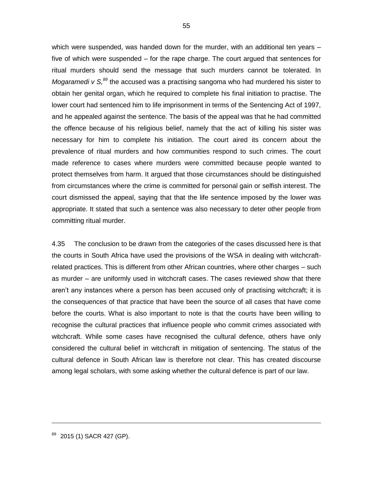which were suspended, was handed down for the murder, with an additional ten years five of which were suspended – for the rape charge. The court argued that sentences for ritual murders should send the message that such murders cannot be tolerated. In Mogaramedi v S,<sup>89</sup> the accused was a practising sangoma who had murdered his sister to obtain her genital organ, which he required to complete his final initiation to practise. The lower court had sentenced him to life imprisonment in terms of the Sentencing Act of 1997, and he appealed against the sentence. The basis of the appeal was that he had committed the offence because of his religious belief, namely that the act of killing his sister was necessary for him to complete his initiation. The court aired its concern about the prevalence of ritual murders and how communities respond to such crimes. The court made reference to cases where murders were committed because people wanted to protect themselves from harm. It argued that those circumstances should be distinguished from circumstances where the crime is committed for personal gain or selfish interest. The court dismissed the appeal, saying that that the life sentence imposed by the lower was appropriate. It stated that such a sentence was also necessary to deter other people from committing ritual murder.

4.35 The conclusion to be drawn from the categories of the cases discussed here is that the courts in South Africa have used the provisions of the WSA in dealing with witchcraftrelated practices. This is different from other African countries, where other charges – such as murder – are uniformly used in witchcraft cases. The cases reviewed show that there aren"t any instances where a person has been accused only of practising witchcraft; it is the consequences of that practice that have been the source of all cases that have come before the courts. What is also important to note is that the courts have been willing to recognise the cultural practices that influence people who commit crimes associated with witchcraft. While some cases have recognised the cultural defence, others have only considered the cultural belief in witchcraft in mitigation of sentencing. The status of the cultural defence in South African law is therefore not clear. This has created discourse among legal scholars, with some asking whether the cultural defence is part of our law.

<sup>2015 (1)</sup> SACR 427 (GP).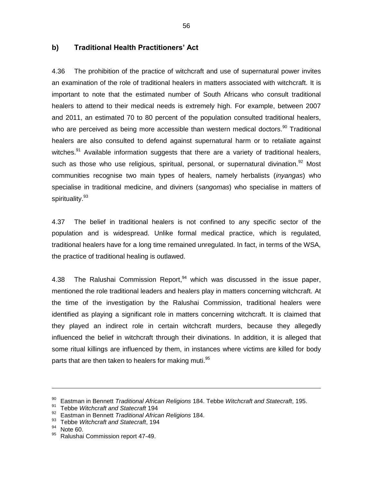#### **b) Traditional Health Practitioners" Act**

4.36 The prohibition of the practice of witchcraft and use of supernatural power invites an examination of the role of traditional healers in matters associated with witchcraft. It is important to note that the estimated number of South Africans who consult traditional healers to attend to their medical needs is extremely high. For example, between 2007 and 2011, an estimated 70 to 80 percent of the population consulted traditional healers, who are perceived as being more accessible than western medical doctors.<sup>90</sup> Traditional healers are also consulted to defend against supernatural harm or to retaliate against witches. $91$  Available information suggests that there are a variety of traditional healers, such as those who use religious, spiritual, personal, or supernatural divination.<sup>92</sup> Most communities recognise two main types of healers, namely herbalists (*inyangas*) who specialise in traditional medicine, and diviners (*sangomas*) who specialise in matters of spirituality. 93

4.37 The belief in traditional healers is not confined to any specific sector of the population and is widespread. Unlike formal medical practice, which is regulated, traditional healers have for a long time remained unregulated. In fact, in terms of the WSA, the practice of traditional healing is outlawed.

4.38 The Ralushai Commission Report,<sup>94</sup> which was discussed in the issue paper, mentioned the role traditional leaders and healers play in matters concerning witchcraft. At the time of the investigation by the Ralushai Commission, traditional healers were identified as playing a significant role in matters concerning witchcraft. It is claimed that they played an indirect role in certain witchcraft murders, because they allegedly influenced the belief in witchcraft through their divinations. In addition, it is alleged that some ritual killings are influenced by them, in instances where victims are killed for body parts that are then taken to healers for making muti.<sup>95</sup>

<sup>90</sup> Eastman in Bennett *Traditional African Religions* 184. Tebbe *Witchcraft and Statecraft*, 195.

<sup>91</sup> Tebbe *Witchcraft and Statecraft* 194

<sup>92</sup> Eastman in Bennett *Traditional African Religions* 184.

<sup>93</sup> Tebbe *Witchcraft and Statecraft*, 194

Note 60.

Ralushai Commission report 47-49.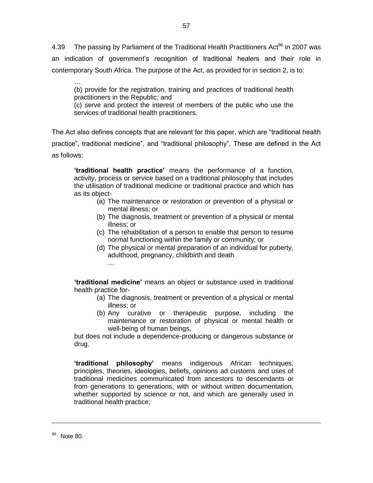4.39 The passing by Parliament of the Traditional Health Practitioners Act<sup>96</sup> in 2007 was an indication of government"s recognition of traditional healers and their role in contemporary South Africa. The purpose of the Act, as provided for in section 2, is to:

… (b) provide for the registration, training and practices of traditional health practitioners in the Republic; and

(c) serve and protect the interest of members of the public who use the services of traditional health practitioners.

The Act also defines concepts that are relevant for this paper, which are "traditional health practice", traditional medicine", and "traditional philosophy". These are defined in the Act as follows:

**"traditional health practice"** means the performance of a function, activity, process or service based on a traditional philosophy that includes the utilisation of traditional medicine or traditional practice and which has as its object-

- (a) The maintenance or restoration or prevention of a physical or mental illness; or
- (b) The diagnosis, treatment or prevention of a physical or mental illness; or
- (c) The rehabilitation of a person to enable that person to resume normal functioning within the family or community; or
- (d) The physical or mental preparation of an individual for puberty, adulthood, pregnancy, childbirth and death …

**"traditional medicine"** means an object or substance used in traditional health practice for-

- (a) The diagnosis, treatment or prevention of a physical or mental illness; or
- (b) Any curative or therapeutic purpose, including the maintenance or restoration of physical or mental health or well-being of human beings,

but does not include a dependence-producing or dangerous substance or drug.

**"traditional philosophy"** means indigenous African techniques, principles, theories, ideologies, beliefs, opinions ad customs and uses of traditional medicines communicated from ancestors to descendants or from generations to generations, with or without written documentation, whether supported by science or not, and which are generally used in traditional health practice;

<sup>&</sup>lt;sup>96</sup> Note 80.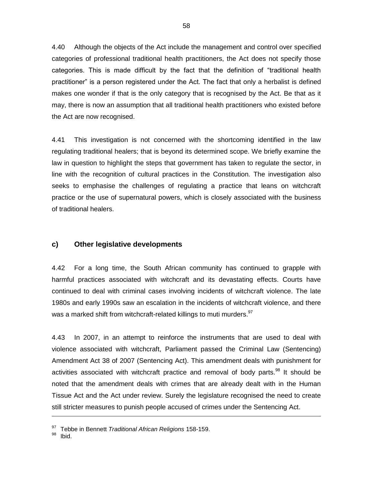4.40 Although the objects of the Act include the management and control over specified categories of professional traditional health practitioners, the Act does not specify those categories. This is made difficult by the fact that the definition of "traditional health practitioner" is a person registered under the Act. The fact that only a herbalist is defined makes one wonder if that is the only category that is recognised by the Act. Be that as it may, there is now an assumption that all traditional health practitioners who existed before the Act are now recognised.

4.41 This investigation is not concerned with the shortcoming identified in the law regulating traditional healers; that is beyond its determined scope. We briefly examine the law in question to highlight the steps that government has taken to regulate the sector, in line with the recognition of cultural practices in the Constitution. The investigation also seeks to emphasise the challenges of regulating a practice that leans on witchcraft practice or the use of supernatural powers, which is closely associated with the business of traditional healers.

#### **c) Other legislative developments**

4.42 For a long time, the South African community has continued to grapple with harmful practices associated with witchcraft and its devastating effects. Courts have continued to deal with criminal cases involving incidents of witchcraft violence. The late 1980s and early 1990s saw an escalation in the incidents of witchcraft violence, and there was a marked shift from witchcraft-related killings to muti murders. <sup>97</sup>

4.43 In 2007, in an attempt to reinforce the instruments that are used to deal with violence associated with witchcraft, Parliament passed the Criminal Law (Sentencing) Amendment Act 38 of 2007 (Sentencing Act). This amendment deals with punishment for activities associated with witchcraft practice and removal of body parts.<sup>98</sup> It should be noted that the amendment deals with crimes that are already dealt with in the Human Tissue Act and the Act under review. Surely the legislature recognised the need to create still stricter measures to punish people accused of crimes under the Sentencing Act.

<sup>97</sup> Tebbe in Bennett *Traditional African Religions* 158-159.

Ibid.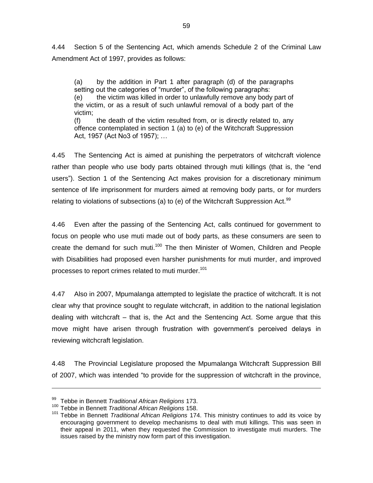4.44 Section 5 of the Sentencing Act, which amends Schedule 2 of the Criminal Law Amendment Act of 1997, provides as follows:

(a) by the addition in Part 1 after paragraph (d) of the paragraphs setting out the categories of "murder", of the following paragraphs: (e) the victim was killed in order to unlawfully remove any body part of the victim, or as a result of such unlawful removal of a body part of the victim;

(f) the death of the victim resulted from, or is directly related to, any offence contemplated in section 1 (a) to (e) of the Witchcraft Suppression Act, 1957 (Act No3 of 1957); …

4.45 The Sentencing Act is aimed at punishing the perpetrators of witchcraft violence rather than people who use body parts obtained through muti killings (that is, the "end users"). Section 1 of the Sentencing Act makes provision for a discretionary minimum sentence of life imprisonment for murders aimed at removing body parts, or for murders relating to violations of subsections (a) to (e) of the Witchcraft Suppression Act.<sup>99</sup>

4.46 Even after the passing of the Sentencing Act, calls continued for government to focus on people who use muti made out of body parts, as these consumers are seen to create the demand for such muti.<sup>100</sup> The then Minister of Women, Children and People with Disabilities had proposed even harsher punishments for muti murder, and improved processes to report crimes related to muti murder.<sup>101</sup>

4.47 Also in 2007, Mpumalanga attempted to legislate the practice of witchcraft. It is not clear why that province sought to regulate witchcraft, in addition to the national legislation dealing with witchcraft – that is, the Act and the Sentencing Act. Some argue that this move might have arisen through frustration with government's perceived delays in reviewing witchcraft legislation.

4.48 The Provincial Legislature proposed the Mpumalanga Witchcraft Suppression Bill of 2007, which was intended "to provide for the suppression of witchcraft in the province,

<sup>99</sup> Tebbe in Bennett *Traditional African Religions* 173.

<sup>100</sup> Tebbe in Bennett *Traditional African Religions* 158.

<sup>101</sup> Tebbe in Bennett *Traditional African Religions* 174. This ministry continues to add its voice by encouraging government to develop mechanisms to deal with muti killings. This was seen in their appeal in 2011, when they requested the Commission to investigate muti murders. The issues raised by the ministry now form part of this investigation.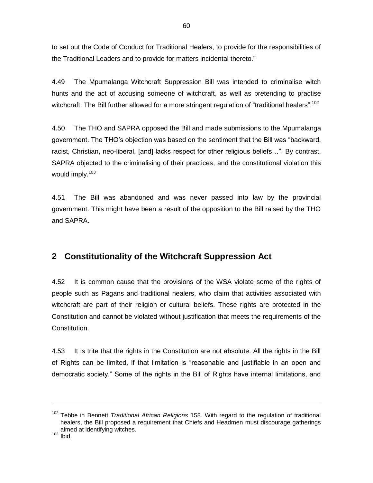to set out the Code of Conduct for Traditional Healers, to provide for the responsibilities of the Traditional Leaders and to provide for matters incidental thereto."

4.49 The Mpumalanga Witchcraft Suppression Bill was intended to criminalise witch hunts and the act of accusing someone of witchcraft, as well as pr*e*tending to practise witchcraft. The Bill further allowed for a more stringent regulation of "traditional healers".<sup>102</sup>

4.50 The THO and SAPRA opposed the Bill and made submissions to the Mpumalanga government. The THO"s objection was based on the sentiment that the Bill was "backward, racist, Christian, neo-liberal, [and] lacks respect for other religious beliefs…". By contrast, SAPRA objected to the criminalising of their practices, and the constitutional violation this would imply.<sup>103</sup>

4.51 The Bill was abandoned and was never passed into law by the provincial government. This might have been a result of the opposition to the Bill raised by the THO and SAPRA.

### **2 Constitutionality of the Witchcraft Suppression Act**

4.52 It is common cause that the provisions of the WSA violate some of the rights of people such as Pagans and traditional healers, who claim that activities associated with witchcraft are part of their religion or cultural beliefs. These rights are protected in the Constitution and cannot be violated without justification that meets the requirements of the Constitution.

4.53 It is trite that the rights in the Constitution are not absolute. All the rights in the Bill of Rights can be limited, if that limitation is "reasonable and justifiable in an open and democratic society." Some of the rights in the Bill of Rights have internal limitations, and

<sup>102</sup> Tebbe in Bennett *Traditional African Religions* 158. With regard to the regulation of traditional healers, the Bill proposed a requirement that Chiefs and Headmen must discourage gatherings aimed at identifying witches.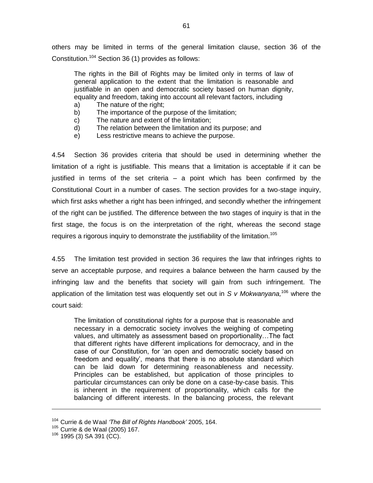others may be limited in terms of the general limitation clause, section 36 of the Constitution.<sup>104</sup> Section 36 (1) provides as follows:

The rights in the Bill of Rights may be limited only in terms of law of general application to the extent that the limitation is reasonable and justifiable in an open and democratic society based on human dignity, equality and freedom, taking into account all relevant factors, including

- a) The nature of the right;
- b) The importance of the purpose of the limitation;
- c) The nature and extent of the limitation;
- d) The relation between the limitation and its purpose; and
- e) Less restrictive means to achieve the purpose.

4.54 Section 36 provides criteria that should be used in determining whether the limitation of a right is justifiable. This means that a limitation is acceptable if it can be justified in terms of the set criteria – a point which has been confirmed by the Constitutional Court in a number of cases. The section provides for a two-stage inquiry, which first asks whether a right has been infringed, and secondly whether the infringement of the right can be justified. The difference between the two stages of inquiry is that in the first stage, the focus is on the interpretation of the right, whereas the second stage requires a rigorous inquiry to demonstrate the justifiability of the limitation.<sup>105</sup>

4.55 The limitation test provided in section 36 requires the law that infringes rights to serve an acceptable purpose, and requires a balance between the harm caused by the infringing law and the benefits that society will gain from such infringement. The application of the limitation test was eloquently set out in *S v Mokwanyana,* <sup>106</sup> where the court said:

The limitation of constitutional rights for a purpose that is reasonable and necessary in a democratic society involves the weighing of competing values, and ultimately as assessment based on proportionality…The fact that different rights have different implications for democracy, and in the case of our Constitution, for "an open and democratic society based on freedom and equality', means that there is no absolute standard which can be laid down for determining reasonableness and necessity. Principles can be established, but application of those principles to particular circumstances can only be done on a case-by-case basis. This is inherent in the requirement of proportionality, which calls for the balancing of different interests. In the balancing process, the relevant

-

<sup>104</sup> Currie & de Waal *'The Bill of Rights Handbook'* 2005, 164.

<sup>&</sup>lt;sup>105</sup> Currie & de Waal (2005) 167.

 $106$  1995 (3) SA 391 (CC).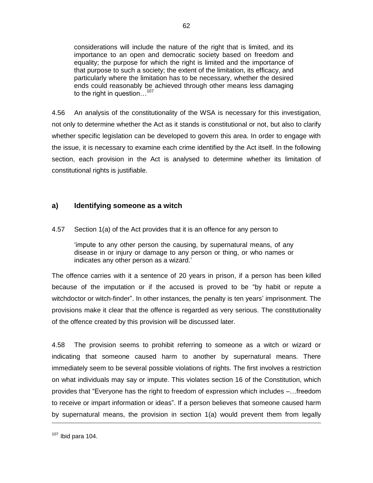considerations will include the nature of the right that is limited, and its importance to an open and democratic society based on freedom and equality; the purpose for which the right is limited and the importance of that purpose to such a society; the extent of the limitation, its efficacy, and particularly where the limitation has to be necessary, whether the desired ends could reasonably be achieved through other means less damaging to the right in question...<sup>107</sup>

62

4.56 An analysis of the constitutionality of the WSA is necessary for this investigation, not only to determine whether the Act as it stands is constitutional or not, but also to clarify whether specific legislation can be developed to govern this area. In order to engage with the issue, it is necessary to examine each crime identified by the Act itself. In the following section, each provision in the Act is analysed to determine whether its limitation of constitutional rights is justifiable.

### **a) Identifying someone as a witch**

4.57 Section 1(a) of the Act provides that it is an offence for any person to

"impute to any other person the causing, by supernatural means, of any disease in or injury or damage to any person or thing, or who names or indicates any other person as a wizard.'

The offence carries with it a sentence of 20 years in prison, if a person has been killed because of the imputation or if the accused is proved to be "by habit or repute a witchdoctor or witch-finder". In other instances, the penalty is ten years' imprisonment. The provisions make it clear that the offence is regarded as very serious. The constitutionality of the offence created by this provision will be discussed later.

4.58 The provision seems to prohibit referring to someone as a witch or wizard or indicating that someone caused harm to another by supernatural means. There immediately seem to be several possible violations of rights. The first involves a restriction on what individuals may say or impute. This violates section 16 of the Constitution, which provides that "Everyone has the right to freedom of expression which includes –…freedom to receive or impart information or ideas". If a person believes that someone caused harm by supernatural means, the provision in section 1(a) would prevent them from legally

 $107$  Ibid para 104.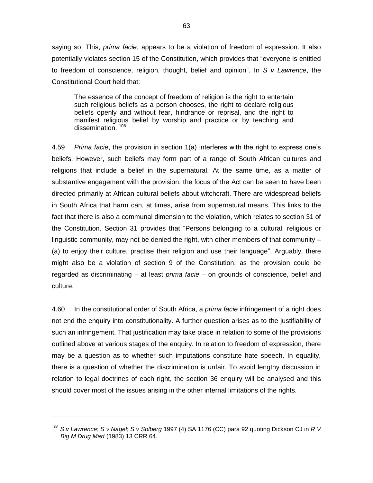saying so. This, *prima facie*, appears to be a violation of freedom of expression. It also potentially violates section 15 of the Constitution, which provides that "everyone is entitled to freedom of conscience, religion, thought, belief and opinion". In *S v Lawrence*, the Constitutional Court held that:

The essence of the concept of freedom of religion is the right to entertain such religious beliefs as a person chooses, the right to declare religious beliefs openly and without fear, hindrance or reprisal, and the right to manifest religious belief by worship and practice or by teaching and dissemination.<sup>108</sup>

4.59 *Prima facie*, the provision in section 1(a) interferes with the right to express one"s beliefs. However, such beliefs may form part of a range of South African cultures and religions that include a belief in the supernatural. At the same time, as a matter of substantive engagement with the provision, the focus of the Act can be seen to have been directed primarily at African cultural beliefs about witchcraft. There are widespread beliefs in South Africa that harm can, at times, arise from supernatural means. This links to the fact that there is also a communal dimension to the violation, which relates to section 31 of the Constitution. Section 31 provides that "Persons belonging to a cultural, religious or linguistic community, may not be denied the right, with other members of that community – (a) to enjoy their culture, practise their religion and use their language". Arguably, there might also be a violation of section 9 of the Constitution, as the provision could be regarded as discriminating – at least *prima facie* – on grounds of conscience, belief and culture.

4.60 In the constitutional order of South Africa, a *prima facie* infringement of a right does not end the enquiry into constitutionality. A further question arises as to the justifiability of such an infringement. That justification may take place in relation to some of the provisions outlined above at various stages of the enquiry. In relation to freedom of expression, there may be a question as to whether such imputations constitute hate speech. In equality, there is a question of whether the discrimination is unfair. To avoid lengthy discussion in relation to legal doctrines of each right, the section 36 enquiry will be analysed and this should cover most of the issues arising in the other internal limitations of the rights.

<sup>108</sup> *S v Lawrence*; *S v Nagel*; *S v Solberg* 1997 (4) SA 1176 (CC) para 92 quoting Dickson CJ in *R V Big M Drug Mart* (1983) 13 CRR 64.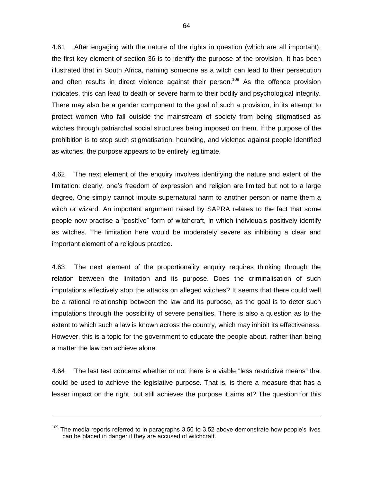4.61 After engaging with the nature of the rights in question (which are all important), the first key element of section 36 is to identify the purpose of the provision. It has been illustrated that in South Africa, naming someone as a witch can lead to their persecution and often results in direct violence against their person.<sup>109</sup> As the offence provision indicates, this can lead to death or severe harm to their bodily and psychological integrity. There may also be a gender component to the goal of such a provision, in its attempt to protect women who fall outside the mainstream of society from being stigmatised as witches through patriarchal social structures being imposed on them. If the purpose of the prohibition is to stop such stigmatisation, hounding, and violence against people identified as witches, the purpose appears to be entirely legitimate.

4.62 The next element of the enquiry involves identifying the nature and extent of the limitation: clearly, one"s freedom of expression and religion are limited but not to a large degree. One simply cannot impute supernatural harm to another person or name them a witch or wizard. An important argument raised by SAPRA relates to the fact that some people now practise a "positive" form of witchcraft, in which individuals positively identify as witches. The limitation here would be moderately severe as inhibiting a clear and important element of a religious practice.

4.63 The next element of the proportionality enquiry requires thinking through the relation between the limitation and its purpose. Does the criminalisation of such imputations effectively stop the attacks on alleged witches? It seems that there could well be a rational relationship between the law and its purpose, as the goal is to deter such imputations through the possibility of severe penalties. There is also a question as to the extent to which such a law is known across the country, which may inhibit its effectiveness. However, this is a topic for the government to educate the people about, rather than being a matter the law can achieve alone.

4.64 The last test concerns whether or not there is a viable "less restrictive means" that could be used to achieve the legislative purpose. That is, is there a measure that has a lesser impact on the right, but still achieves the purpose it aims at? The question for this

 $109$  The media reports referred to in paragraphs 3.50 to 3.52 above demonstrate how people's lives can be placed in danger if they are accused of witchcraft.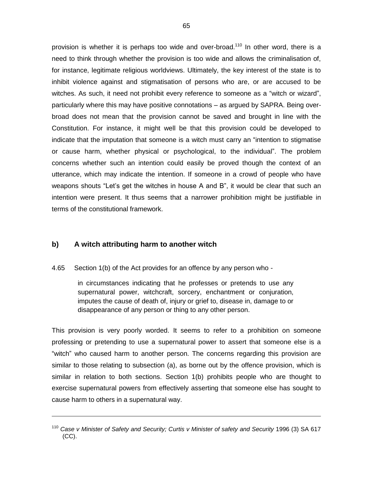provision is whether it is perhaps too wide and over-broad.<sup>110</sup> In other word, there is a need to think through whether the provision is too wide and allows the criminalisation of, for instance, legitimate religious worldviews. Ultimately, the key interest of the state is to inhibit violence against and stigmatisation of persons who are, or are accused to be witches. As such, it need not prohibit every reference to someone as a "witch or wizard", particularly where this may have positive connotations – as argued by SAPRA. Being overbroad does not mean that the provision cannot be saved and brought in line with the Constitution. For instance, it might well be that this provision could be developed to indicate that the imputation that someone is a witch must carry an "intention to stigmatise or cause harm, whether physical or psychological, to the individual". The problem concerns whether such an intention could easily be proved though the context of an utterance, which may indicate the intention. If someone in a crowd of people who have weapons shouts "Let"s get the witches in house A and B", it would be clear that such an intention were present. It thus seems that a narrower prohibition might be justifiable in terms of the constitutional framework.

### **b) A witch attributing harm to another witch**

1

4.65 Section 1(b) of the Act provides for an offence by any person who -

in circumstances indicating that he professes or pretends to use any supernatural power, witchcraft, sorcery, enchantment or conjuration, imputes the cause of death of, injury or grief to, disease in, damage to or disappearance of any person or thing to any other person.

This provision is very poorly worded. It seems to refer to a prohibition on someone professing or pretending to use a supernatural power to assert that someone else is a "witch" who caused harm to another person. The concerns regarding this provision are similar to those relating to subsection (a), as borne out by the offence provision, which is similar in relation to both sections. Section 1(b) prohibits people who are thought to exercise supernatural powers from effectively asserting that someone else has sought to cause harm to others in a supernatural way.

<sup>110</sup> *Case v Minister of Safety and Security; Curtis v Minister of safety and Security* 1996 (3) SA 617 (CC).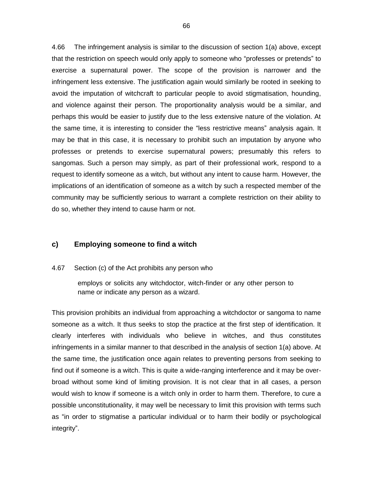4.66 The infringement analysis is similar to the discussion of section 1(a) above, except that the restriction on speech would only apply to someone who "professes or pretends" to exercise a supernatural power. The scope of the provision is narrower and the infringement less extensive. The justification again would similarly be rooted in seeking to avoid the imputation of witchcraft to particular people to avoid stigmatisation, hounding, and violence against their person. The proportionality analysis would be a similar, and perhaps this would be easier to justify due to the less extensive nature of the violation. At the same time, it is interesting to consider the "less restrictive means" analysis again. It may be that in this case, it is necessary to prohibit such an imputation by anyone who professes or pretends to exercise supernatural powers; presumably this refers to sangomas. Such a person may simply, as part of their professional work, respond to a request to identify someone as a witch, but without any intent to cause harm. However, the implications of an identification of someone as a witch by such a respected member of the community may be sufficiently serious to warrant a complete restriction on their ability to do so, whether they intend to cause harm or not.

#### **c) Employing someone to find a witch**

4.67 Section (c) of the Act prohibits any person who

employs or solicits any witchdoctor, witch-finder or any other person to name or indicate any person as a wizard.

This provision prohibits an individual from approaching a witchdoctor or sangoma to name someone as a witch. It thus seeks to stop the practice at the first step of identification. It clearly interferes with individuals who believe in witches, and thus constitutes infringements in a similar manner to that described in the analysis of section 1(a) above. At the same time, the justification once again relates to preventing persons from seeking to find out if someone is a witch. This is quite a wide-ranging interference and it may be overbroad without some kind of limiting provision. It is not clear that in all cases, a person would wish to know if someone is a witch only in order to harm them. Therefore, to cure a possible unconstitutionality, it may well be necessary to limit this provision with terms such as "in order to stigmatise a particular individual or to harm their bodily or psychological integrity".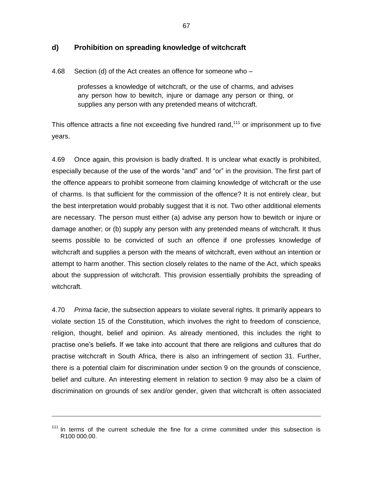### **d) Prohibition on spreading knowledge of witchcraft**

4.68 Section (d) of the Act creates an offence for someone who –

professes a knowledge of witchcraft, or the use of charms, and advises any person how to bewitch, injure or damage any person or thing, or supplies any person with any pretended means of witchcraft.

This offence attracts a fine not exceeding five hundred rand,<sup>111</sup> or imprisonment up to five years.

4.69 Once again, this provision is badly drafted. It is unclear what exactly is prohibited, especially because of the use of the words "and" and "or" in the provision. The first part of the offence appears to prohibit someone from claiming knowledge of witchcraft or the use of charms. Is that sufficient for the commission of the offence? It is not entirely clear, but the best interpretation would probably suggest that it is not. Two other additional elements are necessary. The person must either (a) advise any person how to bewitch or injure or damage another; or (b) supply any person with any pretended means of witchcraft. It thus seems possible to be convicted of such an offence if one professes knowledge of witchcraft and supplies a person with the means of witchcraft, even without an intention or attempt to harm another. This section closely relates to the name of the Act, which speaks about the suppression of witchcraft. This provision essentially prohibits the spreading of witchcraft.

4.70 *Prima facie*, the subsection appears to violate several rights. It primarily appears to violate section 15 of the Constitution, which involves the right to freedom of conscience, religion, thought, belief and opinion. As already mentioned, this includes the right to practise one"s beliefs. If we take into account that there are religions and cultures that do practise witchcraft in South Africa, there is also an infringement of section 31. Further, there is a potential claim for discrimination under section 9 on the grounds of conscience, belief and culture. An interesting element in relation to section 9 may also be a claim of discrimination on grounds of sex and/or gender, given that witchcraft is often associated

 $111$  In terms of the current schedule the fine for a crime committed under this subsection is R100 000.00.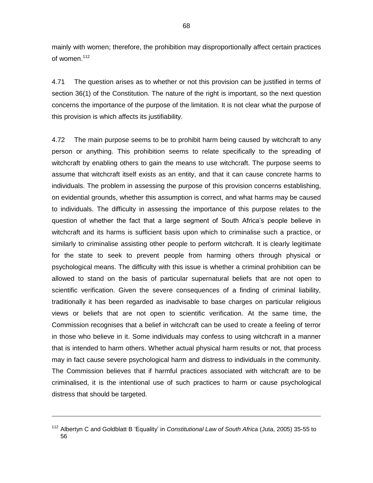mainly with women; therefore, the prohibition may disproportionally affect certain practices of women.<sup>112</sup>

4.71 The question arises as to whether or not this provision can be justified in terms of section 36(1) of the Constitution. The nature of the right is important, so the next question concerns the importance of the purpose of the limitation. It is not clear what the purpose of this provision is which affects its justifiability.

4.72 The main purpose seems to be to prohibit harm being caused by witchcraft to any person or anything. This prohibition seems to relate specifically to the spreading of witchcraft by enabling others to gain the means to use witchcraft. The purpose seems to assume that witchcraft itself exists as an entity, and that it can cause concrete harms to individuals. The problem in assessing the purpose of this provision concerns establishing, on evidential grounds, whether this assumption is correct, and what harms may be caused to individuals. The difficulty in assessing the importance of this purpose relates to the question of whether the fact that a large segment of South Africa"s people believe in witchcraft and its harms is sufficient basis upon which to criminalise such a practice, or similarly to criminalise assisting other people to perform witchcraft. It is clearly legitimate for the state to seek to prevent people from harming others through physical or psychological means. The difficulty with this issue is whether a criminal prohibition can be allowed to stand on the basis of particular supernatural beliefs that are not open to scientific verification. Given the severe consequences of a finding of criminal liability, traditionally it has been regarded as inadvisable to base charges on particular religious views or beliefs that are not open to scientific verification. At the same time, the Commission recognises that a belief in witchcraft can be used to create a feeling of terror in those who believe in it. Some individuals may confess to using witchcraft in a manner that is intended to harm others. Whether actual physical harm results or not, that process may in fact cause severe psychological harm and distress to individuals in the community. The Commission believes that if harmful practices associated with witchcraft are to be criminalised, it is the intentional use of such practices to harm or cause psychological distress that should be targeted.

<sup>112</sup> Albertyn C and Goldblatt B "Equality" in *Constitutional Law of South Africa* (Juta, 2005) 35-55 to 56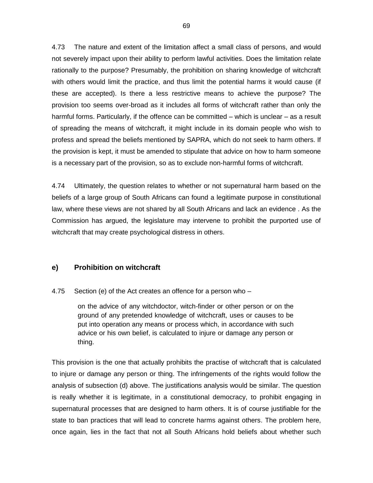4.73 The nature and extent of the limitation affect a small class of persons, and would not severely impact upon their ability to perform lawful activities. Does the limitation relate rationally to the purpose? Presumably, the prohibition on sharing knowledge of witchcraft with others would limit the practice, and thus limit the potential harms it would cause (if these are accepted). Is there a less restrictive means to achieve the purpose? The provision too seems over-broad as it includes all forms of witchcraft rather than only the harmful forms. Particularly, if the offence can be committed – which is unclear – as a result of spreading the means of witchcraft, it might include in its domain people who wish to profess and spread the beliefs mentioned by SAPRA, which do not seek to harm others. If the provision is kept, it must be amended to stipulate that advice on how to harm someone is a necessary part of the provision, so as to exclude non-harmful forms of witchcraft.

4.74 Ultimately, the question relates to whether or not supernatural harm based on the beliefs of a large group of South Africans can found a legitimate purpose in constitutional law, where these views are not shared by all South Africans and lack an evidence . As the Commission has argued, the legislature may intervene to prohibit the purported use of witchcraft that may create psychological distress in others.

### **e) Prohibition on witchcraft**

### 4.75 Section (e) of the Act creates an offence for a person who –

on the advice of any witchdoctor, witch-finder or other person or on the ground of any pretended knowledge of witchcraft, uses or causes to be put into operation any means or process which, in accordance with such advice or his own belief, is calculated to injure or damage any person or thing.

This provision is the one that actually prohibits the practise of witchcraft that is calculated to injure or damage any person or thing. The infringements of the rights would follow the analysis of subsection (d) above. The justifications analysis would be similar. The question is really whether it is legitimate, in a constitutional democracy, to prohibit engaging in supernatural processes that are designed to harm others. It is of course justifiable for the state to ban practices that will lead to concrete harms against others. The problem here, once again, lies in the fact that not all South Africans hold beliefs about whether such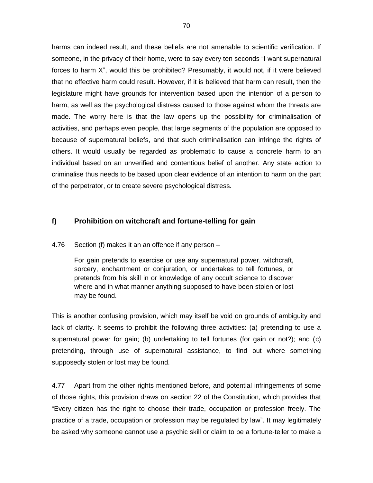harms can indeed result, and these beliefs are not amenable to scientific verification. If someone, in the privacy of their home, were to say every ten seconds "I want supernatural forces to harm X", would this be prohibited? Presumably, it would not, if it were believed that no effective harm could result. However, if it is believed that harm can result, then the legislature might have grounds for intervention based upon the intention of a person to harm, as well as the psychological distress caused to those against whom the threats are made. The worry here is that the law opens up the possibility for criminalisation of activities, and perhaps even people, that large segments of the population are opposed to because of supernatural beliefs, and that such criminalisation can infringe the rights of others. It would usually be regarded as problematic to cause a concrete harm to an individual based on an unverified and contentious belief of another. Any state action to criminalise thus needs to be based upon clear evidence of an intention to harm on the part of the perpetrator, or to create severe psychological distress.

### **f) Prohibition on witchcraft and fortune-telling for gain**

4.76 Section (f) makes it an an offence if any person –

For gain pretends to exercise or use any supernatural power, witchcraft, sorcery, enchantment or conjuration, or undertakes to tell fortunes, or pretends from his skill in or knowledge of any occult science to discover where and in what manner anything supposed to have been stolen or lost may be found.

This is another confusing provision, which may itself be void on grounds of ambiguity and lack of clarity. It seems to prohibit the following three activities: (a) pretending to use a supernatural power for gain; (b) undertaking to tell fortunes (for gain or not?); and (c) pretending, through use of supernatural assistance, to find out where something supposedly stolen or lost may be found.

4.77 Apart from the other rights mentioned before, and potential infringements of some of those rights, this provision draws on section 22 of the Constitution, which provides that "Every citizen has the right to choose their trade, occupation or profession freely. The practice of a trade, occupation or profession may be regulated by law". It may legitimately be asked why someone cannot use a psychic skill or claim to be a fortune-teller to make a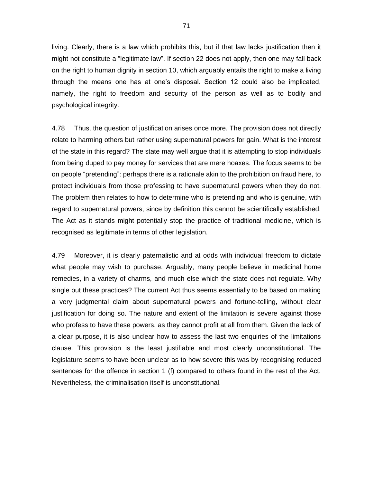living. Clearly, there is a law which prohibits this, but if that law lacks justification then it might not constitute a "legitimate law". If section 22 does not apply, then one may fall back on the right to human dignity in section 10, which arguably entails the right to make a living through the means one has at one"s disposal. Section 12 could also be implicated, namely, the right to freedom and security of the person as well as to bodily and psychological integrity.

4.78 Thus, the question of justification arises once more. The provision does not directly relate to harming others but rather using supernatural powers for gain. What is the interest of the state in this regard? The state may well argue that it is attempting to stop individuals from being duped to pay money for services that are mere hoaxes. The focus seems to be on people "pretending": perhaps there is a rationale akin to the prohibition on fraud here, to protect individuals from those professing to have supernatural powers when they do not. The problem then relates to how to determine who is pretending and who is genuine, with regard to supernatural powers, since by definition this cannot be scientifically established. The Act as it stands might potentially stop the practice of traditional medicine, which is recognised as legitimate in terms of other legislation.

4.79 Moreover, it is clearly paternalistic and at odds with individual freedom to dictate what people may wish to purchase. Arguably, many people believe in medicinal home remedies, in a variety of charms, and much else which the state does not regulate. Why single out these practices? The current Act thus seems essentially to be based on making a very judgmental claim about supernatural powers and fortune-telling, without clear justification for doing so. The nature and extent of the limitation is severe against those who profess to have these powers, as they cannot profit at all from them. Given the lack of a clear purpose, it is also unclear how to assess the last two enquiries of the limitations clause. This provision is the least justifiable and most clearly unconstitutional. The legislature seems to have been unclear as to how severe this was by recognising reduced sentences for the offence in section 1 (f) compared to others found in the rest of the Act. Nevertheless, the criminalisation itself is unconstitutional.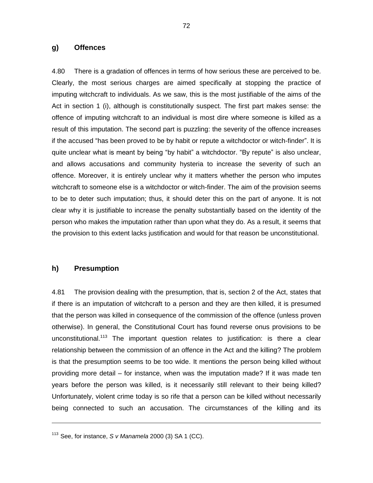#### **g) Offences**

4.80 There is a gradation of offences in terms of how serious these are perceived to be. Clearly, the most serious charges are aimed specifically at stopping the practice of imputing witchcraft to individuals. As we saw, this is the most justifiable of the aims of the Act in section 1 (i), although is constitutionally suspect. The first part makes sense: the offence of imputing witchcraft to an individual is most dire where someone is killed as a result of this imputation. The second part is puzzling: the severity of the offence increases if the accused "has been proved to be by habit or repute a witchdoctor or witch-finder". It is quite unclear what is meant by being "by habit" a witchdoctor. "By repute" is also unclear, and allows accusations and community hysteria to increase the severity of such an offence. Moreover, it is entirely unclear why it matters whether the person who imputes witchcraft to someone else is a witchdoctor or witch-finder. The aim of the provision seems to be to deter such imputation; thus, it should deter this on the part of anyone. It is not clear why it is justifiable to increase the penalty substantially based on the identity of the person who makes the imputation rather than upon what they do. As a result, it seems that the provision to this extent lacks justification and would for that reason be unconstitutional.

#### **h) Presumption**

1

4.81 The provision dealing with the presumption, that is, section 2 of the Act, states that if there is an imputation of witchcraft to a person and they are then killed, it is presumed that the person was killed in consequence of the commission of the offence (unless proven otherwise). In general, the Constitutional Court has found reverse onus provisions to be unconstitutional.<sup>113</sup> The important question relates to justification: is there a clear relationship between the commission of an offence in the Act and the killing? The problem is that the presumption seems to be too wide. It mentions the person being killed without providing more detail – for instance, when was the imputation made? If it was made ten years before the person was killed, is it necessarily still relevant to their being killed? Unfortunately, violent crime today is so rife that a person can be killed without necessarily being connected to such an accusation. The circumstances of the killing and its

<sup>113</sup> See, for instance, *S v Manamela* 2000 (3) SA 1 (CC).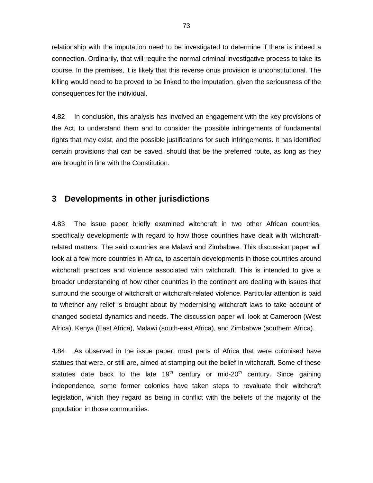relationship with the imputation need to be investigated to determine if there is indeed a connection. Ordinarily, that will require the normal criminal investigative process to take its course. In the premises, it is likely that this reverse onus provision is unconstitutional. The killing would need to be proved to be linked to the imputation, given the seriousness of the consequences for the individual.

4.82 In conclusion, this analysis has involved an engagement with the key provisions of the Act, to understand them and to consider the possible infringements of fundamental rights that may exist, and the possible justifications for such infringements. It has identified certain provisions that can be saved, should that be the preferred route, as long as they are brought in line with the Constitution.

# **3 Developments in other jurisdictions**

4.83 The issue paper briefly examined witchcraft in two other African countries, specifically developments with regard to how those countries have dealt with witchcraftrelated matters. The said countries are Malawi and Zimbabwe. This discussion paper will look at a few more countries in Africa, to ascertain developments in those countries around witchcraft practices and violence associated with witchcraft. This is intended to give a broader understanding of how other countries in the continent are dealing with issues that surround the scourge of witchcraft or witchcraft-related violence. Particular attention is paid to whether any relief is brought about by modernising witchcraft laws to take account of changed societal dynamics and needs. The discussion paper will look at Cameroon (West Africa), Kenya (East Africa), Malawi (south-east Africa), and Zimbabwe (southern Africa).

4.84 As observed in the issue paper, most parts of Africa that were colonised have statues that were, or still are, aimed at stamping out the belief in witchcraft. Some of these statutes date back to the late  $19<sup>th</sup>$  century or mid-20<sup>th</sup> century. Since gaining independence, some former colonies have taken steps to revaluate their witchcraft legislation, which they regard as being in conflict with the beliefs of the majority of the population in those communities.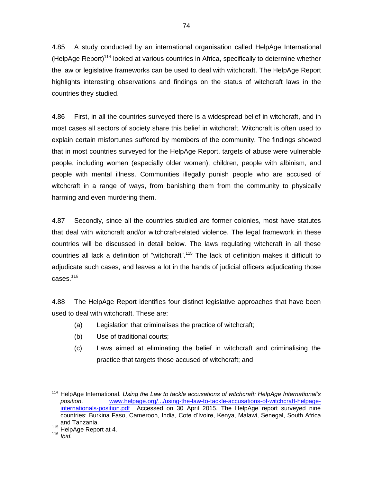4.85 A study conducted by an international organisation called HelpAge International (HelpAge Report)<sup>114</sup> looked at various countries in Africa, specifically to determine whether the law or legislative frameworks can be used to deal with witchcraft. The HelpAge Report highlights interesting observations and findings on the status of witchcraft laws in the countries they studied.

4.86 First, in all the countries surveyed there is a widespread belief in witchcraft, and in most cases all sectors of society share this belief in witchcraft. Witchcraft is often used to explain certain misfortunes suffered by members of the community. The findings showed that in most countries surveyed for the HelpAge Report, targets of abuse were vulnerable people, including women (especially older women), children, people with albinism, and people with mental illness. Communities illegally punish people who are accused of witchcraft in a range of ways, from banishing them from the community to physically harming and even murdering them.

4.87 Secondly, since all the countries studied are former colonies, most have statutes that deal with witchcraft and/or witchcraft-related violence. The legal framework in these countries will be discussed in detail below. The laws regulating witchcraft in all these countries all lack a definition of "witchcraft".<sup>115</sup> The lack of definition makes it difficult to adjudicate such cases, and leaves a lot in the hands of judicial officers adjudicating those cases.<sup>116</sup>

4.88 The HelpAge Report identifies four distinct legislative approaches that have been used to deal with witchcraft. These are:

- (a) Legislation that criminalises the practice of witchcraft;
- (b) Use of traditional courts;
- (c) Laws aimed at eliminating the belief in witchcraft and criminalising the practice that targets those accused of witchcraft; and

-

<sup>114</sup> HelpAge International. *Using the Law to tackle accusations of witchcraft: HelpAge International's position*. [www.helpage.org/.../using-the-law-to-tackle-accusations-of-witchcraft-helpage](http://www.helpage.org/.../using-the-law-to-tackle-accusations-of-witchcraft-helpage-internationals-position.pdf)[internationals-position.pdf](http://www.helpage.org/.../using-the-law-to-tackle-accusations-of-witchcraft-helpage-internationals-position.pdf) Accessed on 30 April 2015. The HelpAge report surveyed nine countries: Burkina Faso, Cameroon, India, Cote d"Ivoire, Kenya, Malawi, Senegal, South Africa and Tanzania.

<sup>&</sup>lt;sup>115</sup> HelpAge Report at 4.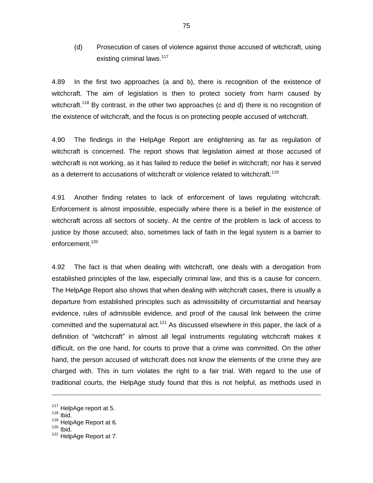(d) Prosecution of cases of violence against those accused of witchcraft, using existing criminal laws.<sup>117</sup>

4.89 In the first two approaches (a and b), there is recognition of the existence of witchcraft. The aim of legislation is then to protect society from harm caused by witchcraft.<sup>118</sup> By contrast, in the other two approaches (c and d) there is no recognition of the existence of witchcraft, and the focus is on protecting people accused of witchcraft.

4.90 The findings in the HelpAge Report are enlightening as far as regulation of witchcraft is concerned. The report shows that legislation aimed at those accused of witchcraft is not working, as it has failed to reduce the belief in witchcraft; nor has it served as a deterrent to accusations of witchcraft or violence related to witchcraft.<sup>119</sup>

4.91 Another finding relates to lack of enforcement of laws regulating witchcraft. Enforcement is almost impossible, especially where there is a belief in the existence of witchcraft across all sectors of society. At the centre of the problem is lack of access to justice by those accused; also, sometimes lack of faith in the legal system is a barrier to enforcement.<sup>120</sup>

4.92 The fact is that when dealing with witchcraft, one deals with a derogation from established principles of the law, especially criminal law, and this is a cause for concern. The HelpAge Report also shows that when dealing with witchcraft cases, there is usually a departure from established principles such as admissibility of circumstantial and hearsay evidence, rules of admissible evidence, and proof of the causal link between the crime committed and the supernatural act.<sup>121</sup> As discussed elsewhere in this paper, the lack of a definition of "witchcraft" in almost all legal instruments regulating witchcraft makes it difficult, on the one hand, for courts to prove that a crime was committed. On the other hand, the person accused of witchcraft does not know the elements of the crime they are charged with. This in turn violates the right to a fair trial. With regard to the use of traditional courts, the HelpAge study found that this is not helpful, as methods used in

 $117$  HelpAge report at 5.

 $118$  Ibid.

<sup>&</sup>lt;sup>119</sup> HelpAge Report at 6.

 $120$  Ibid.

<sup>121</sup> HelpAge Report at 7.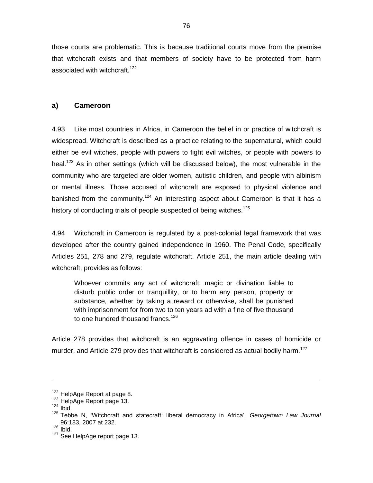those courts are problematic. This is because traditional courts move from the premise that witchcraft exists and that members of society have to be protected from harm associated with witchcraft.<sup>122</sup>

### **a) Cameroon**

4.93 Like most countries in Africa, in Cameroon the belief in or practice of witchcraft is widespread. Witchcraft is described as a practice relating to the supernatural, which could either be evil witches, people with powers to fight evil witches, or people with powers to heal.<sup>123</sup> As in other settings (which will be discussed below), the most vulnerable in the community who are targeted are older women, autistic children, and people with albinism or mental illness. Those accused of witchcraft are exposed to physical violence and banished from the community.<sup>124</sup> An interesting aspect about Cameroon is that it has a history of conducting trials of people suspected of being witches.<sup>125</sup>

4.94 Witchcraft in Cameroon is regulated by a post-colonial legal framework that was developed after the country gained independence in 1960. The Penal Code, specifically Articles 251, 278 and 279, regulate witchcraft. Article 251, the main article dealing with witchcraft, provides as follows:

Whoever commits any act of witchcraft, magic or divination liable to disturb public order or tranquillity, or to harm any person, property or substance, whether by taking a reward or otherwise, shall be punished with imprisonment for from two to ten years ad with a fine of five thousand to one hundred thousand francs.<sup>126</sup>

Article 278 provides that witchcraft is an aggravating offence in cases of homicide or murder, and Article 279 provides that witchcraft is considered as actual bodily harm.<sup>127</sup>

-

<sup>&</sup>lt;sup>122</sup> HelpAge Report at page 8.

<sup>123</sup> HelpAge Report page 13.

 $124$  Ibid.

<sup>&</sup>lt;sup>125</sup> Tebbe N, 'Witchcraft and statecraft: liberal democracy in Africa', *Georgetown Law Journal* 96:183, 2007 at 232.

 $126$  Ibid.

<sup>&</sup>lt;sup>127</sup> See HelpAge report page 13.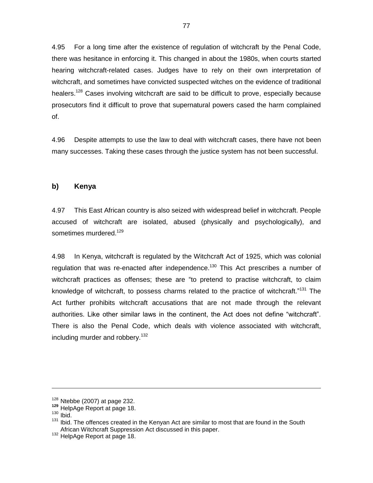4.95 For a long time after the existence of regulation of witchcraft by the Penal Code, there was hesitance in enforcing it. This changed in about the 1980s, when courts started hearing witchcraft-related cases. Judges have to rely on their own interpretation of witchcraft, and sometimes have convicted suspected witches on the evidence of traditional healers.<sup>128</sup> Cases involving witchcraft are said to be difficult to prove, especially because prosecutors find it difficult to prove that supernatural powers cased the harm complained of.

4.96 Despite attempts to use the law to deal with witchcraft cases, there have not been many successes. Taking these cases through the justice system has not been successful.

#### **b) Kenya**

4.97 This East African country is also seized with widespread belief in witchcraft. People accused of witchcraft are isolated, abused (physically and psychologically), and sometimes murdered.<sup>129</sup>

4.98 In Kenya, witchcraft is regulated by the Witchcraft Act of 1925, which was colonial regulation that was re-enacted after independence.<sup>130</sup> This Act prescribes a number of witchcraft practices as offenses; these are "to pretend to practise witchcraft, to claim knowledge of witchcraft, to possess charms related to the practice of witchcraft."<sup>131</sup> The Act further prohibits witchcraft accusations that are not made through the relevant authorities. Like other similar laws in the continent, the Act does not define "witchcraft". There is also the Penal Code, which deals with violence associated with witchcraft, including murder and robbery.<sup>132</sup>

-

 $128$  Ntebbe (2007) at page 232.

**<sup>129</sup>** HelpAge Report at page 18.

 $130$  Ibid.

<sup>&</sup>lt;sup>131</sup> Ibid. The offences created in the Kenyan Act are similar to most that are found in the South African Witchcraft Suppression Act discussed in this paper.

<sup>&</sup>lt;sup>132</sup> HelpAge Report at page 18.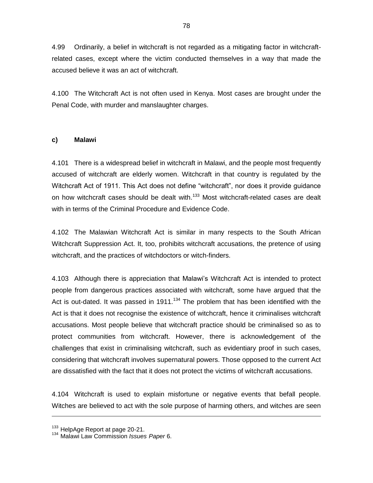4.99 Ordinarily, a belief in witchcraft is not regarded as a mitigating factor in witchcraftrelated cases, except where the victim conducted themselves in a way that made the accused believe it was an act of witchcraft.

4.100 The Witchcraft Act is not often used in Kenya. Most cases are brought under the Penal Code, with murder and manslaughter charges.

### **c) Malawi**

4.101 There is a widespread belief in witchcraft in Malawi, and the people most frequently accused of witchcraft are elderly women. Witchcraft in that country is regulated by the Witchcraft Act of 1911. This Act does not define "witchcraft", nor does it provide guidance on how witchcraft cases should be dealt with.<sup>133</sup> Most witchcraft-related cases are dealt with in terms of the Criminal Procedure and Evidence Code.

4.102 The Malawian Witchcraft Act is similar in many respects to the South African Witchcraft Suppression Act. It, too, prohibits witchcraft accusations, the pretence of using witchcraft, and the practices of witchdoctors or witch-finders.

4.103 Although there is appreciation that Malawi"s Witchcraft Act is intended to protect people from dangerous practices associated with witchcraft, some have argued that the Act is out-dated. It was passed in 1911.<sup>134</sup> The problem that has been identified with the Act is that it does not recognise the existence of witchcraft, hence it criminalises witchcraft accusations. Most people believe that witchcraft practice should be criminalised so as to protect communities from witchcraft. However, there is acknowledgement of the challenges that exist in criminalising witchcraft, such as evidentiary proof in such cases, considering that witchcraft involves supernatural powers. Those opposed to the current Act are dissatisfied with the fact that it does not protect the victims of witchcraft accusations.

4.104 Witchcraft is used to explain misfortune or negative events that befall people. Witches are believed to act with the sole purpose of harming others, and witches are seen

 $133$  HelpAge Report at page 20-21.

<sup>134</sup> Malawi Law Commission *Issues Paper* 6.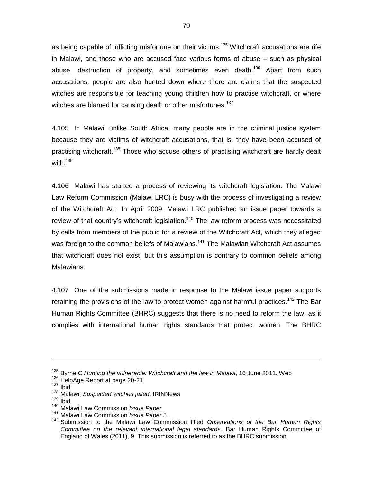as being capable of inflicting misfortune on their victims.<sup>135</sup> Witchcraft accusations are rife in Malawi, and those who are accused face various forms of abuse – such as physical abuse, destruction of property, and sometimes even death.<sup>136</sup> Apart from such accusations, people are also hunted down where there are claims that the suspected witches are responsible for teaching young children how to practise witchcraft, or where witches are blamed for causing death or other misfortunes.<sup>137</sup>

4.105 In Malawi, unlike South Africa, many people are in the criminal justice system because they are victims of witchcraft accusations, that is, they have been accused of practising witchcraft.<sup>138</sup> Those who accuse others of practising witchcraft are hardly dealt with  $139$ 

4.106 Malawi has started a process of reviewing its witchcraft legislation. The Malawi Law Reform Commission (Malawi LRC) is busy with the process of investigating a review of the Witchcraft Act. In April 2009, Malawi LRC published an issue paper towards a review of that country's witchcraft legislation.<sup>140</sup> The law reform process was necessitated by calls from members of the public for a review of the Witchcraft Act, which they alleged was foreign to the common beliefs of Malawians.<sup>141</sup> The Malawian Witchcraft Act assumes that witchcraft does not exist, but this assumption is contrary to common beliefs among Malawians.

4.107 One of the submissions made in response to the Malawi issue paper supports retaining the provisions of the law to protect women against harmful practices.<sup>142</sup> The Bar Human Rights Committee (BHRC) suggests that there is no need to reform the law, as it complies with international human rights standards that protect women. The BHRC

-

<sup>135</sup> Byrne C *Hunting the vulnerable: Witchcraft and the law in Malawi*, 16 June 2011. Web

<sup>136</sup> HelpAge Report at page 20-21

 $137$  Ibid.

<sup>138</sup> Malawi: *Suspected witches jailed*. IRINNews

 $139$  Ibid.

<sup>140</sup> Malawi Law Commission *Issue Paper.*

<sup>141</sup> Malawi Law Commission *Issue Paper* 5.

<sup>142</sup> Submission to the Malawi Law Commission titled *Observations of the Bar Human Rights Committee on the relevant international legal standards,* Bar Human Rights Committee of England of Wales (2011), 9. This submission is referred to as the BHRC submission.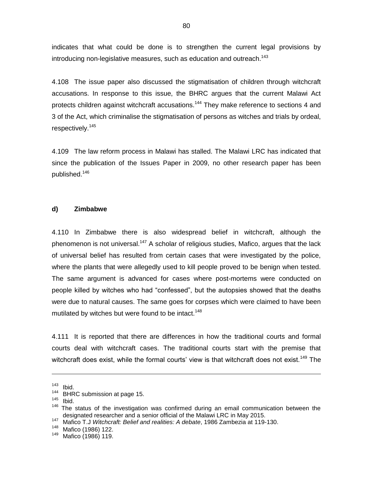indicates that what could be done is to strengthen the current legal provisions by introducing non-legislative measures, such as education and outreach.<sup>143</sup>

4.108 The issue paper also discussed the stigmatisation of children through witchcraft accusations. In response to this issue, the BHRC argues that the current Malawi Act protects children against witchcraft accusations.<sup>144</sup> They make reference to sections 4 and 3 of the Act, which criminalise the stigmatisation of persons as witches and trials by ordeal, respectively.<sup>145</sup>

4.109 The law reform process in Malawi has stalled. The Malawi LRC has indicated that since the publication of the Issues Paper in 2009, no other research paper has been published.<sup>146</sup>

#### **d) Zimbabwe**

4.110 In Zimbabwe there is also widespread belief in witchcraft, although the phenomenon is not universal.<sup>147</sup> A scholar of religious studies, Mafico, argues that the lack of universal belief has resulted from certain cases that were investigated by the police, where the plants that were allegedly used to kill people proved to be benign when tested. The same argument is advanced for cases where post-mortems were conducted on people killed by witches who had "confessed", but the autopsies showed that the deaths were due to natural causes. The same goes for corpses which were claimed to have been mutilated by witches but were found to be intact.<sup>148</sup>

4.111 It is reported that there are differences in how the traditional courts and formal courts deal with witchcraft cases. The traditional courts start with the premise that witchcraft does exist, while the formal courts' view is that witchcraft does not exist.<sup>149</sup> The

1

 $145$  Ibid.

 $\frac{143}{144}$  Ibid.

BHRC submission at page 15.

 $146$  The status of the investigation was confirmed during an email communication between the designated researcher and a senior official of the Malawi LRC in May 2015.

<sup>147</sup> Mafico T.J *Witchcraft: Belief and realities: A debate*, 1986 Zambezia at 119-130.

 $\frac{148}{149}$  Mafico (1986) 122.

Mafico (1986) 119.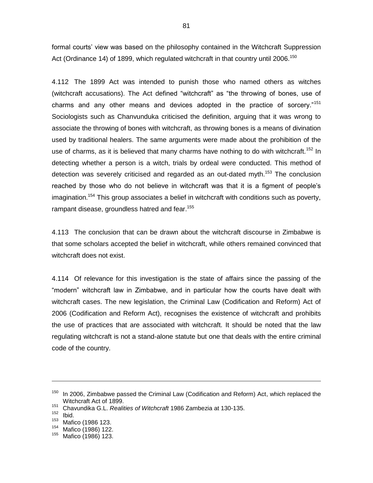formal courts' view was based on the philosophy contained in the Witchcraft Suppression Act (Ordinance 14) of 1899, which regulated witchcraft in that country until 2006.<sup>150</sup>

4.112 The 1899 Act was intended to punish those who named others as witches (witchcraft accusations). The Act defined "witchcraft" as "the throwing of bones, use of charms and any other means and devices adopted in the practice of sorcery."<sup>151</sup> Sociologists such as Chanvunduka criticised the definition, arguing that it was wrong to associate the throwing of bones with witchcraft, as throwing bones is a means of divination used by traditional healers. The same arguments were made about the prohibition of the use of charms, as it is believed that many charms have nothing to do with witchcraft.<sup>152</sup> In detecting whether a person is a witch, trials by ordeal were conducted. This method of detection was severely criticised and regarded as an out-dated myth.<sup>153</sup> The conclusion reached by those who do not believe in witchcraft was that it is a figment of people's imagination.<sup>154</sup> This group associates a belief in witchcraft with conditions such as poverty, rampant disease, groundless hatred and fear.<sup>155</sup>

4.113 The conclusion that can be drawn about the witchcraft discourse in Zimbabwe is that some scholars accepted the belief in witchcraft, while others remained convinced that witchcraft does not exist.

4.114 Of relevance for this investigation is the state of affairs since the passing of the "modern" witchcraft law in Zimbabwe, and in particular how the courts have dealt with witchcraft cases. The new legislation, the Criminal Law (Codification and Reform) Act of 2006 (Codification and Reform Act), recognises the existence of witchcraft and prohibits the use of practices that are associated with witchcraft. It should be noted that the law regulating witchcraft is not a stand-alone statute but one that deals with the entire criminal code of the country.

-

 $150$  In 2006, Zimbabwe passed the Criminal Law (Codification and Reform) Act, which replaced the Witchcraft Act of 1899.

<sup>151</sup> Chavundika G.L. *Realities of Witchcraft* 1986 Zambezia at 130-135.

 $152$  Ibid.

 $^{153}$  Mafico (1986 123.

 $^{154}$  Mafico (1986) 122.

Mafico (1986) 123.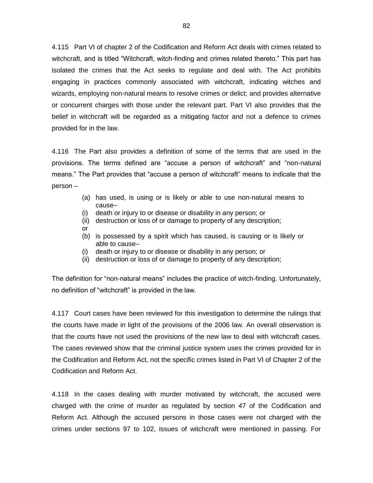4.115 Part VI of chapter 2 of the Codification and Reform Act deals with crimes related to witchcraft, and is titled "Witchcraft, witch-finding and crimes related thereto." This part has isolated the crimes that the Act seeks to regulate and deal with. The Act prohibits engaging in practices commonly associated with witchcraft, indicating witches and wizards, employing non-natural means to resolve crimes or delict; and provides alternative or concurrent charges with those under the relevant part. Part VI also provides that the belief in witchcraft will be regarded as a mitigating factor and not a defence to crimes provided for in the law.

4.116 The Part also provides a definition of some of the terms that are used in the provisions. The terms defined are "accuse a person of witchcraft" and "non-natural means." The Part provides that "accuse a person of witchcraft" means to indicate that the person –

- (a) has used, is using or is likely or able to use non-natural means to cause–
- (i) death or injury to or disease or disability in any person; or
- (ii) destruction or loss of or damage to property of any description;
- or
- (b) is possessed by a spirit which has caused, is causing or is likely or able to cause–
- (i) death or injury to or disease or disability in any person; or
- (ii) destruction or loss of or damage to property of any description;

The definition for "non-natural means" includes the practice of witch-finding. Unfortunately, no definition of "witchcraft" is provided in the law.

4.117 Court cases have been reviewed for this investigation to determine the rulings that the courts have made in light of the provisions of the 2006 law. An overall observation is that the courts have not used the provisions of the new law to deal with witchcraft cases. The cases reviewed show that the criminal justice system uses the crimes provided for in the Codification and Reform Act, not the specific crimes listed in Part VI of Chapter 2 of the Codification and Reform Act.

4.118 In the cases dealing with murder motivated by witchcraft, the accused were charged with the crime of murder as regulated by section 47 of the Codification and Reform Act. Although the accused persons in those cases were not charged with the crimes under sections 97 to 102, issues of witchcraft were mentioned in passing. For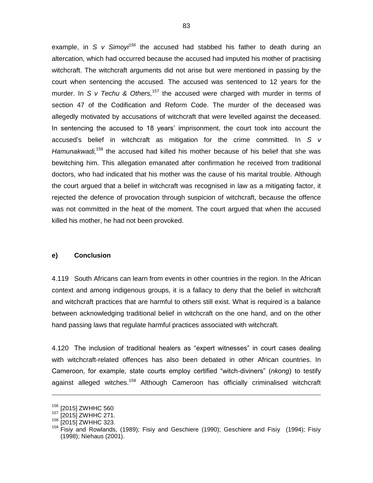example, in *S v Simoyi<sup>156</sup>* the accused had stabbed his father to death during an altercation, which had occurred because the accused had imputed his mother of practising witchcraft. The witchcraft arguments did not arise but were mentioned in passing by the court when sentencing the accused. The accused was sentenced to 12 years for the murder. In *S v Techu & Others*,<sup>157</sup> the accused were charged with murder in terms of section 47 of the Codification and Reform Code. The murder of the deceased was allegedly motivated by accusations of witchcraft that were levelled against the deceased. In sentencing the accused to 18 years" imprisonment, the court took into account the accused"s belief in witchcraft as mitigation for the crime committed. In *S v*  Hamunakwadi,<sup>158</sup> the accused had killed his mother because of his belief that she was bewitching him. This allegation emanated after confirmation he received from traditional doctors, who had indicated that his mother was the cause of his marital trouble. Although the court argued that a belief in witchcraft was recognised in law as a mitigating factor, it rejected the defence of provocation through suspicion of witchcraft, because the offence was not committed in the heat of the moment. The court argued that when the accused killed his mother, he had not been provoked.

#### **e) Conclusion**

4.119 South Africans can learn from events in other countries in the region. In the African context and among indigenous groups, it is a fallacy to deny that the belief in witchcraft and witchcraft practices that are harmful to others still exist. What is required is a balance between acknowledging traditional belief in witchcraft on the one hand, and on the other hand passing laws that regulate harmful practices associated with witchcraft.

4.120 The inclusion of traditional healers as "expert witnesses" in court cases dealing with witchcraft-related offences has also been debated in other African countries. In Cameroon, for example, state courts employ certified "witch-diviners" (*nkong*) to testify against alleged witches.<sup>159</sup> Although Cameroon has officially criminalised witchcraft

<sup>156</sup> [2015] ZWHHC 560

<sup>157</sup> [2015] ZWHHC 271.

<sup>&</sup>lt;sup>158</sup> [2015] ZWHHC 323.

<sup>&</sup>lt;sup>159</sup> Fisiy and Rowlands, (1989); Fisiy and Geschiere (1990); Geschiere and Fisiy (1994); Fisiy (1998); Niehaus (2001).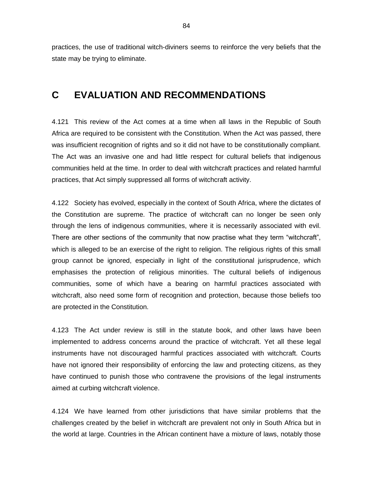practices, the use of traditional witch-diviners seems to reinforce the very beliefs that the state may be trying to eliminate.

# **C EVALUATION AND RECOMMENDATIONS**

4.121 This review of the Act comes at a time when all laws in the Republic of South Africa are required to be consistent with the Constitution. When the Act was passed, there was insufficient recognition of rights and so it did not have to be constitutionally compliant. The Act was an invasive one and had little respect for cultural beliefs that indigenous communities held at the time. In order to deal with witchcraft practices and related harmful practices, that Act simply suppressed all forms of witchcraft activity.

4.122 Society has evolved, especially in the context of South Africa, where the dictates of the Constitution are supreme. The practice of witchcraft can no longer be seen only through the lens of indigenous communities, where it is necessarily associated with evil. There are other sections of the community that now practise what they term "witchcraft", which is alleged to be an exercise of the right to religion. The religious rights of this small group cannot be ignored, especially in light of the constitutional jurisprudence, which emphasises the protection of religious minorities. The cultural beliefs of indigenous communities, some of which have a bearing on harmful practices associated with witchcraft, also need some form of recognition and protection, because those beliefs too are protected in the Constitution.

4.123 The Act under review is still in the statute book, and other laws have been implemented to address concerns around the practice of witchcraft. Yet all these legal instruments have not discouraged harmful practices associated with witchcraft. Courts have not ignored their responsibility of enforcing the law and protecting citizens, as they have continued to punish those who contravene the provisions of the legal instruments aimed at curbing witchcraft violence.

4.124 We have learned from other jurisdictions that have similar problems that the challenges created by the belief in witchcraft are prevalent not only in South Africa but in the world at large. Countries in the African continent have a mixture of laws, notably those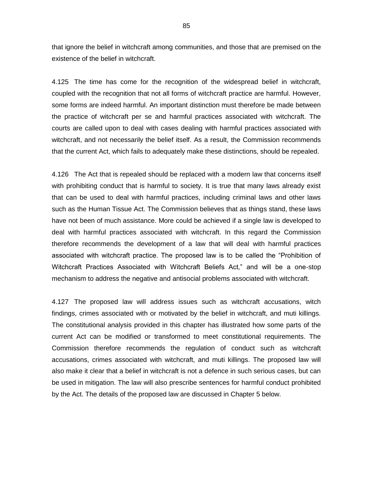that ignore the belief in witchcraft among communities, and those that are premised on the existence of the belief in witchcraft.

4.125 The time has come for the recognition of the widespread belief in witchcraft, coupled with the recognition that not all forms of witchcraft practice are harmful. However, some forms are indeed harmful. An important distinction must therefore be made between the practice of witchcraft per se and harmful practices associated with witchcraft. The courts are called upon to deal with cases dealing with harmful practices associated with witchcraft, and not necessarily the belief itself. As a result, the Commission recommends that the current Act, which fails to adequately make these distinctions, should be repealed.

4.126 The Act that is repealed should be replaced with a modern law that concerns itself with prohibiting conduct that is harmful to society. It is true that many laws already exist that can be used to deal with harmful practices, including criminal laws and other laws such as the Human Tissue Act. The Commission believes that as things stand, these laws have not been of much assistance. More could be achieved if a single law is developed to deal with harmful practices associated with witchcraft. In this regard the Commission therefore recommends the development of a law that will deal with harmful practices associated with witchcraft practice. The proposed law is to be called the "Prohibition of Witchcraft Practices Associated with Witchcraft Beliefs Act," and will be a one-stop mechanism to address the negative and antisocial problems associated with witchcraft.

4.127 The proposed law will address issues such as witchcraft accusations, witch findings, crimes associated with or motivated by the belief in witchcraft, and muti killings. The constitutional analysis provided in this chapter has illustrated how some parts of the current Act can be modified or transformed to meet constitutional requirements. The Commission therefore recommends the regulation of conduct such as witchcraft accusations, crimes associated with witchcraft, and muti killings. The proposed law will also make it clear that a belief in witchcraft is not a defence in such serious cases, but can be used in mitigation. The law will also prescribe sentences for harmful conduct prohibited by the Act. The details of the proposed law are discussed in Chapter 5 below.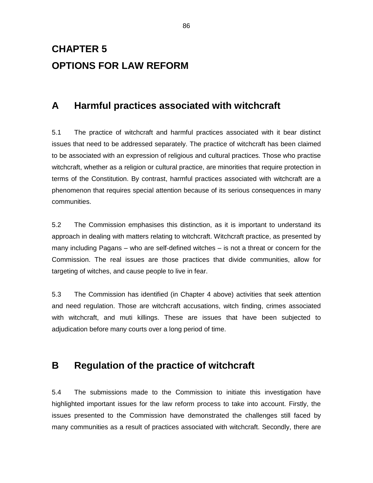# **CHAPTER 5 OPTIONS FOR LAW REFORM**

# **A Harmful practices associated with witchcraft**

5.1 The practice of witchcraft and harmful practices associated with it bear distinct issues that need to be addressed separately. The practice of witchcraft has been claimed to be associated with an expression of religious and cultural practices. Those who practise witchcraft, whether as a religion or cultural practice, are minorities that require protection in terms of the Constitution. By contrast, harmful practices associated with witchcraft are a phenomenon that requires special attention because of its serious consequences in many communities.

5.2 The Commission emphasises this distinction, as it is important to understand its approach in dealing with matters relating to witchcraft. Witchcraft practice, as presented by many including Pagans – who are self-defined witches – is not a threat or concern for the Commission. The real issues are those practices that divide communities, allow for targeting of witches, and cause people to live in fear.

5.3 The Commission has identified (in Chapter 4 above) activities that seek attention and need regulation. Those are witchcraft accusations, witch finding, crimes associated with witchcraft, and muti killings. These are issues that have been subjected to adjudication before many courts over a long period of time.

# **B Regulation of the practice of witchcraft**

5.4 The submissions made to the Commission to initiate this investigation have highlighted important issues for the law reform process to take into account. Firstly, the issues presented to the Commission have demonstrated the challenges still faced by many communities as a result of practices associated with witchcraft. Secondly, there are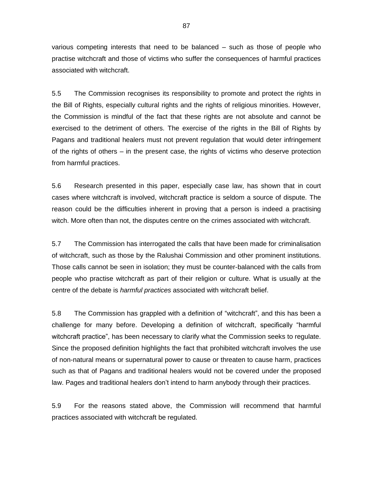various competing interests that need to be balanced – such as those of people who practise witchcraft and those of victims who suffer the consequences of harmful practices associated with witchcraft.

5.5 The Commission recognises its responsibility to promote and protect the rights in the Bill of Rights, especially cultural rights and the rights of religious minorities. However, the Commission is mindful of the fact that these rights are not absolute and cannot be exercised to the detriment of others. The exercise of the rights in the Bill of Rights by Pagans and traditional healers must not prevent regulation that would deter infringement of the rights of others – in the present case, the rights of victims who deserve protection from harmful practices.

5.6 Research presented in this paper, especially case law, has shown that in court cases where witchcraft is involved, witchcraft practice is seldom a source of dispute. The reason could be the difficulties inherent in proving that a person is indeed a practising witch. More often than not, the disputes centre on the crimes associated with witchcraft.

5.7 The Commission has interrogated the calls that have been made for criminalisation of witchcraft, such as those by the Ralushai Commission and other prominent institutions. Those calls cannot be seen in isolation; they must be counter-balanced with the calls from people who practise witchcraft as part of their religion or culture. What is usually at the centre of the debate is *harmful practices* associated with witchcraft belief.

5.8 The Commission has grappled with a definition of "witchcraft", and this has been a challenge for many before. Developing a definition of witchcraft, specifically "harmful witchcraft practice", has been necessary to clarify what the Commission seeks to regulate. Since the proposed definition highlights the fact that prohibited witchcraft involves the use of non-natural means or supernatural power to cause or threaten to cause harm, practices such as that of Pagans and traditional healers would not be covered under the proposed law. Pages and traditional healers don"t intend to harm anybody through their practices.

5.9 For the reasons stated above, the Commission will recommend that harmful practices associated with witchcraft be regulated.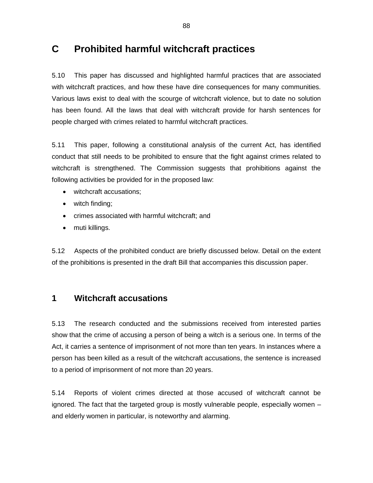# **C Prohibited harmful witchcraft practices**

5.10 This paper has discussed and highlighted harmful practices that are associated with witchcraft practices, and how these have dire consequences for many communities. Various laws exist to deal with the scourge of witchcraft violence, but to date no solution has been found. All the laws that deal with witchcraft provide for harsh sentences for people charged with crimes related to harmful witchcraft practices.

5.11 This paper, following a constitutional analysis of the current Act, has identified conduct that still needs to be prohibited to ensure that the fight against crimes related to witchcraft is strengthened. The Commission suggests that prohibitions against the following activities be provided for in the proposed law:

- witchcraft accusations;
- witch finding;
- crimes associated with harmful witchcraft; and
- muti killings.

5.12 Aspects of the prohibited conduct are briefly discussed below. Detail on the extent of the prohibitions is presented in the draft Bill that accompanies this discussion paper.

# **1 Witchcraft accusations**

5.13 The research conducted and the submissions received from interested parties show that the crime of accusing a person of being a witch is a serious one. In terms of the Act, it carries a sentence of imprisonment of not more than ten years. In instances where a person has been killed as a result of the witchcraft accusations, the sentence is increased to a period of imprisonment of not more than 20 years.

5.14 Reports of violent crimes directed at those accused of witchcraft cannot be ignored. The fact that the targeted group is mostly vulnerable people, especially women – and elderly women in particular, is noteworthy and alarming.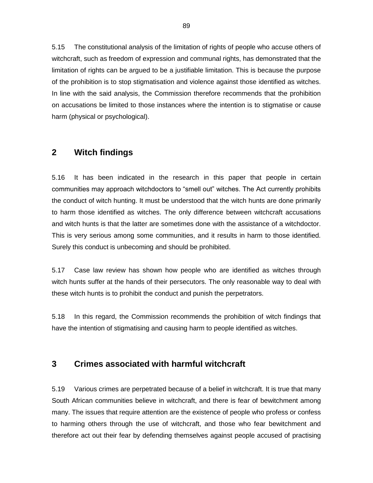5.15 The constitutional analysis of the limitation of rights of people who accuse others of witchcraft, such as freedom of expression and communal rights, has demonstrated that the limitation of rights can be argued to be a justifiable limitation. This is because the purpose of the prohibition is to stop stigmatisation and violence against those identified as witches. In line with the said analysis, the Commission therefore recommends that the prohibition on accusations be limited to those instances where the intention is to stigmatise or cause harm (physical or psychological).

# **2 Witch findings**

5.16 It has been indicated in the research in this paper that people in certain communities may approach witchdoctors to "smell out" witches. The Act currently prohibits the conduct of witch hunting. It must be understood that the witch hunts are done primarily to harm those identified as witches. The only difference between witchcraft accusations and witch hunts is that the latter are sometimes done with the assistance of a witchdoctor. This is very serious among some communities, and it results in harm to those identified. Surely this conduct is unbecoming and should be prohibited.

5.17 Case law review has shown how people who are identified as witches through witch hunts suffer at the hands of their persecutors. The only reasonable way to deal with these witch hunts is to prohibit the conduct and punish the perpetrators.

5.18 In this regard, the Commission recommends the prohibition of witch findings that have the intention of stigmatising and causing harm to people identified as witches.

# **3 Crimes associated with harmful witchcraft**

5.19 Various crimes are perpetrated because of a belief in witchcraft. It is true that many South African communities believe in witchcraft, and there is fear of bewitchment among many. The issues that require attention are the existence of people who profess or confess to harming others through the use of witchcraft, and those who fear bewitchment and therefore act out their fear by defending themselves against people accused of practising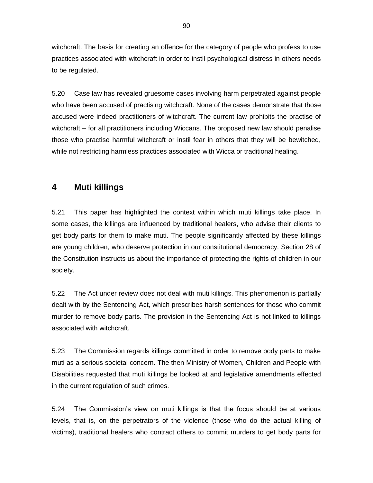witchcraft. The basis for creating an offence for the category of people who profess to use practices associated with witchcraft in order to instil psychological distress in others needs to be regulated.

5.20 Case law has revealed gruesome cases involving harm perpetrated against people who have been accused of practising witchcraft. None of the cases demonstrate that those accused were indeed practitioners of witchcraft. The current law prohibits the practise of witchcraft – for all practitioners including Wiccans. The proposed new law should penalise those who practise harmful witchcraft or instil fear in others that they will be bewitched, while not restricting harmless practices associated with Wicca or traditional healing.

# **4 Muti killings**

5.21 This paper has highlighted the context within which muti killings take place. In some cases, the killings are influenced by traditional healers, who advise their clients to get body parts for them to make muti. The people significantly affected by these killings are young children, who deserve protection in our constitutional democracy. Section 28 of the Constitution instructs us about the importance of protecting the rights of children in our society.

5.22 The Act under review does not deal with muti killings. This phenomenon is partially dealt with by the Sentencing Act, which prescribes harsh sentences for those who commit murder to remove body parts. The provision in the Sentencing Act is not linked to killings associated with witchcraft.

5.23 The Commission regards killings committed in order to remove body parts to make muti as a serious societal concern. The then Ministry of Women, Children and People with Disabilities requested that muti killings be looked at and legislative amendments effected in the current regulation of such crimes.

5.24 The Commission"s view on muti killings is that the focus should be at various levels, that is, on the perpetrators of the violence (those who do the actual killing of victims), traditional healers who contract others to commit murders to get body parts for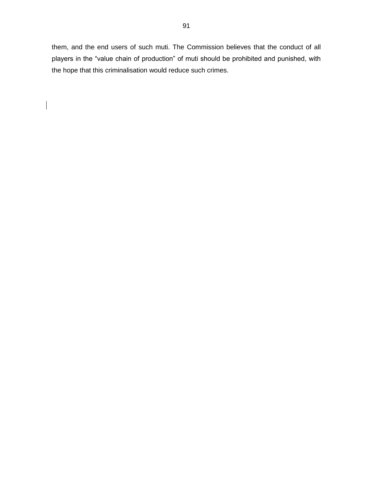them, and the end users of such muti. The Commission believes that the conduct of all players in the "value chain of production" of muti should be prohibited and punished, with the hope that this criminalisation would reduce such crimes.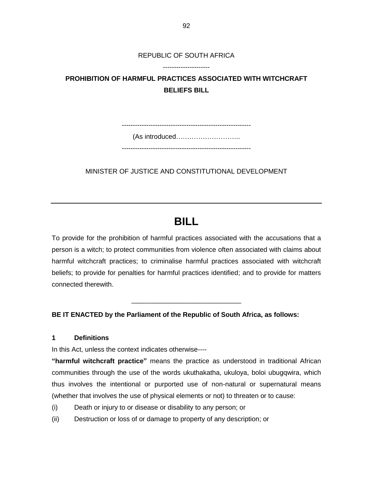REPUBLIC OF SOUTH AFRICA ---------------------

# **PROHIBITION OF HARMFUL PRACTICES ASSOCIATED WITH WITCHCRAFT BELIEFS BILL**

----------------------------------------------------------

(As introduced………………………..

----------------------------------------------------------

MINISTER OF JUSTICE AND CONSTITUTIONAL DEVELOPMENT

# **BILL**

To provide for the prohibition of harmful practices associated with the accusations that a person is a witch; to protect communities from violence often associated with claims about harmful witchcraft practices; to criminalise harmful practices associated with witchcraft beliefs; to provide for penalties for harmful practices identified; and to provide for matters connected therewith.

**\_\_\_\_\_\_\_\_\_\_\_\_\_\_\_\_\_\_**

**BE IT ENACTED by the Parliament of the Republic of South Africa, as follows:**

### **1 Definitions**

In this Act, unless the context indicates otherwise----

**"harmful witchcraft practice"** means the practice as understood in traditional African communities through the use of the words ukuthakatha, ukuloya, boloi ubugqwira, which thus involves the intentional or purported use of non-natural or supernatural means (whether that involves the use of physical elements or not) to threaten or to cause:

- (i) Death or injury to or disease or disability to any person; or
- (ii) Destruction or loss of or damage to property of any description; or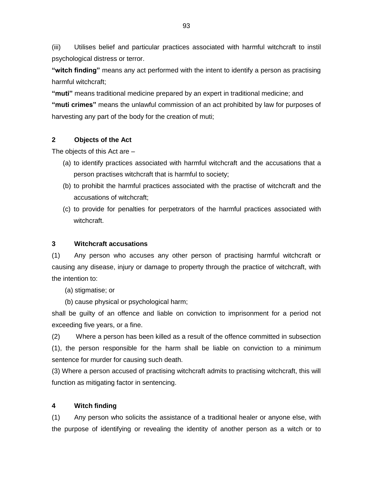(iii) Utilises belief and particular practices associated with harmful witchcraft to instil psychological distress or terror.

**"witch finding"** means any act performed with the intent to identify a person as practising harmful witchcraft;

**"muti"** means traditional medicine prepared by an expert in traditional medicine; and **"muti crimes"** means the unlawful commission of an act prohibited by law for purposes of harvesting any part of the body for the creation of muti;

### **2 Objects of the Act**

The objects of this Act are –

- (a) to identify practices associated with harmful witchcraft and the accusations that a person practises witchcraft that is harmful to society;
- (b) to prohibit the harmful practices associated with the practise of witchcraft and the accusations of witchcraft;
- (c) to provide for penalties for perpetrators of the harmful practices associated with witchcraft.

### **3 Witchcraft accusations**

(1) Any person who accuses any other person of practising harmful witchcraft or causing any disease, injury or damage to property through the practice of witchcraft, with the intention to:

(a) stigmatise; or

(b) cause physical or psychological harm;

shall be guilty of an offence and liable on conviction to imprisonment for a period not exceeding five years, or a fine.

(2) Where a person has been killed as a result of the offence committed in subsection (1), the person responsible for the harm shall be liable on conviction to a minimum sentence for murder for causing such death.

(3) Where a person accused of practising witchcraft admits to practising witchcraft, this will function as mitigating factor in sentencing.

### **4 Witch finding**

(1) Any person who solicits the assistance of a traditional healer or anyone else, with the purpose of identifying or revealing the identity of another person as a witch or to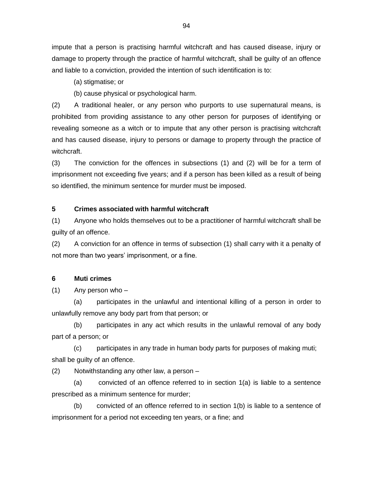impute that a person is practising harmful witchcraft and has caused disease, injury or damage to property through the practice of harmful witchcraft, shall be guilty of an offence and liable to a conviction, provided the intention of such identification is to:

(a) stigmatise; or

(b) cause physical or psychological harm.

(2) A traditional healer, or any person who purports to use supernatural means, is prohibited from providing assistance to any other person for purposes of identifying or revealing someone as a witch or to impute that any other person is practising witchcraft and has caused disease, injury to persons or damage to property through the practice of witchcraft.

(3) The conviction for the offences in subsections (1) and (2) will be for a term of imprisonment not exceeding five years; and if a person has been killed as a result of being so identified, the minimum sentence for murder must be imposed.

### **5 Crimes associated with harmful witchcraft**

(1) Anyone who holds themselves out to be a practitioner of harmful witchcraft shall be guilty of an offence.

(2) A conviction for an offence in terms of subsection (1) shall carry with it a penalty of not more than two years' imprisonment, or a fine.

### **6 Muti crimes**

(1) Any person who –

(a) participates in the unlawful and intentional killing of a person in order to unlawfully remove any body part from that person; or

(b) participates in any act which results in the unlawful removal of any body part of a person; or

(c) participates in any trade in human body parts for purposes of making muti; shall be guilty of an offence.

(2) Notwithstanding any other law, a person –

(a) convicted of an offence referred to in section 1(a) is liable to a sentence prescribed as a minimum sentence for murder;

(b) convicted of an offence referred to in section 1(b) is liable to a sentence of imprisonment for a period not exceeding ten years, or a fine; and